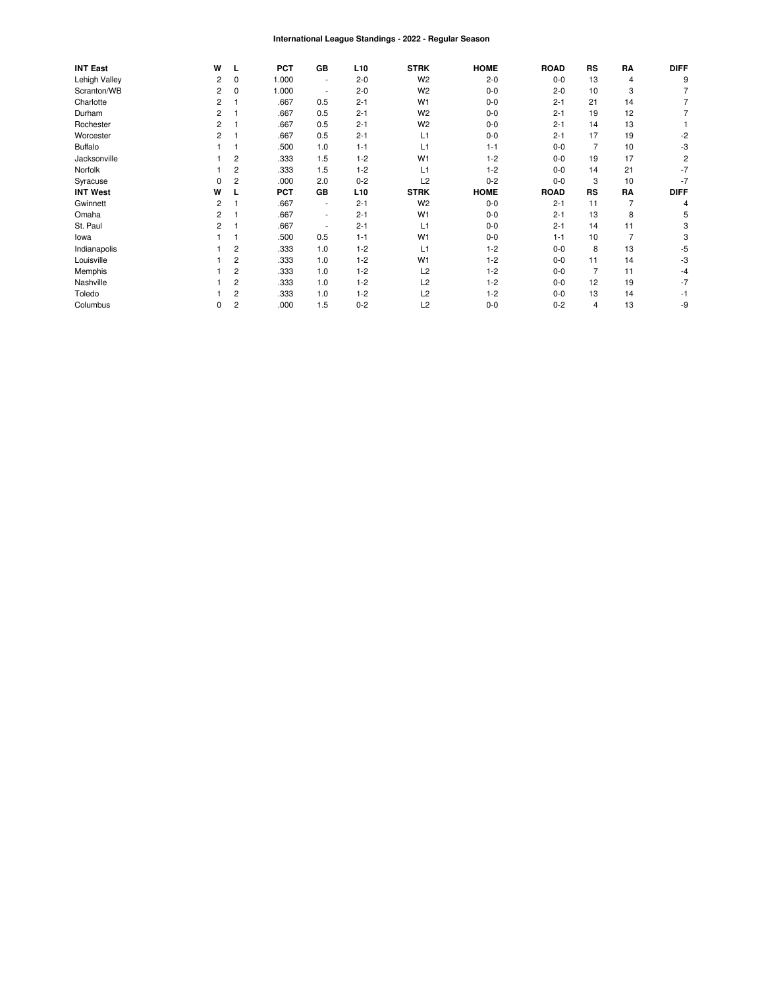#### International League Standings - 2022 - Regular Season

| <b>INT East</b> | W |          | <b>PCT</b> | GB                       | L <sub>10</sub> | <b>STRK</b>    | <b>HOME</b> | <b>ROAD</b> | <b>RS</b>      | RA             | <b>DIFF</b> |
|-----------------|---|----------|------------|--------------------------|-----------------|----------------|-------------|-------------|----------------|----------------|-------------|
| Lehigh Valley   | 2 | 0        | 1.000      | $\overline{\phantom{a}}$ | $2 - 0$         | W <sub>2</sub> | $2 - 0$     | $0 - 0$     | 13             | 4              | g           |
| Scranton/WB     | 2 | $\Omega$ | 1.000      | ٠                        | $2 - 0$         | W <sub>2</sub> | $0-0$       | $2 - 0$     | 10             | 3              |             |
| Charlotte       | 2 |          | .667       | 0.5                      | $2 - 1$         | W <sub>1</sub> | $0-0$       | $2 - 1$     | 21             | 14             |             |
| Durham          | 2 |          | .667       | 0.5                      | $2 - 1$         | W <sub>2</sub> | $0-0$       | $2 - 1$     | 19             | 12             |             |
| Rochester       | 2 |          | .667       | 0.5                      | $2 - 1$         | W <sub>2</sub> | $0-0$       | $2 - 1$     | 14             | 13             |             |
| Worcester       | 2 |          | .667       | 0.5                      | $2 - 1$         | L1             | $0-0$       | $2 - 1$     | 17             | 19             | -2          |
| <b>Buffalo</b>  |   |          | .500       | 1.0                      | $1 - 1$         | L1             | $1 - 1$     | $0 - 0$     |                | 10             | -3          |
| Jacksonville    |   | 2        | .333       | 1.5                      | $1 - 2$         | W <sub>1</sub> | $1 - 2$     | $0 - 0$     | 19             | 17             |             |
| Norfolk         |   | 2        | .333       | 1.5                      | $1 - 2$         | L1             | $1 - 2$     | $0 - 0$     | 14             | 21             | -7          |
| Syracuse        | 0 | 2        | .000       | 2.0                      | $0 - 2$         | L2             | $0 - 2$     | $0 - 0$     | 3              | 10             | -7          |
| <b>INT West</b> | w |          | <b>PCT</b> | GB                       | L <sub>10</sub> | <b>STRK</b>    | <b>HOME</b> | <b>ROAD</b> | <b>RS</b>      | RA             | <b>DIFF</b> |
| Gwinnett        | 2 |          | .667       | $\sim$                   | $2 - 1$         | W <sub>2</sub> | $0-0$       | $2 - 1$     | 11             | $\overline{7}$ | 4           |
| Omaha           | 2 |          | .667       | ۰.                       | $2 - 1$         | W <sub>1</sub> | $0-0$       | $2 - 1$     | 13             | 8              | 5           |
| St. Paul        | 2 |          | .667       | ٠                        | $2 - 1$         | L1             | $0-0$       | $2 - 1$     | 14             | 11             |             |
| lowa            |   |          | .500       | 0.5                      | $1 - 1$         | W <sub>1</sub> | $0-0$       | $1 - 1$     | 10             | $\overline{7}$ |             |
| Indianapolis    |   | 2        | .333       | 1.0                      | $1 - 2$         | L1             | $1 - 2$     | $0 - 0$     | 8              | 13             | -5          |
| Louisville      |   | 2        | .333       | 1.0                      | $1 - 2$         | W <sub>1</sub> | $1 - 2$     | $0-0$       | 11             | 14             | -3          |
| Memphis         |   | 2        | .333       | 1.0                      | $1 - 2$         | L2             | $1 - 2$     | $0 - 0$     | $\overline{7}$ | 11             | -4          |
| Nashville       |   | 2        | .333       | 1.0                      | $1 - 2$         | L2             | $1 - 2$     | $0 - 0$     | 12             | 19             | -7          |
| Toledo          |   | 2        | .333       | 1.0                      | $1 - 2$         | L2             | $1 - 2$     | $0-0$       | 13             | 14             |             |
| Columbus        | 0 | 2        | .000       | 1.5                      | $0 - 2$         | L2             | $0-0$       | $0 - 2$     | 4              | 13             | -9          |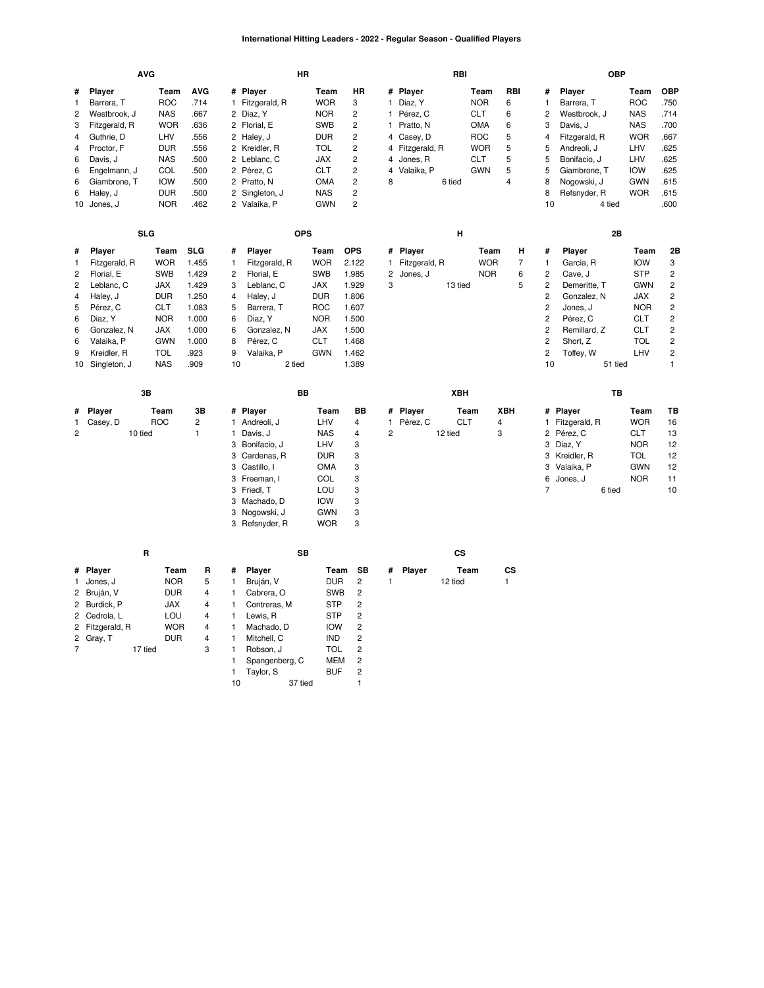#### **International Hitting Leaders - 2022 - Regular Season - Qualified Players**

|                                                                                                           |                                                                                                                                                          | <b>AVG</b>                                                                                                                                       |                                                                                                    | HR                                                                                                                                                                                                                          |                                                                                                                                           |                                                                                                                                                                         |                                | RBI                                                                                                                     |                                                                                                        |                                                          |                                                                                                                                                             | <b>OBP</b>                                                                                                                                                |                                                                                                                      |                                                                                                                                                                                           |
|-----------------------------------------------------------------------------------------------------------|----------------------------------------------------------------------------------------------------------------------------------------------------------|--------------------------------------------------------------------------------------------------------------------------------------------------|----------------------------------------------------------------------------------------------------|-----------------------------------------------------------------------------------------------------------------------------------------------------------------------------------------------------------------------------|-------------------------------------------------------------------------------------------------------------------------------------------|-------------------------------------------------------------------------------------------------------------------------------------------------------------------------|--------------------------------|-------------------------------------------------------------------------------------------------------------------------|--------------------------------------------------------------------------------------------------------|----------------------------------------------------------|-------------------------------------------------------------------------------------------------------------------------------------------------------------|-----------------------------------------------------------------------------------------------------------------------------------------------------------|----------------------------------------------------------------------------------------------------------------------|-------------------------------------------------------------------------------------------------------------------------------------------------------------------------------------------|
| #<br>$\mathbf{1}$<br>$\overline{c}$<br>3<br>$\overline{4}$<br>4<br>6<br>6<br>6<br>6                       | Player<br>Barrera, T<br>Westbrook, J<br>Fitzgerald, R<br>Guthrie, D<br>Proctor, F<br>Davis, J<br>Engelmann, J<br>Giambrone, T<br>Haley, J<br>10 Jones, J | Team<br><b>ROC</b><br><b>NAS</b><br><b>WOR</b><br>LHV<br><b>DUR</b><br><b>NAS</b><br>COL<br><b>IOW</b><br><b>DUR</b><br><b>NOR</b>               | <b>AVG</b><br>.714<br>.667<br>.636<br>.556<br>.556<br>.500<br>.500<br>.500<br>.500<br>.462         | # Player<br>Fitzgerald, R<br>$\mathbf{1}$<br>2 Diaz, Y<br>2 Florial, E<br>2 Haley, J<br>2 Kreidler, R<br>Leblanc, C<br>2<br>2 Pérez, C<br>2 Pratto, N<br>2<br>Singleton, J<br>2 Valaika, P                                  | Team<br><b>WOR</b><br><b>NOR</b><br><b>SWB</b><br><b>DUR</b><br><b>TOL</b><br><b>JAX</b><br><b>CLT</b><br>OMA<br><b>NAS</b><br><b>GWN</b> | HR<br>3<br>$\mathbf{2}$<br>$\overline{2}$<br>$\overline{c}$<br>$\overline{c}$<br>$\overline{c}$<br>$\overline{c}$<br>$\overline{c}$<br>$\overline{c}$<br>$\overline{c}$ | $\mathbf{1}$<br>4<br>8         | # Player<br>1 Diaz, Y<br>1 Pérez, C<br>Pratto, N<br>4 Casey, D<br>4 Fitzgerald, R<br>4 Jones, R<br>Valaika, P<br>6 tied | Team<br><b>NOR</b><br><b>CLT</b><br><b>OMA</b><br><b>ROC</b><br><b>WOR</b><br><b>CLT</b><br><b>GWN</b> | RBI<br>6<br>6<br>6<br>5<br>5<br>5<br>5<br>$\overline{4}$ | #<br>$\mathbf{1}$<br>$\overline{c}$<br>3<br>4<br>5<br>5<br>5<br>8<br>8<br>10                                                                                | Player<br>Barrera, T<br>Westbrook, J<br>Davis, J<br>Fitzgerald, R<br>Andreoli, J<br>Bonifacio, J<br>Giambrone, T<br>Nogowski, J<br>Refsnyder, R<br>4 tied | Team<br><b>ROC</b><br><b>NAS</b><br><b>NAS</b><br><b>WOR</b><br>LHV<br>LHV<br><b>IOW</b><br><b>GWN</b><br><b>WOR</b> | OBP<br>.750<br>.714<br>.700<br>.667<br>.625<br>.625<br>.625<br>.615<br>.615<br>.600                                                                                                       |
|                                                                                                           |                                                                                                                                                          | <b>SLG</b>                                                                                                                                       |                                                                                                    | <b>OPS</b>                                                                                                                                                                                                                  |                                                                                                                                           |                                                                                                                                                                         |                                | н                                                                                                                       |                                                                                                        |                                                          |                                                                                                                                                             | 2B                                                                                                                                                        |                                                                                                                      |                                                                                                                                                                                           |
| #<br>$\mathbf{1}$<br>$\overline{c}$<br>$\overline{c}$<br>$\overline{\mathbf{4}}$<br>5<br>6<br>6<br>6<br>9 | Player<br>Fitzgerald, R<br>Florial, E<br>Leblanc, C<br>Haley, J<br>Pérez, C<br>Diaz, Y<br>Gonzalez, N<br>Valaika, P<br>Kreidler, R<br>10 Singleton, J    | Team<br><b>WOR</b><br><b>SWB</b><br><b>JAX</b><br><b>DUR</b><br><b>CLT</b><br><b>NOR</b><br><b>JAX</b><br><b>GWN</b><br><b>TOL</b><br><b>NAS</b> | <b>SLG</b><br>1.455<br>1.429<br>1.429<br>1.250<br>1.083<br>1.000<br>1.000<br>1.000<br>.923<br>.909 | Player<br>#<br>$\mathbf{1}$<br>Fitzgerald, R<br>$\overline{c}$<br>Florial, E<br>3<br>Leblanc, C<br>4<br>Haley, J<br>5<br>Barrera, T<br>Diaz, Y<br>6<br>6<br>Gonzalez, N<br>Pérez, C<br>8<br>9<br>Valaika, P<br>10<br>2 tied | Team<br><b>WOR</b><br><b>SWB</b><br><b>JAX</b><br><b>DUR</b><br><b>ROC</b><br><b>NOR</b><br><b>JAX</b><br><b>CLT</b><br><b>GWN</b>        | <b>OPS</b><br>2.122<br>1.985<br>1.929<br>1.806<br>1.607<br>1.500<br>1.500<br>1.468<br>1.462<br>1.389                                                                    | $\mathbf{1}$<br>2<br>3         | # Player<br>Fitzgerald, R<br>Jones, J<br>13 tied                                                                        | Team<br><b>WOR</b><br><b>NOR</b>                                                                       | н<br>$\overline{7}$<br>6<br>5                            | #<br>$\mathbf{1}$<br>$\overline{c}$<br>$\overline{c}$<br>$\sqrt{2}$<br>$\overline{c}$<br>$\overline{c}$<br>$\sqrt{2}$<br>$\overline{c}$<br>$\sqrt{2}$<br>10 | Player<br>García, R<br>Cave, J<br>Demeritte, T<br>Gonzalez, N<br>Jones, J<br>Pérez, C<br>Remillard, Z<br>Short, Z<br>Toffey, W<br>51 tied                 | Team<br><b>IOW</b><br><b>STP</b><br><b>GWN</b><br>JAX<br><b>NOR</b><br><b>CLT</b><br><b>CLT</b><br>TOL<br>LHV        | 2B<br>3<br>$\overline{\mathbf{c}}$<br>$\overline{\mathbf{c}}$<br>$\overline{c}$<br>$\overline{c}$<br>$\overline{c}$<br>$\overline{c}$<br>$\overline{c}$<br>$\overline{c}$<br>$\mathbf{1}$ |
|                                                                                                           |                                                                                                                                                          | 3B                                                                                                                                               |                                                                                                    | BB                                                                                                                                                                                                                          |                                                                                                                                           |                                                                                                                                                                         |                                | XBH                                                                                                                     |                                                                                                        |                                                          |                                                                                                                                                             | TB                                                                                                                                                        |                                                                                                                      |                                                                                                                                                                                           |
| #<br>1<br>$\overline{c}$                                                                                  | Player<br>Casey, D                                                                                                                                       | Team<br><b>ROC</b><br>10 tied                                                                                                                    | 3B<br>$\overline{c}$<br>$\mathbf{1}$                                                               | # Player<br>1 Andreoli, J<br>Davis, J<br>1<br>3<br>Bonifacio, J<br>3<br>Cardenas, R<br>3<br>Castillo, I                                                                                                                     | Team<br>LHV<br><b>NAS</b><br>LHV<br><b>DUR</b><br><b>OMA</b>                                                                              | <b>BB</b><br>$\overline{4}$<br>$\overline{4}$<br>3<br>3<br>3                                                                                                            | $\mathbf{1}$<br>$\overline{c}$ | # Player<br><b>CLT</b><br>Pérez, C<br>12 tied                                                                           | Team<br>4<br>3                                                                                         | <b>XBH</b>                                               |                                                                                                                                                             | # Player<br>1 Fitzgerald, R<br>2 Pérez, C<br>3 Diaz, Y<br>3 Kreidler, R<br>Valaika, P                                                                     | Team<br><b>WOR</b><br><b>CLT</b><br><b>NOR</b><br><b>TOL</b><br><b>GWN</b>                                           | TВ<br>16<br>13<br>12<br>12<br>12<br>11                                                                                                                                                    |
|                                                                                                           |                                                                                                                                                          |                                                                                                                                                  |                                                                                                    | 3 Freeman, I<br>3<br>Friedl, T<br>Machado, D<br>3<br>3<br>Nogowski, J<br>Refsnyder, R<br>3                                                                                                                                  | COL<br>LOU<br><b>IOW</b><br><b>GWN</b><br><b>WOR</b>                                                                                      | 3<br>3<br>3<br>3<br>3                                                                                                                                                   |                                |                                                                                                                         |                                                                                                        |                                                          | 3<br>6<br>$\overline{7}$                                                                                                                                    | Jones, J<br>6 tied                                                                                                                                        | <b>NOR</b>                                                                                                           | 10                                                                                                                                                                                        |
|                                                                                                           |                                                                                                                                                          | R                                                                                                                                                |                                                                                                    | <b>SB</b>                                                                                                                                                                                                                   |                                                                                                                                           |                                                                                                                                                                         |                                | <b>CS</b>                                                                                                               |                                                                                                        |                                                          |                                                                                                                                                             |                                                                                                                                                           |                                                                                                                      |                                                                                                                                                                                           |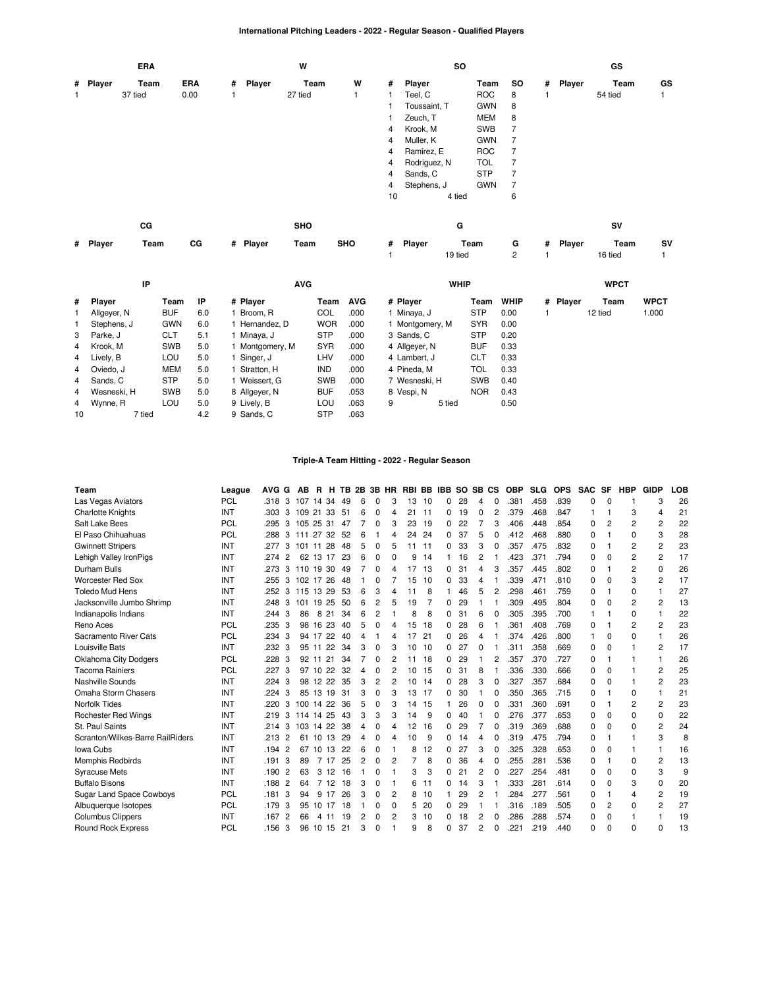### **International Pitching Leaders - 2022 - Regular Season - Qualified Players**

|   |          | <b>ERA</b> |            |   |        | W       |              |                |              | SO.        |                |   |        | GS      |    |
|---|----------|------------|------------|---|--------|---------|--------------|----------------|--------------|------------|----------------|---|--------|---------|----|
|   | # Player | Team       | <b>ERA</b> | # | Player | Team    | W            | #              | Player       | Team       | so             | # | Player | Team    | GS |
| 1 |          | 37 tied    | 0.00       | 1 |        | 27 tied | $\mathbf{1}$ | 1              | Teel, C      | ROC        | 8              |   |        | 54 tied | 1  |
|   |          |            |            |   |        |         |              |                | Toussaint, T | <b>GWN</b> | -8             |   |        |         |    |
|   |          |            |            |   |        |         |              |                | Zeuch, T     | MEM        | 8              |   |        |         |    |
|   |          |            |            |   |        |         |              | 4              | Krook, M     | SWB        | 7              |   |        |         |    |
|   |          |            |            |   |        |         |              | 4              | Muller, K    | <b>GWN</b> |                |   |        |         |    |
|   |          |            |            |   |        |         |              | 4              | Ramírez, E   | <b>ROC</b> | 7              |   |        |         |    |
|   |          |            |            |   |        |         |              | 4              | Rodriguez, N | <b>TOL</b> | $\overline{7}$ |   |        |         |    |
|   |          |            |            |   |        |         |              | $\overline{4}$ | Sands, C     | <b>STP</b> | $\overline{7}$ |   |        |         |    |
|   |          |            |            |   |        |         |              | $\overline{4}$ | Stephens, J  | <b>GWN</b> | - 7            |   |        |         |    |
|   |          |            |            |   |        |         |              | 10             | 4 tied       |            | 6              |   |        |         |    |
|   |          | СG         |            |   |        | SHO     |              |                | G            |            |                |   |        | SV      |    |

|  |  |  |  | # Player Team CG # Player Team SHO # Player Team G # Player Team SV |  |  |  |
|--|--|--|--|---------------------------------------------------------------------|--|--|--|
|  |  |  |  | 1 19 tied 2 1 16 tied 1                                             |  |  |  |

|                | IP          |            |     | <b>AVG</b>    |            |            | <b>WHIP</b>     |            |             |          | <b>WPCT</b> |             |
|----------------|-------------|------------|-----|---------------|------------|------------|-----------------|------------|-------------|----------|-------------|-------------|
| $\#$           | Player      | Team       | ΙP  | # Player      | Team       | <b>AVG</b> | # Player        | Team       | <b>WHIP</b> | # Player | Team        | <b>WPCT</b> |
|                | Allgever, N | <b>BUF</b> | 6.0 | Broom, R      | COL        | .000       | 1 Minaya, J     | <b>STP</b> | 0.00        |          | 12 tied     | 1.000       |
|                | Stephens, J | <b>GWN</b> | 6.0 | Hernandez. D  | <b>WOR</b> | .000       | 1 Montgomery, M | <b>SYR</b> | 0.00        |          |             |             |
| $3^{\circ}$    | Parke, J    | <b>CLT</b> | 5.1 | Minaya, J     | <b>STP</b> | .000       | 3 Sands, C      | <b>STP</b> | 0.20        |          |             |             |
| $\overline{4}$ | Krook, M    | <b>SWB</b> | 5.0 | Montgomery, M | <b>SYR</b> | .000       | 4 Allgeyer, N   | <b>BUF</b> | 0.33        |          |             |             |
| $\overline{4}$ | Lively, B   | LOU        | 5.0 | Singer, J     | LHV        | .000       | 4 Lambert. J    | <b>CLT</b> | 0.33        |          |             |             |
| $\overline{4}$ | Oviedo, J   | <b>MEM</b> | 5.0 | Stratton, H   | <b>IND</b> | .000       | 4 Pineda, M     | TOL        | 0.33        |          |             |             |
| 4              | Sands, C    | <b>STP</b> | 5.0 | Weissert. G   | <b>SWB</b> | .000       | 7 Wesneski, H   | <b>SWB</b> | 0.40        |          |             |             |
| 4              | Wesneski, H | <b>SWB</b> | 5.0 | 8 Allgeyer, N | <b>BUF</b> | .053       | 8 Vespi, N      | <b>NOR</b> | 0.43        |          |             |             |
|                | 4 Wynne, R  | LOU        | 5.0 | 9 Lively, B   | LOU        | .063       | 9<br>5 tied     |            | 0.50        |          |             |             |
| 10             | 7 tied      |            | 4.2 | 9 Sands, C    | <b>STP</b> | .063       |                 |            |             |          |             |             |

# **Triple-A Team Hitting - 2022 - Regular Season**

| Team                             | League     | <b>AVG</b><br>G        | AB           | R              |       |     |                |                |   |    |                | H TB 2B 3B HR RBI BB IBB SO SB CS |    |          |   | <b>OBP</b> | <b>SLG</b> | <b>OPS</b> | SAC SF   |          | <b>HBP</b>     | <b>GIDP</b>    | <b>LOB</b> |
|----------------------------------|------------|------------------------|--------------|----------------|-------|-----|----------------|----------------|---|----|----------------|-----------------------------------|----|----------|---|------------|------------|------------|----------|----------|----------------|----------------|------------|
| Las Vegas Aviators               | PCL        | .318<br>3              | 107          | 14             | 34    | 49  | 6              | 0              | 3 | 13 | 10             | 0                                 | 28 | 4        | 0 | .381       | .458       | .839       | 0        | $\Omega$ |                | 3              | 26         |
| <b>Charlotte Knights</b>         | INT        | .303<br>3              | 109 21 33    |                |       | -51 | 6              | 0              | 4 | 21 | 11             | 0                                 | 19 | $\Omega$ | 2 | .379       | .468       | .847       | 1        |          | 3              | 4              | 21         |
| Salt Lake Bees                   | PCL        | 3<br>.295              | 105 25 31    |                |       | 47  |                | 0              | 3 | 23 | 19             | 0                                 | 22 |          | 3 | .406       | .448       | .854       | $\Omega$ | 2        | $\overline{2}$ | 2              | 22         |
| El Paso Chihuahuas               | PCL        | 3<br>.288              | 111 27 32 52 |                |       |     | 6              |                | 4 | 24 | 24             | $\Omega$                          | 37 | 5        |   | .412       | .468       | .880       | $\Omega$ |          | $\Omega$       | 3              | 28         |
| <b>Gwinnett Stripers</b>         | INT        | .277<br>3              | 101 11 28    |                |       | 48  | 5              | 0              | 5 | 11 | 11             | 0                                 | 33 | 3        |   | .357       | .475       | .832       | $\Omega$ |          | 2              | 2              | 23         |
| Lehigh Valley IronPigs           | INT        | .274<br>$\overline{2}$ |              | 62 13 17       |       | 23  | 6              | 0              | 0 | 9  | 14             |                                   | 16 | 2        |   | .423       | .371       | .794       | 0        | $\Omega$ | 2              | 2              | 17         |
| Durham Bulls                     | INT        | .273<br>3              | 110 19 30    |                |       | 49  |                | 0              | 4 | 17 | 13             | 0                                 | 31 | 4        | 3 | .357       | .445       | .802       | 0        |          | 2              | 0              | 26         |
| Worcester Red Sox                | INT        | .255<br>3              | 102 17 26    |                |       | 48  |                | 0              |   | 15 | 10             | $\Omega$                          | 33 | 4        |   | .339       | .471       | .810       | 0        | $\Omega$ | 3              | $\overline{2}$ | 17         |
| <b>Toledo Mud Hens</b>           | INT        | .252<br>3              | 115 13 29    |                |       | 53  | 6              | 3              | 4 | 11 | 8              |                                   | 46 | 5        | 2 | .298       | .461       | .759       | 0        | 1        | $\Omega$       | 1              | 27         |
| Jacksonville Jumbo Shrimp        | INT        | .248<br>3              | 101          | 19             | 25    | 50  | 6              | $\overline{c}$ | 5 | 19 | $\overline{7}$ | 0                                 | 29 |          |   | .309       | .495       | .804       | 0        | $\Omega$ | 2              | $\overline{2}$ | 13         |
| Indianapolis Indians             | INT        | 3<br>.244              | 86           | 8              | 21    | 34  | 6              | 2              |   | 8  | 8              | 0                                 | 31 | 6        |   | .305       | .395       | .700       |          |          | 0              |                | 22         |
| Reno Aces                        | PCL        | .235<br>3              |              | 98 16 23       |       | 40  | 5              | 0              | 4 | 15 | 18             | 0                                 | 28 | 6        |   | .361       | .408       | .769       | 0        |          | 2              | 2              | 23         |
| Sacramento River Cats            | PCL        | .234<br>3              |              | 94 17 22       |       | 40  | 4              |                | 4 | 17 | 21             | $\Omega$                          | 26 | 4        |   | .374       | .426       | .800       | 1        | $\Omega$ | $\Omega$       | 1              | 26         |
| Louisville Bats                  | INT        | .232<br>3              |              | 95 11 22       |       | 34  | 3              | $\Omega$       | 3 | 10 | 10             | 0                                 | 27 | 0        |   | .311       | .358       | .669       | 0        | $\Omega$ |                | 2              | 17         |
| <b>Oklahoma City Dodgers</b>     | PCL        | .228<br>3              |              | 92 11          | 21    | 34  | $\overline{7}$ | 0              | 2 | 11 | 18             | 0                                 | 29 |          | 2 | .357       | .370       | .727       | 0        |          |                | 1              | 26         |
| <b>Tacoma Rainiers</b>           | PCL        | .227<br>3              |              | 97 10          | 22    | 32  | 4              | 0              | 2 | 10 | 15             | 0                                 | 31 | 8        |   | .336       | .330       | .666       | 0        | 0        |                | 2              | 25         |
| Nashville Sounds                 | INT        | .224<br>3              |              | 98 12 22       |       | 35  | 3              | 2              | 2 | 10 | 14             | 0                                 | 28 | 3        |   | .327       | .357       | .684       | $\Omega$ | $\Omega$ |                | 2              | 23         |
| Omaha Storm Chasers              | INT        | .224<br>3              | 85           | 13             | 19    | 31  | 3              | 0              | 3 | 13 | 17             | 0                                 | 30 |          | 0 | .350       | .365       | .715       | 0        |          | 0              |                | 21         |
| <b>Norfolk Tides</b>             | INT        | .220<br>3              |              | 100 14 22      |       | 36  | 5              | 0              | 3 | 14 | 15             |                                   | 26 | 0        |   | .331       | .360       | .691       | $\Omega$ |          | 2              | 2              | 23         |
| <b>Rochester Red Wings</b>       | INT        | .219<br>3              | 114 14       |                | 25    | 43  | 3              | 3              | 3 | 14 | 9              | 0                                 | 40 |          | 0 | .276       | .377       | .653       | 0        | 0        | 0              | 0              | 22         |
| St. Paul Saints                  | INT        | 3<br>.214              |              | 103 14 22      |       | 38  | 4              | 0              | 4 | 12 | 16             | 0                                 | 29 |          | 0 | .319       | .369       | .688       | $\Omega$ | $\Omega$ | $\Omega$       | 2              | 24         |
| Scranton/Wilkes-Barre RailRiders | INT        | .213<br>$\overline{2}$ | 61           | 10             | 13    | 29  | 4              | 0              | 4 | 10 | 9              | 0                                 | 14 | 4        | 0 | .319       | .475       | .794       | $\Omega$ | 1        | 1              | 3              | 8          |
| Iowa Cubs                        | INT        | $\overline{2}$<br>.194 | 67           | 10             | 13    | 22  | 6              | 0              |   | 8  | 12             | 0                                 | 27 | 3        | O | .325       | .328       | .653       | 0        | $\Omega$ |                |                | 16         |
| <b>Memphis Redbirds</b>          | INT        | .191<br>3              | 89           | $\overline{7}$ | 17    | -25 | 2              | 0              | 2 | 7  | 8              | 0                                 | 36 | 4        |   | .255       | 281        | .536       | 0        |          | 0              | 2              | 13         |
| <b>Syracuse Mets</b>             | INT        | $\overline{2}$<br>.190 | 63           | 3              | 12    | 16  |                | 0              |   | 3  | 3              | 0                                 | 21 | 2        | 0 | .227       | .254       | .481       | $\Omega$ | $\Omega$ | 0              | 3              | 9          |
| <b>Buffalo Bisons</b>            | INT        | .188<br>$\overline{2}$ | 64           | $\overline{7}$ | 12 18 |     | 3              | 0              |   | 6  | 11             | 0                                 | 14 | 3        |   | .333       | .281       | .614       | 0        | 0        | 3              | $\Omega$       | 20         |
| Sugar Land Space Cowboys         | PCL        | .181<br>3              | 94           | 9              | 17    | 26  | 3              | 0              | 2 | 8  | 10             |                                   | 29 | 2        |   | .284       | .277       | .561       | 0        |          | 4              | 2              | 19         |
| Albuquerque Isotopes             | PCL        | .179<br>3              | 95           | 10             | 17    | 18  |                | 0              | 0 | 5  | 20             | 0                                 | 29 |          |   | .316       | .189       | .505       | 0        | 2        | 0              | 2              | 27         |
| <b>Columbus Clippers</b>         | INT        | .167<br>$\overline{2}$ | 66           | 4              | 11    | 19  | 2              | 0              | 2 | 3  | 10             | 0                                 | 18 | 2        |   | .286       | .288       | .574       | 0        | $\Omega$ |                |                | 19         |
| <b>Round Rock Express</b>        | <b>PCL</b> | .156<br>3              |              | 96 10 15       |       | 21  | 3              | ŋ              |   | 9  | 8              | ŋ                                 | 37 | 2        | O | 221        | .219       | .440       | O        | $\Omega$ | O              | $\Omega$       | 13         |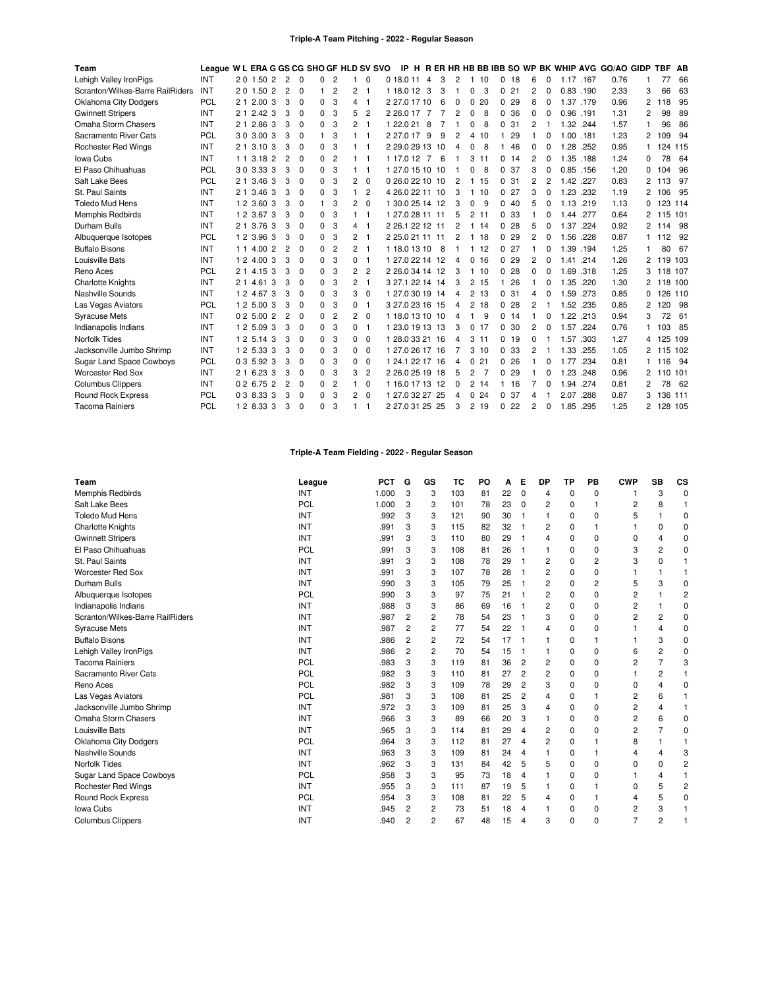#### **Triple-A Team Pitching - 2022 - Regular Season**

| Team                             | League W L ERA G GS CG SHO GF HLD SV SVO |    |                   |                |                |             |   |                |   |                |                 |                |    |                |                |     |       |     |                |          |      |           | IP H R ER HR HB BB IBB SO WP BK WHIP AVG GO/AO GIDP |                | TBF AB   |         |
|----------------------------------|------------------------------------------|----|-------------------|----------------|----------------|-------------|---|----------------|---|----------------|-----------------|----------------|----|----------------|----------------|-----|-------|-----|----------------|----------|------|-----------|-----------------------------------------------------|----------------|----------|---------|
| Lehigh Valley IronPigs           | INT                                      |    | 20 1.50 2         |                | $\overline{2}$ | $\mathbf 0$ | 0 | $\overline{c}$ |   | 0              | 0 18.0 11       | $\overline{4}$ | 3  | 2              |                | 110 | 0     | 18  | 6              | 0        |      | 1.17 .167 | 0.76                                                |                | 77       | 66      |
| Scranton/Wilkes-Barre RailRiders | INT                                      |    | 2 0 1.50          | $\overline{2}$ | $\overline{2}$ | $\Omega$    |   | $\overline{2}$ | 2 | -1             | 1 18.0 12       | 3              | 3  | -1             | 0              | 3   | 0     | 21  | 2              | 0        |      | 0.83 .190 | 2.33                                                | 3              | 66       | 63      |
| <b>Oklahoma City Dodgers</b>     | <b>PCL</b>                               |    | 2 1 2.00 3        |                | 3              | $\Omega$    | 0 | 3              | 4 | -1             | 2 27.0 17 10    |                | 6  | $\Omega$       | 0              | 20  | 0     | 29  | 8              | $\Omega$ | 1.37 | .179      | 0.96                                                | 2              | 18<br>1  | 95      |
| <b>Gwinnett Stripers</b>         | INT                                      | 21 | 2.42 <sub>3</sub> |                | 3              | $\Omega$    | 0 | 3              | 5 | 2              | 2 26.0 17       | 7              |    | 2              | 0              | 8   | 0     | 36  | 0              | 0        | 0.96 | .191      | 1.31                                                | 2              | 98       | 89      |
| Omaha Storm Chasers              | INT                                      | 21 | 2.86              | 3              | 3              | $\mathbf 0$ | 0 | 3              | 2 | 1              | 1 22.0 21       | 8              |    |                | 0              | 8   | 0     | 31  | 2              |          | 1.32 | .244      | 1.57                                                |                | 96       | 86      |
| Sacramento River Cats            | PCL                                      |    | 30 3.00 3         |                | 3              | $\Omega$    |   | 3              |   | -1             | 2 27.0 17 9     |                | 9  | 2              | 4              | 10  |       | 29  |                | 0        | 1.00 | .181      | 1.23                                                | 2              | 09<br>-1 | 94      |
| <b>Rochester Red Wings</b>       | INT                                      |    | 2 1 3.10 3        |                | 3              | $\Omega$    | 0 | 3              |   | -1             | 2 29.0 29 13 10 |                |    | 4              | ŋ              | 8   |       | 46  | 0              | 0        | 1.28 | .252      | 0.95                                                | 1              | 124 115  |         |
| Iowa Cubs                        | INT                                      | 11 | 3.18              | $\overline{2}$ | $\overline{2}$ | $\Omega$    | 0 | $\overline{2}$ |   | -1             | 1 17.0 12       | 7              | 6  |                | 3              | 11  | 0     | 14  | 2              | $\Omega$ | 1.35 | .188      | 1.24                                                | 0              | 78       | 64      |
| El Paso Chihuahuas               | <b>PCL</b>                               |    | 30 3.33 3         |                | 3              | $\Omega$    | 0 | 3              |   | -1             | 1 27.0 15 10 10 |                |    |                |                | 8   | 0     | 37  | 3              | $\Omega$ |      | 0.85 .156 | 1.20                                                | 0              | 104      | 96      |
| Salt Lake Bees                   | PCL                                      |    | 2 1 3.46          | 3              | 3              | $\Omega$    | 0 | 3              | 2 | $\Omega$       | 0 26.0 22 10 10 |                |    | $\overline{2}$ |                | 15  | 0     | 31  | 2              | 2        | 1.42 | .227      | 0.83                                                | 2              | 13<br>-1 | 97      |
| St. Paul Saints                  | INT                                      |    | 2 1 3.46 3        |                | 3              | $\Omega$    | 0 | 3              | 1 | $\overline{2}$ | 4 26 0 22 11 10 |                |    | 3              | 1.             | 10  | 0     | 27  | 3              | $\Omega$ | 1.23 | .232      | 1.19                                                | 2              | 106      | 95      |
| <b>Toledo Mud Hens</b>           | INT                                      |    | 1 2 3.60 3        |                | 3              | 0           |   | 3              | 2 | 0              | 1 30.0 25 14 12 |                |    | 3              | 0              | 9   | 040   |     | 5              | 0        | 1.13 | .219      | 1.13                                                | 0              | 123 114  |         |
| <b>Memphis Redbirds</b>          | INT                                      |    | 1 2 3.67 3        |                | 3              | $\Omega$    | 0 | 3              |   | -1             | 1 27 0 28 11 11 |                |    | 5              | 2              | 11  | 0     | -33 |                | 0        | 1.44 | .277      | 0.64                                                | 2              | 115 101  |         |
| Durham Bulls                     | INT                                      |    | 2 1 3.76          | 3              | 3              | $\Omega$    | 0 | 3              | 4 | -1             | 2 26.1 22 12 11 |                |    | 2              |                | 114 | 0     | 28  | 5              | $\Omega$ | 1.37 | .224      | 0.92                                                | 2              | 114 98   |         |
| Albuquerque Isotopes             | <b>PCL</b>                               |    | 1 2 3.96 3        |                | 3              | $\mathbf 0$ | 0 | 3              | 2 | -1             | 2 25.0 21 11 11 |                |    | 2              |                | 18  | 0     | 29  | $\overline{2}$ | 0        | 1.56 | .228      | 0.87                                                |                | 112      | -92     |
| <b>Buffalo Bisons</b>            | INT                                      |    | 1 1 4.00 2        |                | $\overline{2}$ | $\Omega$    | 0 | $\overline{c}$ | 2 | -1             | 1 18.0 13 10    |                | -8 |                |                | 12  | 0     | 27  |                | 0        | 1.39 | .194      | 1.25                                                |                | 80       | 67      |
| Louisville Bats                  | INT                                      | 12 | 4.00 3            |                | 3              | $\Omega$    | 0 | 3              | 0 | -1             | 1 27.0 22 14 12 |                |    | 4              | 0              | 16  | 0     | 29  | 2              | $\Omega$ | 1.41 | .214      | 1.26                                                | 2              | 119 103  |         |
| Reno Aces                        | PCL                                      |    | 2 1 4.15          | 3              | 3              | $\Omega$    | 0 | 3              | 2 | $\overline{2}$ | 2 26.0 34 14 12 |                |    | 3              |                | 10  | 0     | 28  | $\Omega$       | $\Omega$ | 1.69 | .318      | 1.25                                                | 3              | 118 107  |         |
| <b>Charlotte Knights</b>         | INT                                      |    | 2 1 4.61          | 3              | 3              | $\Omega$    | 0 | 3              | 2 | -1             | 3 27 1 22 14 14 |                |    | 3              | $\overline{2}$ | 15  | 1     | 26  | 1              | $\Omega$ | 1.35 | .220      | 1.30                                                | 2              | 118 100  |         |
| Nashville Sounds                 | INT                                      |    | 1 2 4.67 3        |                | 3              | $\Omega$    | 0 | 3              | 3 | 0              | 1 27.0 30 19 14 |                |    | 4              | $\overline{2}$ | 13  | 0     | 31  | 4              | 0        | 1.59 | .273      | 0.85                                                | 0              | 126 110  |         |
| Las Vegas Aviators               | <b>PCL</b>                               |    | 1 2 5.00          | 3              | 3              | $\Omega$    | 0 | 3              | 0 | -1             | 3 27.0 23 16 15 |                |    | 4              | 2              | 18  | 0     | 28  | 2              |          | 1.52 | .235      | 0.85                                                | 2              | 120      | -98     |
| <b>Syracuse Mets</b>             | INT                                      |    | 0 2 5.00 2        |                | $\overline{2}$ | $\Omega$    | 0 | $\overline{2}$ | 2 | $\Omega$       | 1 18.0 13 10 10 |                |    | Δ              |                | 9   | 0, 14 |     |                | $\Omega$ | 1.22 | .213      | 0.94                                                | 3              | 72       | 61      |
| Indianapolis Indians             | INT                                      |    | 1 2 5.09 3        |                | 3              | $\Omega$    | 0 | 3              | 0 | -1             | 1 23.0 19 13 13 |                |    | 3              | 0              | 17  | 0     | 30  | 2              | 0        | 1.57 | .224      | 0.76                                                |                | 103      | -85     |
| Norfolk Tides                    | INT                                      |    | 1 2 5 14          | 3              | 3              | $\Omega$    | 0 | 3              | 0 | $\Omega$       | 1 28.0 33 21 16 |                |    | 4              | 3              | 11  | 0, 19 |     | $\Omega$       |          | 1.57 | .303      | 1.27                                                | 4              | 125 109  |         |
| Jacksonville Jumbo Shrimp        | INT                                      |    | 1 2 5.33 3        |                | 3              | $\Omega$    | 0 | 3              | 0 | $\Omega$       | 1 27.0 26 17 16 |                |    |                |                | 310 | 0     | 33  | 2              |          | 1.33 | .255      | 1.05                                                | $\overline{2}$ | 115 102  |         |
| Sugar Land Space Cowboys         | PCL                                      |    | 0 3 5.92 3        |                | 3              | 0           | 0 | 3              | 0 | $\mathbf 0$    | 1 24.1 22 17 16 |                |    | 4              | 0              | 21  | 0     | 26  |                | 0        | 1.77 | .234      | 0.81                                                |                | -1<br>16 | 94      |
| Worcester Red Sox                | INT                                      |    | 2 1 6.23 3        |                | 3              | $\Omega$    | 0 | 3              | 3 | $\overline{2}$ | 2 26.0 25 19 18 |                |    | 5              | 2              | 7   | 0     | 29  |                | 0        | 1.23 | .248      | 0.96                                                | 2              | 110 101  |         |
| <b>Columbus Clippers</b>         | INT                                      |    | 02 6.75 2         |                | 2              | $\Omega$    | 0 | $\overline{c}$ | 1 | 0              | 1 16.0 17 13 12 |                |    | 0              | 2              | 14  |       | 16  |                | 0        | 1.94 | .274      | 0.81                                                | 2              | 78       | - 62    |
| <b>Round Rock Express</b>        | <b>PCL</b>                               |    | 0 3 8.33 3        |                | 3              | $\Omega$    | 0 | 3              | 2 | $\Omega$       | 1 27.0 32 27 25 |                |    | 4              | 0              | 24  | 0     | 37  | 4              |          | 2.07 | .288      | 0.87                                                | 3              | -1       | 136 111 |
| <b>Tacoma Rainiers</b>           | PCL                                      |    | 1 2 8.33 3        |                | 3              | $\Omega$    | 0 | 3              |   | -1             | 2 27.0 31 25 25 |                |    | 3              | $\overline{2}$ | 19  | 0     | 22  | $\overline{2}$ | $\Omega$ | 1.85 | .295      | 1.25                                                | 2              | 128 105  |         |

# **Triple-A Team Fielding - 2022 - Regular Season**

| Team                             | League     | <b>PCT</b> | G              | GS | ТC  | PO | А  | Е           | DP | <b>TP</b> | PB             | <b>CWP</b>     | <b>SB</b>      | CS          |
|----------------------------------|------------|------------|----------------|----|-----|----|----|-------------|----|-----------|----------------|----------------|----------------|-------------|
| Memphis Redbirds                 | INT        | 1.000      | 3              | 3  | 103 | 81 | 22 | $\mathbf 0$ | 4  | 0         | $\Omega$       |                | 3              | 0           |
| Salt Lake Bees                   | <b>PCL</b> | 1.000      | 3              | 3  | 101 | 78 | 23 | $\mathbf 0$ | 2  | 0         |                | 2              | 8              |             |
| <b>Toledo Mud Hens</b>           | INT        | .992       | 3              | 3  | 121 | 90 | 30 | -1          |    | 0         | $\Omega$       | 5              |                | $\Omega$    |
| <b>Charlotte Knights</b>         | INT        | .991       | 3              | 3  | 115 | 82 | 32 | -1          | 2  | 0         |                |                | 0              | 0           |
| <b>Gwinnett Stripers</b>         | INT        | .991       | 3              | 3  | 110 | 80 | 29 |             | 4  | 0         | 0              | 0              | 4              | 0           |
| El Paso Chihuahuas               | <b>PCL</b> | .991       | 3              | 3  | 108 | 81 | 26 | 1           |    | 0         | $\Omega$       | 3              | $\overline{2}$ | 0           |
| St. Paul Saints                  | INT        | .991       | 3              | 3  | 108 | 78 | 29 | 1           | 2  | 0         | $\overline{2}$ | 3              | $\Omega$       |             |
| <b>Worcester Red Sox</b>         | INT        | .991       | 3              | 3  | 107 | 78 | 28 | -1          | 2  | 0         | $\Omega$       |                |                |             |
| Durham Bulls                     | INT        | .990       | 3              | 3  | 105 | 79 | 25 | 1           | 2  | 0         | $\overline{2}$ | 5              | 3              | 0           |
| Albuquerque Isotopes             | <b>PCL</b> | .990       | 3              | 3  | 97  | 75 | 21 | 1           | 2  | 0         | $\Omega$       | 2              |                | 2           |
| Indianapolis Indians             | INT        | .988       | 3              | 3  | 86  | 69 | 16 | -1          | 2  | 0         | 0              | 2              |                | 0           |
| Scranton/Wilkes-Barre RailRiders | INT        | .987       | $\overline{2}$ | 2  | 78  | 54 | 23 | -1          | 3  | 0         | $\Omega$       | $\overline{2}$ | 2              | $\mathbf 0$ |
| <b>Syracuse Mets</b>             | INT        | .987       | $\overline{2}$ | 2  | 77  | 54 | 22 | -1          | 4  | 0         | $\Omega$       |                | Δ              | 0           |
| <b>Buffalo Bisons</b>            | INT        | .986       | 2              | 2  | 72  | 54 | 17 | 1           |    | 0         |                |                | 3              | 0           |
| Lehigh Valley IronPigs           | INT        | .986       | $\overline{2}$ | 2  | 70  | 54 | 15 | -1          |    | 0         | 0              | 6              | $\overline{2}$ | 0           |
| <b>Tacoma Rainiers</b>           | PCL        | .983       | 3              | 3  | 119 | 81 | 36 | 2           | 2  | 0         | 0              | 2              | 7              | 3           |
| Sacramento River Cats            | <b>PCL</b> | .982       | 3              | 3  | 110 | 81 | 27 | 2           | 2  | 0         | $\Omega$       |                | 2              |             |
| Reno Aces                        | PCL        | .982       | 3              | 3  | 109 | 78 | 29 | 2           | 3  | 0         | $\Omega$       | 0              |                | $\Omega$    |
| Las Vegas Aviators               | <b>PCL</b> | .981       | 3              | 3  | 108 | 81 | 25 | 2           | 4  | 0         |                | 2              | 6              |             |
| Jacksonville Jumbo Shrimp        | INT        | .972       | 3              | 3  | 109 | 81 | 25 | 3           | 4  | 0         | $\Omega$       | $\overline{2}$ | 4              |             |
| Omaha Storm Chasers              | INT        | .966       | 3              | 3  | 89  | 66 | 20 | 3           |    | 0         | 0              | 2              | 6              | 0           |
| Louisville Bats                  | INT        | .965       | 3              | 3  | 114 | 81 | 29 | 4           | 2  | 0         | 0              | 2              | 7              | 0           |
| <b>Oklahoma City Dodgers</b>     | <b>PCL</b> | .964       | 3              | 3  | 112 | 81 | 27 | 4           | 2  | 0         |                | 8              |                |             |
| Nashville Sounds                 | INT        | .963       | 3              | 3  | 109 | 81 | 24 | 4           |    | 0         |                | 4              | 4              | 3           |
| <b>Norfolk Tides</b>             | INT        | .962       | 3              | 3  | 131 | 84 | 42 | 5           | 5  | 0         | $\Omega$       | $\Omega$       | $\Omega$       | 2           |
| Sugar Land Space Cowboys         | PCL        | .958       | 3              | 3  | 95  | 73 | 18 | 4           |    | 0         | $\Omega$       |                | 4              |             |
| <b>Rochester Red Wings</b>       | INT        | .955       | 3              | 3  | 111 | 87 | 19 | 5           |    | 0         |                | 0              | 5              | 2           |
| <b>Round Rock Express</b>        | PCL        | .954       | 3              | 3  | 108 | 81 | 22 | 5           | 4  | 0         |                |                | 5              | $\Omega$    |
| Iowa Cubs                        | INT        | .945       | $\overline{2}$ | 2  | 73  | 51 | 18 | 4           |    | 0         | 0              | 2              | 3              |             |
| <b>Columbus Clippers</b>         | INT        | .940       | 2              | 2  | 67  | 48 | 15 | 4           | 3  | 0         | $\Omega$       | $\overline{7}$ | $\overline{2}$ |             |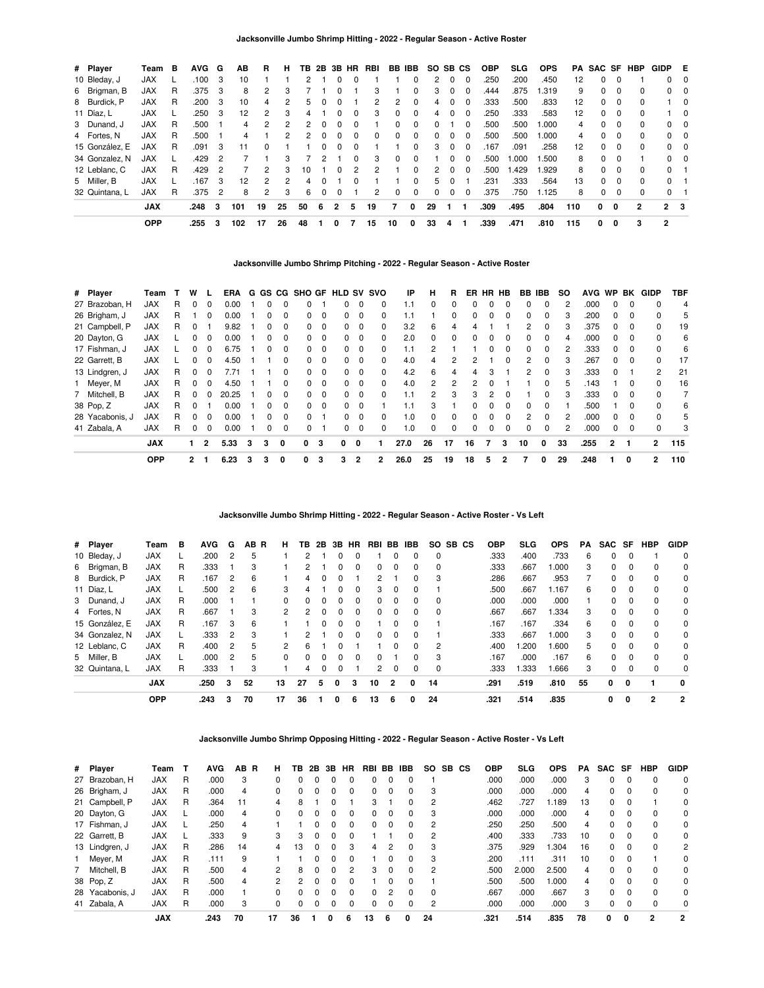| # Player       | Team       | в | <b>AVG</b> | G              | AВ  | R            | н  | ΤВ | 2Β | 3В       | <b>HR</b> | RBI | BB           | IBB          | <b>SO</b>    |              | SB CS        | <b>OBP</b> | SLG   | <b>OPS</b> | PA  | SAC SF   |          | HBP          | GIDP           | E          |
|----------------|------------|---|------------|----------------|-----|--------------|----|----|----|----------|-----------|-----|--------------|--------------|--------------|--------------|--------------|------------|-------|------------|-----|----------|----------|--------------|----------------|------------|
| 10 Bleday, J   | <b>JAX</b> |   | .100       | -3             | 10  |              |    |    |    |          |           |     |              | 0            | 2            | 0            | $\Omega$     | .250       | .200  | .450       | 12  | $\Omega$ | 0        |              |                | $0\quad 0$ |
| 6 Brigman, B   | <b>JAX</b> | R | .375       | - 3            | 8   | 2            | 3  |    |    |          |           |     |              | 0            | 3            | 0            |              | .444       | .875  | .319       | 9   | 0        | $\Omega$ | 0            | $\mathbf{0}$   | - 0        |
| 8 Burdick, P   | <b>JAX</b> | R | .200       | - 3            | 10  | 4            | 2  | 5  |    |          |           | 2   | 2            | $\Omega$     | 4            | 0            | $\Omega$     | .333       | .500  | .833       | 12  | $\Omega$ | 0        | 0            |                | 10         |
| 11 Díaz, L     | <b>JAX</b> |   | .250       | - 3            | 12  | 2            | 3  | 4  |    |          |           | 3   | $\Omega$     | $\Omega$     | 4            | 0            |              | .250       | .333  | .583       | 12  | 0        | 0        | <sup>0</sup> |                | 10         |
| 3 Dunand, J    | <b>JAX</b> | R | .500       |                | 4   | 2            | 2  | 2  |    |          |           |     | <sup>n</sup> | $\Omega$     | <sup>0</sup> |              | <sup>0</sup> | .500       | .500  | .000       | 4   | $\Omega$ | $\Omega$ | 0            |                | $0\quad 0$ |
| 4 Fortes, N    | <b>JAX</b> | R | .500       |                |     |              | 2  | 2  |    |          |           |     | <sup>n</sup> | 0            |              | 0            |              | .500       | .500  | .000       | 4   | 0        | $\Omega$ | 0            |                | $0\quad 0$ |
| 15 González. E | <b>JAX</b> | R | .091       | -3             | 11  | <sup>0</sup> |    |    |    |          |           |     |              | 0            | 3            | 0            | $\Omega$     | .167       | .091  | .258       | 12  | $\Omega$ | $\Omega$ | $\Omega$     |                | $0\quad 0$ |
| 34 Gonzalez, N | <b>JAX</b> |   | .429       | 2              |     |              | 3  |    |    |          |           | 3   | <sup>n</sup> | <sup>0</sup> |              | U            |              | .500       | 1.000 | .500       | 8   | $\Omega$ | $\Omega$ |              |                | $0\quad 0$ |
| 12 Leblanc, C  | <b>JAX</b> | R | .429       | - 2            |     | 2            | 3  | 10 |    | $\Omega$ |           |     |              | 0            | 2            | 0            | $\Omega$     | .500       | 1.429 | .929       | 8   | $\Omega$ | $\Omega$ | 0            | $\Omega$       |            |
| 5 Miller, B    | <b>JAX</b> |   | .167       | -3             | 12  | 2            | 2  | 4  |    |          |           |     |              | <sup>0</sup> | 5.           | <sup>0</sup> |              | .231       | .333  | .564       | 13  | $\Omega$ | $\Omega$ | <sup>0</sup> | $\Omega$       |            |
| 32 Quintana, L | <b>JAX</b> | R | .375       | $\overline{2}$ | 8   | 2            | 3  | 6  | n  | 0        |           |     | <sup>0</sup> | $\Omega$     | <sup>0</sup> | 0            | $\Omega$     | .375       | .750  | 1.125      | 8   | $\Omega$ | 0        | 0            | $\Omega$       |            |
|                | <b>JAX</b> |   | .248       | 3              | 101 | 19           | 25 | 50 | 6  | 2        | 5         | 19  | 7            | 0            | 29           |              |              | .309       | .495  | .804       | 110 | 0        | $\Omega$ | 2            | 2 <sub>3</sub> |            |
|                | <b>OPP</b> |   | .255       | 3              | 102 | 17           | 26 | 48 |    | 0        |           | 15  | 10           | 0            | 33           | 4            |              | .339       | .471  | .810       | 115 | 0        | 0        | 3            | 2              |            |

#### **Jacksonville Jumbo Shrimp Pitching - 2022 - Regular Season - Active Roster**

| # Player        | Team       |   | w            |              | <b>ERA</b> |   |              |          | G GS CG SHO GF |          | <b>HLD SV SVO</b> |          |              | ΙP   | н              | R  | ER       | HR HB    |          | <b>BB IBB</b> |   | <b>SO</b> | <b>AVG</b> | <b>WP</b> | BK       | <b>GIDP</b>    | <b>TBF</b> |
|-----------------|------------|---|--------------|--------------|------------|---|--------------|----------|----------------|----------|-------------------|----------|--------------|------|----------------|----|----------|----------|----------|---------------|---|-----------|------------|-----------|----------|----------------|------------|
| 27 Brazoban, H  | <b>JAX</b> | R | 0            | $\Omega$     | 0.00       |   | <sup>0</sup> | 0        | 0              |          | 0                 | $\Omega$ | $\Omega$     | 1.1  | 0              | 0  | 0        | 0        | 0        | 0             |   | 2         | .000       | $\Omega$  | 0        | 0              | 4          |
| 26 Brigham, J   | <b>JAX</b> | R |              | $\Omega$     | 0.00       |   | $\Omega$     | $\Omega$ | 0              | $\Omega$ | 0                 | $\Omega$ | 0            | 1.1  |                | 0  | 0        | 0        | $\Omega$ | $\Omega$      | 0 | 3         | .200       | $\Omega$  | 0        | 0              | 5          |
| 21 Campbell, P  | <b>JAX</b> | R |              |              | 9.82       |   |              | $\Omega$ | 0              | $\Omega$ | 0                 | $\Omega$ | $\Omega$     | 3.2  | 6              | 4  |          |          |          | $\mathcal{P}$ |   | 3         | .375       | 0         | 0        | 0              | 19         |
| 20 Dayton, G    | <b>JAX</b> |   | 0            | 0            | 0.00       |   | $\Omega$     | 0        | 0              | $\Omega$ | 0                 | $\Omega$ | 0            | 2.0  | $\Omega$       | 0  | 0        | $\Omega$ | 0        | 0             | 0 | 4         | .000       | 0         | 0        | 0              | 6          |
| 17 Fishman, J   | <b>JAX</b> |   | 0            | $\Omega$     | 6.75       |   | $\Omega$     | $\Omega$ | 0              | $\Omega$ | 0                 | $\Omega$ | 0            | 1.1  | 2              |    |          | 0        | $\Omega$ | $\Omega$      | 0 | 2         | .333       | $\Omega$  | 0        | <sup>0</sup>   | 6          |
| 22 Garrett, B   | <b>JAX</b> |   |              | 0            | 4.50       |   |              | $\Omega$ | 0              | $\Omega$ | 0                 | $\Omega$ | $\Omega$     | 4.0  | 4              | 2  |          |          |          | 2             |   | 3         | .267       | 0         | 0        | <sup>0</sup>   | 17         |
| 13 Lindgren, J  | JAX        | R | 0            | $\Omega$     | 7.71       |   |              | 0        | 0              | $\Omega$ | 0                 | $\Omega$ | 0            | 4.2  | 6              | 4  |          | 3        |          | 2             | 0 | 3         | .333       | $\Omega$  |          | 2              | 21         |
| 1 Meyer, M      | <b>JAX</b> | R | $\Omega$     | $\Omega$     | 4.50       |   |              | $\Omega$ | 0              | - 0      | 0                 | $\Omega$ | 0            | 4.0  | $\overline{2}$ | 2  | 2        | $\Omega$ |          |               | 0 | 5         | .143       |           | $\Omega$ | 0              | 16         |
| Mitchell, B     | <b>JAX</b> | R |              |              | 20.25      |   | 0            | $\Omega$ | $\Omega$       | $\Omega$ | 0                 | $\Omega$ | <sup>0</sup> | 1.1  | $\overline{2}$ | 3  | 3        | 2        |          |               |   | 3         | .333       | 0         | $\Omega$ | 0              |            |
| 38 Pop, Z       | <b>JAX</b> | R | 0            |              | 0.00       |   | $\Omega$     | $\Omega$ | 0              | $\Omega$ | 0                 | $\Omega$ |              | 1.1  | 3              |    | 0        | $\Omega$ | $\Omega$ | $\Omega$      | 0 |           | .500       |           | $\Omega$ | 0              | 6          |
| 28 Yacabonis, J | <b>JAX</b> | R | 0            | $\Omega$     | 0.00       |   | $\Omega$     | $\Omega$ | 0              |          | 0                 | $\Omega$ | 0            | 1.0  | $\Omega$       | 0  | $\Omega$ | 0        | $\Omega$ | 2             | 0 | 2         | .000       | $\Omega$  | $\Omega$ | <sup>0</sup>   | 5          |
| 41 Zabala, A    | <b>JAX</b> | R |              | $\Omega$     | 0.00       |   | 0            | $\Omega$ | 0              |          | 0                 | $\Omega$ | 0            | 1.0  | $\Omega$       | 0  | 0        | 0        | $\Omega$ | 0             |   | 2         | .000       | 0         | 0        | 0              | 3          |
|                 | <b>JAX</b> |   |              | $\mathbf{2}$ | 5.33       | 3 | 3            | 0        | 0              | 3        | 0                 | 0        |              | 27.0 | 26             | 17 | 16       |          | 3        | 10            | 0 | 33        | .255       | 2         |          | $\overline{2}$ | 115        |
|                 | <b>OPP</b> |   | $\mathbf{2}$ |              | 6.23       | з | з            | 0        | 0              | 3        | 3                 | 2        | $\mathbf{2}$ | 26.0 | 25             | 19 | 18       | 5        | 2        |               | 0 | 29        | .248       |           | 0        | $\overline{2}$ | 110        |

# **Jacksonville Jumbo Shrimp Hitting - 2022 - Regular Season - Active Roster - Vs Left**

| # Player       | Team       | в | <b>AVG</b> | G | AB R | н             | ΤВ           | 2В | 3B | HR       | RBI            | BB             | <b>IBB</b>   | <b>SO</b> | SB CS | <b>OBP</b> | <b>SLG</b> | <b>OPS</b> | PA | SAC SF   |          | <b>HBP</b>     | <b>GIDP</b> |
|----------------|------------|---|------------|---|------|---------------|--------------|----|----|----------|----------------|----------------|--------------|-----------|-------|------------|------------|------------|----|----------|----------|----------------|-------------|
| 10 Bleday, J   | <b>JAX</b> |   | .200       | 2 | 5    |               |              |    |    |          |                | 0              | 0            | 0         |       | .333       | .400       | .733       | 6  | 0        | 0        |                | 0           |
| 6 Brigman, B   | <b>JAX</b> | R | .333       |   | 3    |               | 2            |    | 0  | 0        | 0              | $\Omega$       | 0            | $\Omega$  |       | .333       | .667       | 1.000      | 3  | 0        | $\Omega$ | $\Omega$       | 0           |
| 8 Burdick, P   | <b>JAX</b> | R | .167       | 2 | 6    |               | 4            |    | 0  |          | 2              |                | 0            | 3         |       | .286       | .667       | .953       |    | 0        | $\Omega$ | 0              | 0           |
| 11 Díaz, L     | <b>JAX</b> |   | .500       | 2 | 6    | 3             | 4            |    |    | 0        | 3              | $\Omega$       | $\Omega$     |           |       | .500       | .667       | 1.167      | 6  | 0        | $\Omega$ | $\Omega$       | 0           |
| 3 Dunand, J    | <b>JAX</b> | R | .000       |   |      | $\Omega$      | 0            | 0  | 0  | $\Omega$ | 0              | 0              | 0            | 0         |       | .000       | .000       | .000       |    | 0        | $\Omega$ | 0              | 0           |
| 4 Fortes, N    | <b>JAX</b> | R | .667       |   | 3    | $\mathcal{P}$ | 2            |    |    | 0        | 0              | $\Omega$       | 0            | $\Omega$  |       | .667       | .667       | 1.334      | 3  | 0        | $\Omega$ | $\Omega$       | 0           |
| 15 González, E | <b>JAX</b> | R | .167       | 3 | 6    |               |              |    | O  | $\Omega$ |                | $\Omega$       | 0            |           |       | .167       | .167       | .334       | 6  | 0        | $\Omega$ | $\Omega$       | $\Omega$    |
| 34 Gonzalez, N | <b>JAX</b> |   | .333       | 2 | 3    |               | 2            |    |    | 0        | 0              | $\Omega$       | <sup>0</sup> |           |       | .333       | .667       | 1.000      | 3  | 0        | $\Omega$ | $\Omega$       | 0           |
| 12 Leblanc, C  | <b>JAX</b> | R | .400       | 2 | 5    | $\mathcal{P}$ | 6            |    |    |          |                | $\Omega$       | 0            | 2         |       | .400       | .200       | 006.1      | 5  | 0        | $\Omega$ | $\Omega$       | $\Omega$    |
| 5 Miller, B    | <b>JAX</b> |   | .000       | 2 | 5    | $\Omega$      | <sup>0</sup> |    |    | 0        | <sup>0</sup>   |                | 0            | 3         |       | .167       | .000       | .167       | 6  | 0        | $\Omega$ | $\Omega$       | $\Omega$    |
| 32 Quintana, L | <b>JAX</b> | R | .333       |   | 3    |               | 4            | 0  | 0  |          | $\overline{2}$ | $\Omega$       | 0            | 0         |       | .333       | 1.333      | 866.       | 3  | $\Omega$ | $\Omega$ | 0              | $\Omega$    |
|                | <b>JAX</b> |   | .250       | 3 | 52   | 13            | 27           | 5  | 0  | 3        | 10             | $\overline{2}$ | 0            | 14        |       | .291       | .519       | .810       | 55 | 0        | 0        |                | $\mathbf 0$ |
|                | <b>OPP</b> |   | .243       | з | 70   | 17            | 36           |    | 0  | 6        | 13             | 6              | 0            | 24        |       | .321       | .514       | .835       |    | 0        | 0        | $\overline{2}$ | 2           |

### **Jacksonville Jumbo Shrimp Opposing Hitting - 2022 - Regular Season - Active Roster - Vs Left**

| # Player        | Team       |   | <b>AVG</b> | AB R | н             | ΤВ           | 2B           | 3B           | <b>HR</b>    | RBI | BB.      | IBB.         | SO.            | SB. | <b>CS</b> | <b>OBP</b> | <b>SLG</b> | <b>OPS</b> | PA | SAC          | SF       | <b>HBP</b> | <b>GIDP</b> |
|-----------------|------------|---|------------|------|---------------|--------------|--------------|--------------|--------------|-----|----------|--------------|----------------|-----|-----------|------------|------------|------------|----|--------------|----------|------------|-------------|
| 27 Brazoban, H  | <b>JAX</b> | R | .000       | 3    | 0             | 0            |              | O            | $\Omega$     | 0   | 0        | 0            |                |     |           | .000       | .000       | .000       | 3  |              | $\Omega$ | $\Omega$   | $\Omega$    |
| 26 Brigham, J   | <b>JAX</b> | R | .000       | 4    | 0             | 0            | O            | 0            | $\Omega$     | 0   | $\Omega$ | 0            | 3              |     |           | .000       | .000       | .000       | 4  |              | 0        | $\Omega$   | 0           |
| 21 Campbell, P  | <b>JAX</b> | R | .364       | 11   | 4             | 8            |              | O            |              | 3   |          | 0            | 2              |     |           | .462       | .727       | 1.189      | 13 | 0            | $\Omega$ |            | 0           |
| 20 Dayton, G    | <b>JAX</b> |   | .000       | 4    | $\Omega$      | $\Omega$     | <sup>0</sup> | 0            | $\Omega$     | 0   | $\Omega$ | 0            | 3              |     |           | .000       | .000       | .000       | 4  | $\Omega$     | $\Omega$ | $\Omega$   | $\Omega$    |
| 17 Fishman, J   | <b>JAX</b> |   | .250       | 4    |               |              |              |              | 0            | 0   | 0        | 0            | 2              |     |           | .250       | .250       | .500       | 4  |              | 0        | $\Omega$   | 0           |
| 22 Garrett, B   | <b>JAX</b> |   | .333       | 9    | 3             | 3            | O            | <sup>0</sup> | $\Omega$     |     |          | 0            | 2              |     |           | .400       | .333       | .733       | 10 | 0            | $\Omega$ | $\Omega$   | 0           |
| 13 Lindgren, J  | <b>JAX</b> | R | .286       | 14   | 4             | 13           | $\Omega$     | <sup>0</sup> | 3            | 4   | 2        | $\Omega$     | 3              |     |           | .375       | .929       | 1.304      | 16 | <sup>0</sup> | $\Omega$ | $\Omega$   | 2           |
| 1 Meyer, M      | <b>JAX</b> | R | .111       | 9    |               |              |              |              | <sup>0</sup> |     | 0        | 0            | 3              |     |           | .200       | .111       | .311       | 10 |              | $\Omega$ |            | 0           |
| 7 Mitchell, B   | <b>JAX</b> | R | .500       | 4    | $\mathcal{P}$ | 8            | <sup>0</sup> | <sup>0</sup> | 2            | 3   | $\Omega$ | <sup>0</sup> | $\overline{2}$ |     |           | .500       | 2.000      | 2.500      | 4  | <sup>n</sup> | $\Omega$ | $\Omega$   | $\Omega$    |
| 38 Pop, Z       | <b>JAX</b> | R | .500       | 4    | 2             | 2            | <sup>0</sup> | <sup>0</sup> | 0            |     | $\Omega$ | 0            |                |     |           | .500       | .500       | 1.000      | 4  |              | $\Omega$ | $\Omega$   | $\Omega$    |
| 28 Yacabonis, J | <b>JAX</b> | R | .000       |      |               | <sup>0</sup> |              | O            | $\Omega$     | 0   | 2        | $\Omega$     | $\Omega$       |     |           | .667       | .000       | .667       | 3  | U            | $\Omega$ | $\Omega$   | 0           |
| 41 Zabala, A    | <b>JAX</b> | R | .000       | 3    | 0             | 0            | O            | O            | $\Omega$     | 0   | 0        | 0            | 2              |     |           | .000       | .000       | .000       | 3  | 0            | 0        | $\Omega$   | $\Omega$    |
|                 | <b>JAX</b> |   | .243       | 70   | 17            | 36           |              | 0            |              | 13  | 6        | 0            | 24             |     |           | .321       | .514       | .835       | 78 | 0            | 0        | 2          | 2           |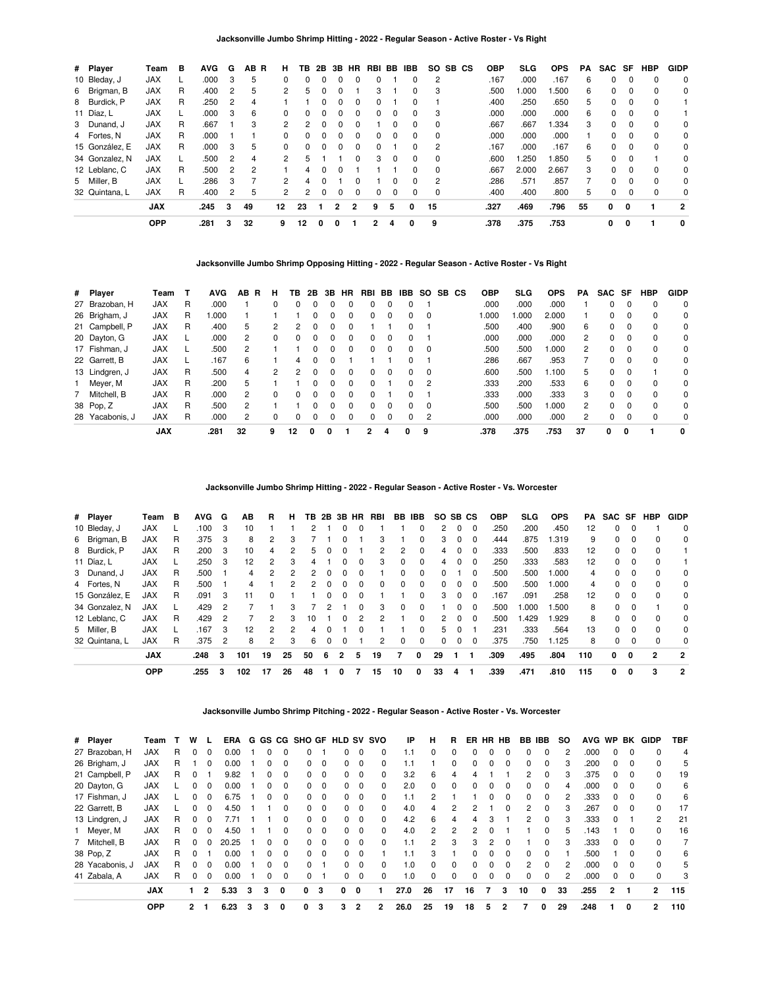| # Player       | Team       | в | <b>AVG</b> | G              | AB R          | н              | ΤВ | 2B | 3B | <b>HR</b> | RBI            | BB       | <b>IBB</b> | SO.      | SB CS | <b>OBP</b> | <b>SLG</b> | <b>OPS</b> | PA | SAC SF   |          | <b>HBP</b> | <b>GIDP</b> |
|----------------|------------|---|------------|----------------|---------------|----------------|----|----|----|-----------|----------------|----------|------------|----------|-------|------------|------------|------------|----|----------|----------|------------|-------------|
| 10 Bleday, J   | JAX        |   | .000       | 3              | 5             | $\Omega$       | 0  |    |    | 0         | 0              |          | 0          | 2        |       | .167       | .000       | .167       | 6  | 0        | $\Omega$ | 0          | $\Omega$    |
| 6 Brigman, B   | <b>JAX</b> | R | .400       | 2              | 5             | $\overline{2}$ | 5  |    |    |           | 3              |          | 0          | 3        |       | .500       | 1.000      | .500       | 6  | 0        | $\Omega$ | $\Omega$   | 0           |
| 8 Burdick, P   | <b>JAX</b> | R | .250       | 2              | 4             |                |    | 0  | 0  | 0         | 0              |          | 0          |          |       | .400       | .250       | .650       | 5  | 0        | 0        | 0          |             |
| 11 Díaz, L     | <b>JAX</b> |   | .000       | 3              | 6             | $\Omega$       | U  |    |    | 0         | 0              | 0        | 0          | 3        |       | .000       | .000       | .000       | 6  | 0        | $\Omega$ | $\Omega$   |             |
| 3 Dunand, J    | <b>JAX</b> | R | .667       |                | 3             | $\mathcal{P}$  | 2  | U  | 0  | 0         |                | 0        | 0          | 0        |       | .667       | .667       | 1.334      | 3  | 0        | $\Omega$ | $\Omega$   | $\Omega$    |
| 4 Fortes, N    | <b>JAX</b> | R | .000       |                |               | 0              |    |    |    | 0         | 0              | 0        | 0          | 0        |       | .000       | .000       | .000       |    | 0        | 0        | 0          | 0           |
| 15 González. E | <b>JAX</b> | R | .000       | 3              | 5             | $\Omega$       | 0  | U  | 0  | $\Omega$  | 0              |          | $\Omega$   | 2        |       | .167       | .000       | .167       | 6  | 0        | $\Omega$ | $\Omega$   | $\Omega$    |
| 34 Gonzalez, N | <b>JAX</b> |   | .500       | 2              | 4             | 2              | 5  |    |    | 0         | 3              | $\Omega$ | 0          | 0        |       | .600       | 1.250      | 1.850      | 5  | 0        | $\Omega$ |            | $\Omega$    |
| 12 Leblanc, C  | <b>JAX</b> | R | .500       | $\overline{2}$ | $\mathcal{P}$ |                | 4  |    | O  |           |                |          | $\Omega$   | $\Omega$ |       | .667       | 2.000      | 2.667      | 3  | $\Omega$ | $\Omega$ | $\Omega$   | $\Omega$    |
| 5 Miller, B    | <b>JAX</b> |   | .286       | 3              |               | 2              | 4  |    |    | 0         |                | 0        | 0          | 2        |       | .286       | .571       | .857       |    | 0        | $\Omega$ | 0          | 0           |
| 32 Quintana, L | <b>JAX</b> | R | .400       | 2              | 5             | 2              | 2  | 0  | 0  | 0         | 0              | 0        | 0          | 0        |       | .400       | .400       | .800       | 5  | 0        | 0        | 0          | 0           |
|                | <b>JAX</b> |   | .245       | 3              | 49            | 12             | 23 |    | 2  | 2         | 9              | 5        | 0          | 15       |       | .327       | .469       | .796       | 55 | 0        | 0        |            | 2           |
|                | <b>OPP</b> |   | .281       | 3              | 32            | 9              | 12 | 0  | 0  |           | $\overline{2}$ | 4        | 0          | 9        |       | .378       | .375       | .753       |    | 0        | 0        |            | 0           |

**Jacksonville Jumbo Shrimp Opposing Hitting - 2022 - Regular Season - Active Roster - Vs Right**

| # Player        | Team       |   | <b>AVG</b> | AB.<br>R | н        | ΤВ       | 2B       | 3B       | HR           | RBI      | BB.      | IBB.         |          | SO SB CS | <b>OBP</b> | SLG  | <b>OPS</b> | PA             | <b>SAC SF</b> |          | <b>HBP</b> | <b>GIDP</b> |
|-----------------|------------|---|------------|----------|----------|----------|----------|----------|--------------|----------|----------|--------------|----------|----------|------------|------|------------|----------------|---------------|----------|------------|-------------|
| 27 Brazoban, H  | <b>JAX</b> | R | .000       |          | 0        | 0        | 0        |          |              | 0        |          |              |          |          | .000       | .000 | .000       |                | 0             | 0        | 0          | 0           |
| 26 Brigham, J   | <b>JAX</b> | R | 1.000      |          |          |          |          |          |              |          |          |              | $\Omega$ |          | 000.       | .000 | 2.000      |                | 0             | $\Omega$ | 0          | 0           |
| 21 Campbell, P  | <b>JAX</b> | R | .400       | 5.       | 2        | 2        | 0        | $\Omega$ | $\Omega$     |          |          |              |          |          | .500       | .400 | .900       | 6              | 0             | $\Omega$ | 0          | 0           |
| 20 Dayton, G    | <b>JAX</b> |   | .000       | 2        | $\Omega$ | $\Omega$ | 0        | 0        | <sup>0</sup> | $\Omega$ | $\Omega$ |              |          |          | .000       | .000 | .000       | 2              | $\Omega$      | 0        | $\Omega$   | 0           |
| 17 Fishman, J   | <b>JAX</b> |   | .500       |          |          |          | 0        |          | 0            | 0        |          |              | $\Omega$ |          | .500       | .500 | .000       | 2              | 0             | 0        | 0          | 0           |
| 22 Garrett, B   | <b>JAX</b> |   | .167       | 6        |          | 4        |          |          |              |          |          |              |          |          | .286       | .667 | .953       |                | 0             |          | 0          | 0           |
| 13 Lindgren, J  | <b>JAX</b> | R | .500       | 4        | 2        | 2        | 0        |          | <sup>0</sup> | 0        |          |              | $\Omega$ |          | .600       | .500 | 1.100      | 5              | $\Omega$      | $\Omega$ |            | 0           |
| 1 Meyer, M      | <b>JAX</b> | R | .200       | 5        |          |          | $\Omega$ | $\Omega$ | <sup>0</sup> | $\Omega$ |          | <sup>n</sup> | 2        |          | .333       | .200 | .533       | 6              | $\Omega$      | $\Omega$ | $\Omega$   | 0           |
| 7 Mitchell, B   | <b>JAX</b> | R | .000       | 2        | 0        | $\Omega$ | $\Omega$ | $\Omega$ | <sup>0</sup> | $\Omega$ |          |              |          |          | .333       | .000 | .333       | 3              | 0             | $\Omega$ | $\Omega$   | 0           |
| 38 Pop, Z       | <b>JAX</b> | R | .500       | 2        |          |          | 0        |          | 0            | $\Omega$ |          |              | $\Omega$ |          | .500       | .500 | .000       | $\overline{2}$ | 0             | $\Omega$ | 0          | 0           |
| 28 Yacabonis, J | <b>JAX</b> | R | .000       | 2        | 0        | 0        |          |          |              | 0        |          |              | 2        |          | .000       | .000 | .000       | $\overline{2}$ | 0             | $\Omega$ | $\Omega$   | $\mathbf 0$ |
|                 | <b>JAX</b> |   | .281       | 32       | 9        | 12       | 0        | o        |              |          | 4        | 0            | 9        |          | .378       | .375 | .753       | 37             | 0             | 0        |            | 0           |

**Jacksonville Jumbo Shrimp Hitting - 2022 - Regular Season - Active Roster - Vs. Worcester**

| # Player       | Team       | в | <b>AVG</b> | G | ΑВ  | R              | н              | TB.           |          |              |              | 2B 3B HR RBI |    | BB IBB       | SO. | SB CS    |          | <b>OBP</b> | <b>SLG</b> | <b>OPS</b> | PA  |          |          | SAC SF HBP   | <b>GIDP</b>    |
|----------------|------------|---|------------|---|-----|----------------|----------------|---------------|----------|--------------|--------------|--------------|----|--------------|-----|----------|----------|------------|------------|------------|-----|----------|----------|--------------|----------------|
| 10 Bleday, J   | <b>JAX</b> |   | .100       | 3 | 10  |                |                |               |          |              |              |              |    |              | 2   | $\Omega$ | $\Omega$ | .250       | .200       | .450       | 12  | 0        | $\Omega$ |              | $\Omega$       |
| 6 Brigman, B   | JAX        | R | .375       | 3 | 8   | 2              | 3              |               |          |              |              | 3            |    | 0            | 3   | $\Omega$ | $\Omega$ | .444       | .875       | .319       | 9   | 0        | $\Omega$ |              | $\Omega$       |
| 8 Burdick, P   | <b>JAX</b> | R | .200       | 3 | 10  | 4              | 2              | 5             |          |              |              | 2            | 2  | 0            | 4   | $\Omega$ | $\Omega$ | .333       | .500       | .833       | 12  | $\Omega$ | $\Omega$ |              |                |
| 11 Díaz, L     | <b>JAX</b> |   | .250       | 3 | 12  | $\overline{2}$ | 3              | 4             |          | 0            | $\Omega$     | 3            | 0  | $\Omega$     | 4   | $\Omega$ | $\Omega$ | .250       | .333       | .583       | 12  | $\Omega$ | $\Omega$ | $\Omega$     |                |
| 3 Dunand, J    | <b>JAX</b> | R | .500       |   | 4   | $\mathcal{P}$  | $\mathcal{P}$  | $\mathcal{P}$ | $\Omega$ | 0            | <sup>0</sup> |              | 0  | 0            | 0   |          | $\Omega$ | .500       | .500       | 000.       | 4   | 0        | $\Omega$ | <sup>0</sup> | $\Omega$       |
| 4 Fortes, N    | <b>JAX</b> | R | .500       |   | 4   |                | 2              | $\mathcal{P}$ | $\Omega$ | 0            | $\Omega$     | 0            | 0  | $\Omega$     | 0   |          | $\Omega$ | .500       | .500       | .000       | 4   | 0        | $\Omega$ |              | 0              |
| 15 González, E | <b>JAX</b> | R | .091       | 3 | 11  | <sup>0</sup>   |                |               |          | U            | $\Omega$     |              |    | $\Omega$     | 3   | $\Omega$ | - 0      | .167       | .091       | .258       | 12  | $\Omega$ | $\Omega$ | <sup>0</sup> | $\Omega$       |
| 34 Gonzalez, N | <b>JAX</b> |   | .429       | 2 |     |                | 3              |               |          |              |              | 3            | 0  | <sup>0</sup> |     |          | - 0      | .500       | 1.000      | .500       | 8   | $\Omega$ | $\Omega$ |              | $\Omega$       |
| 12 Leblanc, C  | <b>JAX</b> | R | .429       | 2 |     | $\mathcal{P}$  | 3              | 10            |          | 0            |              | 2            |    | $\Omega$     | 2.  | $\Omega$ | - 0      | .500       | .429       | 1.929      | 8   | $\Omega$ | $\Omega$ | <sup>0</sup> | $\Omega$       |
| 5 Miller, B    | <b>JAX</b> |   | .167       | 3 | 12  | 2              | $\mathfrak{p}$ | 4             |          |              |              |              |    | $\Omega$     | 5.  | $\Omega$ |          | .231       | .333       | .564       | 13  | $\Omega$ | $\Omega$ |              | 0              |
| 32 Quintana, L | <b>JAX</b> | R | .375       | 2 | 8   | 2              | 3              | 6             | O        | <sup>0</sup> |              | 2            | 0  | $\Omega$     | 0   | $\Omega$ | $\Omega$ | .375       | .750       | 1.125      | 8   | $\Omega$ | $\Omega$ | $\Omega$     | $\Omega$       |
|                | <b>JAX</b> |   | .248       | 3 | 101 | 19             | 25             | 50            | 6        | 2            | 5            | 19           | 7  | 0            | 29  |          |          | .309       | .495       | .804       | 110 | 0        | 0        | $\mathbf{2}$ | $\overline{2}$ |
|                | <b>OPP</b> |   | .255       | 3 | 102 | 17             | 26             | 48            |          | 0            |              | 15           | 10 | 0            | 33  | 4        |          | .339       | .471       | .810       | 115 | 0        | 0        | 3            | 2              |

**Jacksonville Jumbo Shrimp Pitching - 2022 - Regular Season - Active Roster - Vs. Worcester**

| # Player        | Team       |   | w            |              | ERA   |   |   |              | G GS CG SHO GF HLD SV SVO |          |              |          |          | ΙP   | н              | R              | ER.          | HR HB    |          | BB IBB   |              | <b>SO</b> | <b>AVG</b> | <b>WP</b> | BK           | <b>GIDP</b>    | <b>TBF</b> |
|-----------------|------------|---|--------------|--------------|-------|---|---|--------------|---------------------------|----------|--------------|----------|----------|------|----------------|----------------|--------------|----------|----------|----------|--------------|-----------|------------|-----------|--------------|----------------|------------|
| 27 Brazoban, H  | <b>JAX</b> | R |              | 0            | 0.00  |   |   | 0            |                           |          | 0            | $\Omega$ | 0        |      | 0              | 0              |              |          |          | 0        |              | 2         | .000       | 0         | $\Omega$     | 0              | 4          |
| 26 Brigham, J   | <b>JAX</b> | R |              | $\Omega$     | 0.00  |   |   | $\Omega$     | $\Omega$                  | $\Omega$ | 0            | $\Omega$ | $\Omega$ | 1.1  |                | $\Omega$       | 0            | 0        | $\Omega$ | 0        | 0            | 3         | .200       | 0         | $\Omega$     | 0              | 5          |
| 21 Campbell, P  | <b>JAX</b> | R |              |              | 9.82  |   |   | $\Omega$     | 0                         | $\Omega$ | 0            | $\Omega$ | 0        | 3.2  | 6              | 4              |              |          |          | 2        |              | 3         | .375       | 0         | 0            | 0              | 19         |
| 20 Dayton, G    | <b>JAX</b> |   |              | $\Omega$     | 0.00  |   | 0 | $\Omega$     | 0                         | $\Omega$ | 0            | $\Omega$ | $\Omega$ | 2.0  | 0              | $\Omega$       | 0            | 0        | $\Omega$ | 0        | 0            | 4         | .000       | 0         | $\Omega$     | 0              | 6          |
| 17 Fishman, J   | <b>JAX</b> |   | <sup>0</sup> | $\Omega$     | 6.75  |   | 0 | $\Omega$     | 0                         | $\Omega$ | 0            | $\Omega$ | $\Omega$ | 1.1  | 2              |                |              | $\Omega$ | $\Omega$ | 0        | $\Omega$     | 2         | .333       | $\Omega$  | $\Omega$     | <sup>0</sup>   | 6          |
| 22 Garrett, B   | <b>JAX</b> |   |              | 0            | 4.50  |   |   |              | <sup>0</sup>              | $\Omega$ | 0            | $\Omega$ | 0        | 4.0  | 4              | $\overline{2}$ |              |          |          | 2        | 0            | 3         | .267       | 0         | $\Omega$     | 0              | 17         |
| 13 Lindgren, J  | <b>JAX</b> | R | 0            | $\Omega$     | 7.71  |   |   | <sup>0</sup> | 0                         | $\Omega$ | 0            | $\Omega$ | $\Omega$ | 4.2  | 6              | 4              | 4            | 3        |          | 2        | $\Omega$     | 3         | .333       | $\Omega$  |              | 2              | 21         |
| 1 Meyer, M      | <b>JAX</b> | R | 0            | $\Omega$     | 4.50  |   |   | $\Omega$     | $\Omega$                  | $\Omega$ | $\Omega$     | $\Omega$ | $\Omega$ | 4.0  | $\overline{2}$ | $\overline{2}$ | 2            | $\Omega$ |          |          | 0            | 5         | .143       |           | $\Omega$     | 0              | 16         |
| 7 Mitchell, B   | <b>JAX</b> | R | 0            |              | 20.25 |   | 0 | $\Omega$     | 0                         | $\Omega$ | 0            | $\Omega$ | 0        | 1.1  | 2              | 3              | 3            | 2        | 0        |          | 0            | 3         | .333       | 0         | $\Omega$     | 0              |            |
| 38 Pop, Z       | <b>JAX</b> | R | <sup>0</sup> |              | 0.00  |   |   | $\Omega$     | $\Omega$                  | $\Omega$ | 0            | $\Omega$ |          | 1.1  | 3              |                | $\Omega$     | $\Omega$ | $\Omega$ | $\Omega$ | $\Omega$     |           | .500       |           | $\Omega$     | <sup>0</sup>   | 6          |
| 28 Yacabonis, J | <b>JAX</b> | R |              | $\Omega$     | 0.00  |   |   | $\Omega$     | <sup>0</sup>              |          | $\Omega$     | $\Omega$ | 0        | 1.0  | 0              | $\Omega$       | <sup>n</sup> |          | $\Omega$ | 2        | <sup>0</sup> | 2         | .000       | 0         | 0            | U              | 5          |
| 41 Zabala, A    | <b>JAX</b> | R | 0            | 0            | 0.00  |   | 0 | $\Omega$     | 0                         |          | $\Omega$     | $\Omega$ | 0        | 1.0  | 0              | 0              | 0            | $\Omega$ | $\Omega$ | 0        | 0            | 2         | .000       | 0         | $\mathbf{0}$ | 0              | 3          |
|                 | <b>JAX</b> |   | 1            | $\mathbf{2}$ | 5.33  | 3 | 3 | 0            | 0                         | 3        | $\mathbf{0}$ | 0        |          | 27.0 | 26             | 17             | 16           |          | 3        | 10       | 0            | 33        | .255       | 2         |              | $\mathbf{c}$   | 115        |
|                 | <b>OPP</b> |   | 2            |              | 6.23  |   |   |              | 0                         | 3        | 3            | 2        | 2        | 26.0 | 25             | 19             | 18           |          |          |          | 0            | 29        | .248       |           | 0            | $\overline{2}$ | 110        |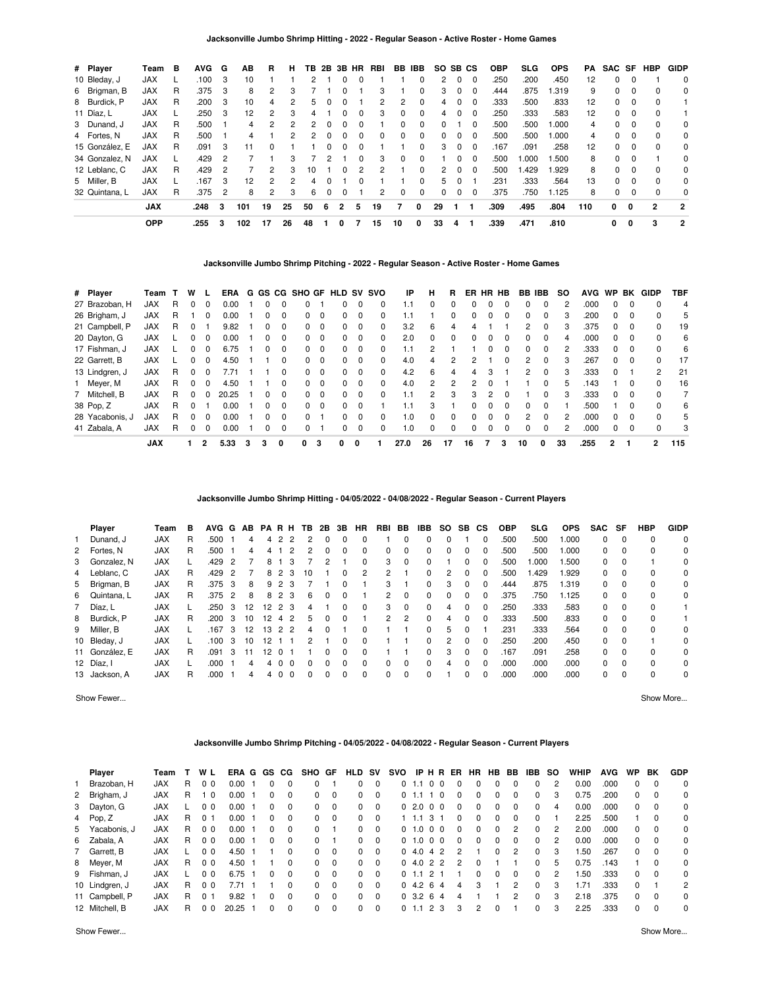|  |  | Jacksonville Jumbo Shrimp Hitting - 2022 - Regular Season - Active Roster - Home Games |  |  |
|--|--|----------------------------------------------------------------------------------------|--|--|
|--|--|----------------------------------------------------------------------------------------|--|--|

| # Player       | Team       | в | <b>AVG</b> | G             | AВ  | R  | н  | ΤВ | 2B | 3B           | HR | RBI | BB | <b>IBB</b> |               | SO SB CS |             | <b>OBP</b> | <b>SLG</b> | <b>OPS</b> | PA  | SAC SF HBP |          |              | <b>GIDP</b> |
|----------------|------------|---|------------|---------------|-----|----|----|----|----|--------------|----|-----|----|------------|---------------|----------|-------------|------------|------------|------------|-----|------------|----------|--------------|-------------|
| 10 Bleday, J   | <b>JAX</b> |   | .100       | 3             | 10  |    |    |    |    |              |    |     |    | 0          | 2             | $\Omega$ | 0           | .250       | .200       | .450       | 12  | 0          | 0        |              | 0           |
| 6 Brigman, B   | <b>JAX</b> | R | .375       | 3             | 8   | 2  | 3  |    |    |              |    | 3   |    |            | 3             | 0        | -0          | .444       | .875       | 1.319      | 9   | 0          | 0        |              | 0           |
| 8 Burdick, P   | <b>JAX</b> | R | .200       | 3             | 10  | 4  | 2  | 5  | 0  |              |    | 2   | 2  | $\Omega$   | 4             | $\Omega$ | $\Omega$    | .333       | .500       | .833       | 12  | 0          | 0        | $\Omega$     |             |
| 11 Díaz, L     | <b>JAX</b> |   | .250       | 3             | 12  | 2  | 3  | 4  |    |              | 0  | 3   | 0  | $\Omega$   | 4             | $\Omega$ | 0           | .250       | .333       | .583       | 12  | 0          | 0        |              |             |
| 3 Dunand, J    | <b>JAX</b> | R | .500       |               | 4   | 2  | 2  | 2  | 0  | 0            |    |     | 0  | $\Omega$   | 0             |          | 0           | .500       | .500       | 1.000      | 4   | 0          | 0        | $\Omega$     | 0           |
| 4 Fortes, N    | <b>JAX</b> | R | .500       |               | 4   |    |    | 2  | 0  |              |    | 0   | 0  | 0          |               | 0        | - 0         | .500       | .500       | 1.000      | 4   | 0          | 0        |              | 0           |
| 15 González, E | <b>JAX</b> | R | .091       | 3             | 11  | 0  |    |    |    |              |    |     |    | $\Omega$   | 3             | $\Omega$ | - 0         | .167       | .091       | .258       | 12  | 0          | 0        | $\Omega$     | 0           |
| 34 Gonzalez, N | <b>JAX</b> |   | .429       | 2             |     |    | з  |    |    |              |    | 3   | 0  | 0          |               | 0        | 0           | .500       | 1.000      | 1.500      | 8   | 0          | 0        |              | 0           |
| 12 Leblanc, C  | <b>JAX</b> | R | .429       | $\mathcal{P}$ |     | 2  | з  | 10 |    | <sup>n</sup> | 2  | 2   |    | $\Omega$   | $\mathcal{P}$ | $\Omega$ | $\Omega$    | .500       | .429       | 1.929      | 8   | 0          | $\Omega$ | $\Omega$     | $\Omega$    |
| 5 Miller, B    | <b>JAX</b> |   | .167       | 3             | 12  | 2  | 2  | 4  |    |              |    |     |    | $\Omega$   | 5.            | $\Omega$ |             | .231       | .333       | .564       | 13  | $\Omega$   | $\Omega$ | <sup>0</sup> | $\Omega$    |
| 32 Quintana, L | <b>JAX</b> | R | .375       | 2             | 8   | 2  | 3  | 6  | 0  | 0            |    | 2   | 0  | $\Omega$   | <sup>0</sup>  | $\Omega$ | $\mathbf 0$ | .375       | .750       | 1.125      | 8   | 0          | $\Omega$ | $\Omega$     | 0           |
|                | <b>JAX</b> |   | .248       | 3             | 101 | 19 | 25 | 50 | 6  | 2            | 5  | 19  | 7  | 0          | 29            |          |             | .309       | .495       | .804       | 110 | 0          | 0        | $\mathbf{2}$ | 2           |
|                | <b>OPP</b> |   | .255       | 3             | 102 | 17 | 26 | 48 |    | 0            |    | 15  | 10 | 0          | 33            | 4        |             | .339       | .471       | .810       |     | 0          | 0        | 3            | 2           |

#### **Jacksonville Jumbo Shrimp Pitching - 2022 - Regular Season - Active Roster - Home Games**

| # Player        | Team       |   | w |          | ERA   |   |   |          |              |          | G GS CG SHO GF HLD SV SVO |          |          | IP   | н        | R        | ER. | HR | HB       | BB.           | IBB.         | so | <b>AVG</b> | <b>WP</b>    | BK       | <b>GIDP</b>    | TBF            |
|-----------------|------------|---|---|----------|-------|---|---|----------|--------------|----------|---------------------------|----------|----------|------|----------|----------|-----|----|----------|---------------|--------------|----|------------|--------------|----------|----------------|----------------|
| 27 Brazoban, H  | <b>JAX</b> | R |   | $\Omega$ | 0.00  |   |   |          |              |          |                           | $\Omega$ | 0        | 1.1  | $\Omega$ | 0        | U   | 0  | 0        | n             | $\Omega$     |    | .000       | $\Omega$     | $\Omega$ |                | $\overline{4}$ |
| 26 Brigham, J   | <b>JAX</b> | R |   | $\Omega$ | 0.00  |   |   | $\Omega$ | $\Omega$     | $\Omega$ | 0                         | $\Omega$ | 0        | 1.1  |          | 0        | 0   | 0  | $\Omega$ | 0             | $\Omega$     | 3  | .200       | 0            |          | 0              | 5              |
| 21 Campbell, P  | <b>JAX</b> | R |   |          | 9.82  |   |   | 0        | 0            | $\Omega$ | <sup>n</sup>              | 0        | 0        | 3.2  | 6        | 4        | Δ   |    |          | 2             | $\Omega$     | 3  | .375       | <sup>0</sup> |          | $\Omega$       | 19             |
| 20 Dayton, G    | <b>JAX</b> |   |   | 0        | 0.00  |   | 0 | 0        | $\Omega$     | $\Omega$ | 0                         | $\Omega$ | $\Omega$ | 2.0  | $\Omega$ | 0        | 0   | 0  | 0        | 0             | $\Omega$     | 4  | .000       | 0            |          | 0              | 6              |
| 17 Fishman, J   | JAX        |   |   |          | 6.75  |   |   |          | O.           | $\Omega$ |                           | $\Omega$ |          | 1.1  | 2        |          |     |    |          | 0             | $\Omega$     |    | .333       | 0            |          | 0              | 6              |
| 22 Garrett, B   | JAX        |   |   | $\Omega$ | 4.50  |   |   | 0        | 0            | $\Omega$ |                           | 0        | 0        | 4.0  | 4        | 2        |     |    | 0        | $\mathcal{P}$ | $\Omega$     | 3  | .267       | $\Omega$     | $\Omega$ | $\Omega$       | 17             |
| 13 Lindgren, J  | <b>JAX</b> | R |   |          |       |   |   |          | 0            | $\Omega$ |                           | 0        | 0        | 4.2  | 6        | 4        |     | 3  |          |               | 0            |    | .333       | $\Omega$     |          | $\overline{2}$ | 21             |
| 1 Meyer, M      | <b>JAX</b> | R | ი | $\Omega$ | 4.50  |   |   | 0        | <sup>o</sup> | $\Omega$ |                           | $\Omega$ | $\Omega$ | 4.0  | 2        | 2        | 2   | ŋ  |          |               | $\Omega$     | 5  | .143       |              | $\Omega$ | 0              | 16             |
| Mitchell, B     | JAX        | R | ი | $\Omega$ | 20.25 |   | 0 | 0        | <sup>o</sup> | $\Omega$ |                           | $\Omega$ | 0        | 1.1  | 2        | 3        | 3   | 2  | 0        |               | 0            | 3  | .333       | 0            |          |                |                |
| 38 Pop, Z       | <b>JAX</b> | R |   |          | 0.00  |   | ŋ | $\Omega$ | 0            | $\Omega$ |                           | $\Omega$ |          | 1.1  | 3        |          | O   | U  | $\Omega$ | 0             | <sup>0</sup> |    | .500       |              |          | $\Omega$       | 6              |
| 28 Yacabonis, J | <b>JAX</b> | R |   | $\Omega$ | 0.00  |   | 0 | $\Omega$ | <sup>o</sup> |          | <sup>n</sup>              | $\Omega$ | $\Omega$ | 1.0  | $\Omega$ | $\Omega$ | 0   | 0  | $\Omega$ | 2             | $\Omega$     | 2  | .000       | 0            | $\Omega$ | $\Omega$       | 5              |
| 41 Zabala, A    | <b>JAX</b> | R |   | $\Omega$ | 0.00  |   |   |          | 0            |          |                           | $\Omega$ | 0        | 1.0  | 0        | 0        | U   | ŋ  | 0        | 0             | 0            |    | .000       | 0            |          |                | 3              |
|                 | <b>JAX</b> |   |   |          | 5.33  | з | 3 | 0        | 0            | 3        | 0                         | 0        |          | 27.0 | 26       | 17       | 16  |    | 3        | 10            | 0            | 33 | .255       | 2            |          | $\mathbf{2}$   | 115            |

**Jacksonville Jumbo Shrimp Hitting - 04/05/2022 - 04/08/2022 - Regular Season - Current Players**

| Player         | Team       | в | <b>AVG</b> | G | AB | PA              | R H            |                | TB.           | 2B       | 3B       | HR       | RBI      | BB       | IBB      | SO. | <b>SB</b> | <b>CS</b> | <b>OBP</b> | SLG   | <b>OPS</b> | <b>SAC</b> | SF       | HBP         | <b>GIDP</b> |
|----------------|------------|---|------------|---|----|-----------------|----------------|----------------|---------------|----------|----------|----------|----------|----------|----------|-----|-----------|-----------|------------|-------|------------|------------|----------|-------------|-------------|
| Dunand, J      | <b>JAX</b> | R | .500       |   | 4  | 4               | 2              | 2              |               |          | 0        |          |          |          |          | 0   |           |           | .500       | .500  | .000       | 0          | $\Omega$ | 0           | $\Omega$    |
| 2 Fortes, N    | <b>JAX</b> | R | .500       |   | 4  |                 |                | 2              | 2             |          | 0        | 0        | 0        | 0        | 0        | 0   | 0         |           | .500       | .500  | 000.       | 0          | $\Omega$ | 0           | 0           |
| 3 Gonzalez, N  | <b>JAX</b> |   | .429       | 2 |    | 8               |                | 3              |               |          |          |          | 3        | $\Omega$ | 0        |     | 0         | $\Omega$  | .500       | 1.000 | .500       | 0          | $\Omega$ |             | 0           |
| 4 Leblanc, C   | <b>JAX</b> | R | .429       | 2 |    |                 | 8 2            | - 3            | 10            |          | 0        | 2        | 2        |          | 0        | 2   | $\Omega$  | $\Omega$  | .500       | 1.429 | 1.929      | 0          | $\Omega$ | 0           | 0           |
| 5 Brigman, B   | <b>JAX</b> | R | .375       | 3 | 8  |                 | 9 <sub>2</sub> | 3              |               |          | 0        |          | 3        |          | $\Omega$ | 3   | 0         | $\Omega$  | .444       | .875  | 1.319      | $\Omega$   | $\Omega$ | $\Omega$    | 0           |
| 6 Quintana, L  | <b>JAX</b> | R | .375       | 2 | 8  |                 | 8 2 3          |                | 6             | 0        | 0        |          | 2        | $\Omega$ | 0        | 0   | 0         | 0         | .375       | .750  | 1.125      | $\Omega$   | $\Omega$ | 0           | $\Omega$    |
| 7 Díaz, L      | <b>JAX</b> |   | .250       | 3 | 12 | 12              | 2 3            |                | 4             |          | 0        | 0        | 3        | $\Omega$ | 0        | 4   | 0         | $\Omega$  | .250       | .333  | .583       | 0          | $\Omega$ | 0           |             |
| 8 Burdick, P   | <b>JAX</b> | R | .200       | 3 | 10 | 12              | $\overline{4}$ | $\overline{2}$ | 5             |          | $\Omega$ |          | 2        | 2        | 0        | 4   | $\Omega$  | $\Omega$  | .333       | .500  | .833       | 0          | $\Omega$ | $\Omega$    |             |
| 9 Miller, B    | <b>JAX</b> |   | 167        | 3 | 12 | 13              | 2 2            |                | 4             | $\Omega$ |          |          |          |          | 0        | 5   | $\Omega$  |           | .231       | .333  | .564       | $\Omega$   | $\Omega$ | $\Omega$    | $\Omega$    |
| 10 Bleday, J   | <b>JAX</b> |   | .100       | 3 | 10 | 12 <sup>2</sup> |                |                | $\mathcal{P}$ |          | 0        |          |          |          | 0        | 2   | 0         | 0         | .250       | .200  | .450       | 0          | $\Omega$ |             | $\Omega$    |
| 11 González. E | <b>JAX</b> | R | .091       | 3 |    | 12.             |                |                |               |          | 0        |          |          |          | $\Omega$ | 3   | 0         | 0         | .167       | .091  | .258       | $\Omega$   | $\Omega$ | $\mathbf 0$ | 0           |
| 12 Díaz, I     | <b>JAX</b> |   | .000       |   | 4  | 4               | $\Omega$       | $\Omega$       | $\Omega$      | $\Omega$ | $\Omega$ | $\Omega$ | $\Omega$ | $\Omega$ | 0        | 4   | $\Omega$  | $\Omega$  | .000       | .000  | .000       | $\Omega$   | $\Omega$ | 0           | $\Omega$    |
| 13 Jackson, A  | <b>JAX</b> | R | .000       |   | 4  |                 | $\Omega$       | $^{\circ}$     | $\Omega$      |          | 0        |          | 0        |          | 0        |     |           |           | .000       | .000  | .000       | 0          | $\Omega$ | $\Omega$    | 0           |

Show Fewer... Show More...

### **Jacksonville Jumbo Shrimp Pitching - 04/05/2022 - 04/08/2022 - Regular Season - Current Players**

|              | Player         | Team       |    | WL             | ERA G GS CG |   |          | SHO GF       |          | HLD      | s٧       | svo | <b>IPHR</b>  |                | ER       | HR           | HB. | BB             | IBB      | <b>SO</b> | <b>WHIP</b> | <b>AVG</b> | <b>WP</b> | BK       | <b>GDP</b> |
|--------------|----------------|------------|----|----------------|-------------|---|----------|--------------|----------|----------|----------|-----|--------------|----------------|----------|--------------|-----|----------------|----------|-----------|-------------|------------|-----------|----------|------------|
| $\mathbf{1}$ | Brazoban. H    | <b>JAX</b> | R. | 0 <sub>0</sub> | 0.00        | 0 | $\Omega$ | 0            |          | 0        | $\Omega$ |     | 0, 1.1       | 0 <sub>0</sub> | $\Omega$ |              | 0   | $\Omega$       | $\Omega$ | 2         | 0.00        | .000       | 0         | $\Omega$ | $\Omega$   |
|              | 2 Brigham, J   | <b>JAX</b> | R. | 10             | 0.00        | 0 | $\Omega$ | 0            | $\Omega$ | $\Omega$ | $\Omega$ |     | $0 \t1.1$    | $\Omega$       | $\Omega$ | <sup>0</sup> | 0   | $\Omega$       | $\Omega$ | 3         | 0.75        | .200       | 0         | $\Omega$ | $\Omega$   |
|              | 3 Dayton, G    | <b>JAX</b> |    | 0 <sub>0</sub> | 0.001       | 0 | $\Omega$ | 0            | $\Omega$ | $\Omega$ | $\Omega$ |     | 02.000       |                | $\Omega$ | 0            | 0   | $\Omega$       | $\Omega$ | 4         | 0.00        | .000       | 0         | $\Omega$ | $\Omega$   |
|              | 4 Pop, Z       | <b>JAX</b> | R. | 0 <sub>1</sub> | 0.00        | 0 | $\Omega$ | 0            | $\Omega$ | $\Omega$ | $\Omega$ |     | $1 \t1.1$    | 3              | 0        | 0            | 0   | 0              | 0        |           | 2.25        | .500       |           | $\Omega$ | $\Omega$   |
|              | 5 Yacabonis, J | <b>JAX</b> | R. | 0 <sub>0</sub> | 0.00        | 0 | $\Omega$ | 0            |          | $\Omega$ | $\Omega$ |     | 0, 1.0       | 0 <sub>0</sub> | $\Omega$ | 0            | 0   | 2              | $\Omega$ | 2         | 2.00        | .000       | 0         | $\Omega$ | $\Omega$   |
|              | 6 Zabala, A    | <b>JAX</b> | R. | 0 <sub>0</sub> | 0.00        | 0 | $\Omega$ | 0            |          | $\Omega$ | $\Omega$ |     | 0, 1.0       | 0 <sub>0</sub> | $\Omega$ | 0            | 0   | 0              | $\Omega$ | 2         | 0.00        | .000       | 0         | $\Omega$ | $\Omega$   |
|              | 7 Garrett, B   | <b>JAX</b> |    | 0 <sub>0</sub> | 4.50 1      |   | $\Omega$ | <sup>0</sup> | $\Omega$ | $\Omega$ | $\Omega$ |     | 04.0         | 4 2            | 2        |              | 0   | 2              | $\Omega$ | 3         | 1.50        | .267       | 0         | $\Omega$ | $\Omega$   |
|              | 8 Meyer, M     | <b>JAX</b> | R. | 0 <sub>0</sub> | 4.50        |   | $\Omega$ | <sup>0</sup> | $\Omega$ | $\Omega$ | $\Omega$ |     | 0, 4.0, 2, 2 |                | 2        |              |     |                | $\Omega$ | 5         | 0.75        | .143       |           | $\Omega$ | $\Omega$   |
|              | 9 Fishman, J   | <b>JAX</b> |    | 0 <sub>0</sub> | 6.75        | 0 | $\Omega$ | <sup>0</sup> | $\Omega$ | $\Omega$ | $\Omega$ |     | 0, 1.1       | 2 <sub>1</sub> |          | <sup>0</sup> | 0   | 0              | $\Omega$ | 2         | 1.50        | .333       | 0         | $\Omega$ | $\Omega$   |
|              | 10 Lindgren, J | <b>JAX</b> | R. | 0 <sub>0</sub> | 7.71        |   | $\Omega$ | <sup>0</sup> | $\Omega$ | $\Omega$ | $\Omega$ |     | 04.264       |                | 4        | з            |     | $\mathfrak{p}$ | $\Omega$ | 3         | 1.71        | .333       | 0         |          | 2          |
|              | 11 Campbell, P | <b>JAX</b> | R. | 0 <sub>1</sub> | 9.82        | 0 | $\Omega$ | <sup>0</sup> | $\Omega$ | $\Omega$ | $\Omega$ |     | 0, 3.2, 6    | -4             | Δ        |              |     | $\mathcal{P}$  | $\Omega$ | 3         | 2.18        | .375       | 0         | $\Omega$ | $\Omega$   |
|              | 12 Mitchell, B | <b>JAX</b> | R. | 0 <sub>0</sub> | 20.25       | 0 | $\Omega$ | 0            | $\Omega$ | $\Omega$ | $\Omega$ |     | $0 \t1.1$    | 2 3            |          | 2            | n   |                | $\Omega$ | 3         | 2.25        | .333       | 0         | $\Omega$ | $\Omega$   |
|              |                |            |    |                |             |   |          |              |          |          |          |     |              |                |          |              |     |                |          |           |             |            |           |          |            |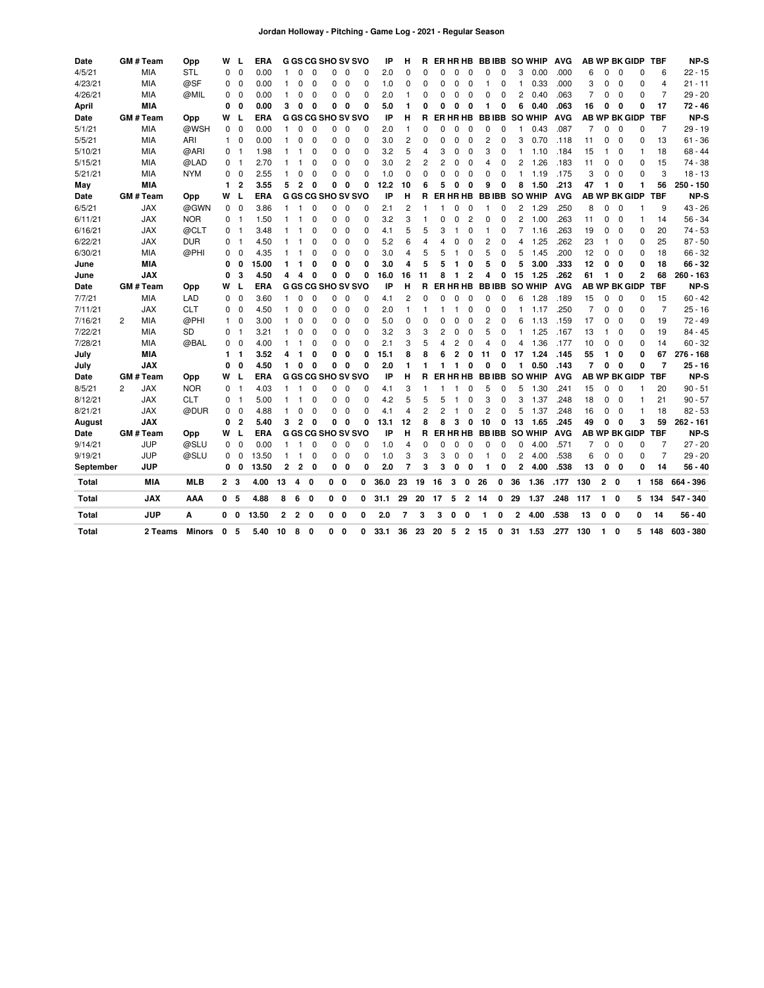| Date         |   | <b>GM#Team</b> | Opp           | W              | L              | ERA        |                |              | G GS CG SHO SV SVO        |            |              |          | IP   | н              | R            |          |                | ER HR HB       | BB IBB       |          |                | <b>SO WHIP</b> | <b>AVG</b> |                |    |             | <b>AB WP BK GIDP</b> | <b>TBF</b>     | NP-S        |
|--------------|---|----------------|---------------|----------------|----------------|------------|----------------|--------------|---------------------------|------------|--------------|----------|------|----------------|--------------|----------|----------------|----------------|--------------|----------|----------------|----------------|------------|----------------|----|-------------|----------------------|----------------|-------------|
| 4/5/21       |   | <b>MIA</b>     | <b>STL</b>    | 0              | $\mathbf 0$    | 0.00       | 1              | $\Omega$     | $\mathbf 0$               | 0          | $\Omega$     | 0        | 2.0  | 0              | 0            | n        | $\Omega$       | $\Omega$       | 0            | 0        | 3              | 0.00           | .000       | 6              | 0  | 0           | 0                    | 6              | $22 - 15$   |
| 4/23/21      |   | MIA            | @SF           | 0              | $\mathbf 0$    | 0.00       | 1              | 0            | $\mathbf 0$               | 0          | $\mathbf 0$  | 0        | 1.0  | 0              | 0            | $\Omega$ | 0              | $\mathbf 0$    |              | 0        |                | 0.33           | .000       | 3              | 0  | $\mathbf 0$ | 0                    | $\overline{4}$ | $21 - 11$   |
| 4/26/21      |   | MIA            | @MIL          | 0              | $\mathbf 0$    | 0.00       | $\mathbf{1}$   | 0            | $\mathbf 0$               | 0          | 0            | $\Omega$ | 2.0  | $\mathbf{1}$   | 0            | $\Omega$ | $\mathbf 0$    | $\Omega$       | $\Omega$     | 0        | 2              | 0.40           | .063       | 7              | 0  | 0           | $\Omega$             | $\overline{7}$ | $29 - 20$   |
| April        |   | <b>MIA</b>     |               | 0              | $\mathbf 0$    | 0.00       | 3              | 0            | 0                         | 0          | 0            | 0        | 5.0  | 1              | 0            | O        | 0              | 0              | 1            | 0        | 6              | 0.40           | .063       | 16             | 0  | 0           | 0                    | 17             | $72 - 46$   |
| Date         |   | GM # Team      | Opp           | W              | L              | <b>ERA</b> |                |              | G GS CG SHO SV SVO        |            |              |          | IP   | н              | R            |          |                | ER HR HB       | <b>BBIBB</b> |          |                | <b>SO WHIP</b> | <b>AVG</b> |                |    |             | <b>AB WP BK GIDP</b> | <b>TBF</b>     | <b>NP-S</b> |
| 5/1/21       |   | MIA            | @WSH          | 0              | $\mathbf 0$    | 0.00       | 1              | $\Omega$     | O                         | 0          | 0            | 0        | 2.0  | $\mathbf{1}$   | 0            | n        | 0              | $\mathbf 0$    | $\Omega$     | 0        |                | 0.43           | .087       | 7              | 0  | 0           | $\Omega$             | 7              | $29 - 19$   |
| 5/5/21       |   | MIA            | ARI           | 1              | 0              | 0.00       | $\mathbf{1}$   | 0            | $\mathbf 0$               | 0          | 0            | 0        | 3.0  | 2              | 0            | 0        | $\mathbf 0$    | $\mathbf 0$    | 2            | 0        | 3              | 0.70           | .118       | 11             | 0  | 0           | 0                    | 13             | $61 - 36$   |
| 5/10/21      |   | MIA            | @ARI          | 0              | $\overline{1}$ | 1.98       | -1             | 1            | 0                         | 0          | 0            | 0        | 3.2  | 5              | 4            | 3        | 0              | $\mathbf 0$    | 3            | 0        |                | 1.10           | .184       | 15             | 1  | 0           | $\mathbf{1}$         | 18             | 68 - 44     |
| 5/15/21      |   | MIA            | @LAD          | 0              | $\overline{1}$ | 2.70       | -1             |              | 0                         | 0          | 0            | 0        | 3.0  | 2              | 2            | 2        | 0              | $\mathbf 0$    | 4            | 0        | 2              | 1.26           | .183       | 11             | 0  | 0           | 0                    | 15             | 74 - 38     |
| 5/21/21      |   | MIA            | <b>NYM</b>    | 0              | $\mathbf 0$    | 2.55       |                | 0            | 0                         | 0          | 0            | 0        | 1.0  | 0              | 0            | 0        | 0              | $\mathbf 0$    | 0            | 0        |                | 1.19           | .175       | 3              | 0  | 0           | 0                    | 3              | $18 - 13$   |
| May          |   | MIA            |               | 1              | $\overline{2}$ | 3.55       | 5              | $\mathbf{2}$ | 0                         | 0          | 0            | 0        | 12.2 | 10             | 6            | 5        | 0              | 0              | 9            | 0        | 8              | 1.50           | .213       | 47             | 1  | 0           | 1                    | 56             | 250 - 150   |
| Date         |   | GM # Team      | Opp           | w              | L              | <b>ERA</b> |                |              | <b>G GS CG SHO SV SVO</b> |            |              |          | IP   | н              | R            | FR.      |                | HR HB          | <b>BBIBB</b> |          |                | <b>SO WHIP</b> | <b>AVG</b> |                |    |             | <b>AB WP BK GIDP</b> | <b>TBF</b>     | NP-S        |
| 6/5/21       |   | <b>JAX</b>     | @GWN          | 0              | $\mathbf 0$    | 3.86       | 1              | 1            | $\mathbf 0$               | 0          | $\mathbf 0$  | 0        | 2.1  | 2              | $\mathbf{1}$ |          | $\Omega$       | $\mathbf 0$    | 1            | 0        | 2              | 1.29           | .250       | 8              | 0  | $\mathbf 0$ |                      | 9              | $43 - 26$   |
| 6/11/21      |   | <b>JAX</b>     | <b>NOR</b>    | 0              | -1             | 1.50       | 1              | 1            | 0                         | 0          | 0            | 0        | 3.2  | 3              | 1            | ŋ        | $\Omega$       | $\overline{c}$ | $\Omega$     | 0        | 2              | 1.00           | .263       | 11             | 0  | 0           | $\overline{1}$       | 14             | $56 - 34$   |
| 6/16/21      |   | <b>JAX</b>     | @CLT          | 0              | $\mathbf{1}$   | 3.48       | 1              |              | 0                         | 0          | 0            | 0        | 4.1  | 5              | 5            | 3        | 1              | 0              | 1            | 0        | 7              | 1.16           | .263       | 19             | 0  | 0           | 0                    | 20             | $74 - 53$   |
| 6/22/21      |   | <b>JAX</b>     | <b>DUR</b>    | $\Omega$       | -1             | 4.50       | $\mathbf{1}$   | 1            | $\mathbf 0$               | 0          | 0            | 0        | 5.2  | 6              | 4            | Δ        | O              | $\Omega$       | 2            | 0        | 4              | 1.25           | .262       | 23             | 1  | 0           | 0                    | 25             | $87 - 50$   |
| 6/30/21      |   | MIA            | @PHI          | 0              | $\mathbf 0$    | 4.35       | $\mathbf{1}$   | 1            | 0                         | 0          | 0            | $\Omega$ | 3.0  | 4              | 5            | 5        |                | 0              | 5            | 0        | 5              | 1.45           | .200       | 12             | 0  | 0           | 0                    | 18             | $66 - 32$   |
| June         |   | MIA            |               | 0              | 0              | 15.00      | 1              | 1            | 0                         | 0          | $\mathbf 0$  | O        | 3.0  | 4              | 5            | 5        | 1              | 0              | 5            | 0        | 5              | 3.00           | .333       | 12             | 0  | 0           | 0                    | 18             | 66 - 32     |
| June         |   | <b>JAX</b>     |               | 0              | 3              | 4.50       | 4              | 4            | 0                         | 0          | 0            | 0        | 16.0 | 16             | 11           |          |                | $\overline{2}$ | 4            | 0        | 15             | 1.25           | .262       | 61             | 1  | 0           | $\overline{2}$       | 68             | 260 - 163   |
| Date         |   | GM # Team      | Opp           | w              | L              | ERA        |                |              | <b>G GS CG SHO SV SVO</b> |            |              |          | IP   | н              | R            | ER       |                | HR HB          | <b>BBIBB</b> |          |                | <b>SO WHIP</b> | <b>AVG</b> |                |    |             | <b>AB WP BK GIDP</b> | <b>TBF</b>     | NP-S        |
| 7/7/21       |   | <b>MIA</b>     | LAD           | 0              | $\mathbf 0$    | 3.60       | $\mathbf{1}$   | 0            | 0                         | 0          | 0            | $\Omega$ | 4.1  | 2              | O            | O        | $\mathbf 0$    | $\mathbf 0$    | 0            | 0        | 6              | 1.28           | .189       | 15             | 0  | 0           | 0                    | 15             | $60 - 42$   |
| 7/11/21      |   | <b>JAX</b>     | <b>CLT</b>    | 0              | $\mathbf 0$    | 4.50       | 1              | 0            | $\mathbf 0$               | 0          | 0            | 0        | 2.0  | $\mathbf{1}$   | 1            | 1        | 1              | 0              | 0            | 0        |                | 1.17           | .250       | $\overline{7}$ | 0  | $\mathbf 0$ | $\Omega$             | $\overline{7}$ | $25 - 16$   |
| 7/16/21      | 2 | MIA            | @PHI          | $\mathbf{1}$   | $\mathbf 0$    | 3.00       | 1              | 0            | 0                         | 0          | 0            | 0        | 5.0  | 0              | O            | ŋ        | 0              | 0              | 2            | 0        | 6              | 1.13           | .159       | 17             | 0  | 0           | 0                    | 19             | 72 - 49     |
| 7/22/21      |   | MIA            | SD            | 0              | $\overline{1}$ | 3.21       | 1              | 0            | $\mathbf 0$               | 0          | 0            | 0        | 3.2  | 3              | 3            | 2        | 0              | 0              | 5            | 0        |                | 1.25           | .167       | 13             | 1  | 0           | 0                    | 19             | $84 - 45$   |
| 7/28/21      |   | MIA            | @BAL          | 0              | 0              | 4.00       | 1              | 1            | 0                         | 0          | 0            | 0        | 2.1  | 3              | 5            | 4        | 2              | 0              | 4            | 0        | 4              | 1.36           | .177       | 10             | 0  | 0           | 0                    | 14             | $60 - 32$   |
| July         |   | MIA            |               | 1              | $\mathbf{1}$   | 3.52       | 4              | 1            | 0                         | 0          | 0            | 0        | 15.1 | 8              | 8            | 6        | $\overline{2}$ | 0              | 11           | 0        | 17             | 1.24           | .145       | 55             | 1  | 0           | 0                    | 67             | 276 - 168   |
| July         |   | <b>JAX</b>     |               | 0              | 0              | 4.50       | 1              | 0            | 0                         | 0          | 0            | O        | 2.0  | 1              |              | 1        | 1              | 0              | 0            | 0        |                | 0.50           | .143       | $\overline{7}$ | 0  | 0           | 0                    | $\overline{7}$ | $25 - 16$   |
| Date         |   | <b>GM#Team</b> | Opp           | w              | L              | ERA        |                |              | G GS CG SHO SV SVO        |            |              |          | IP   | н              | R            | ER.      |                | <b>HR HB</b>   | <b>BBIBB</b> |          |                | <b>SO WHIP</b> | <b>AVG</b> |                |    |             | AB WP BK GIDP        | <b>TBF</b>     | NP-S        |
| 8/5/21       | 2 | <b>JAX</b>     | <b>NOR</b>    | 0              | $\overline{1}$ | 4.03       | $\mathbf{1}$   | 1            | $\Omega$                  | $\Omega$   | $\Omega$     | 0        | 4.1  | 3              | -1           |          |                | $\Omega$       | 5            | 0        | 5              | 1.30           | .241       | 15             | 0  | $\Omega$    | $\mathbf{1}$         | 20             | $90 - 51$   |
| 8/12/21      |   | <b>JAX</b>     | <b>CLT</b>    | 0              | -1             | 5.00       | 1              | 1            | 0                         | 0          | 0            | $\Omega$ | 4.2  | 5              | 5            | 5        | -1             | 0              | 3            | 0        | 3              | 1.37           | .248       | 18             | 0  | 0           | 1                    | 21             | $90 - 57$   |
| 8/21/21      |   | <b>JAX</b>     | @DUR          | 0              | $\mathbf 0$    | 4.88       | 1              | 0            | $\mathbf 0$               | 0          | $\mathbf 0$  | $\Omega$ | 4.1  | 4              | 2            | 2        | $\mathbf{1}$   | 0              | 2            | $\Omega$ | 5              | 1.37           | .248       | 16             | 0  | 0           | $\overline{1}$       | 18             | $82 - 53$   |
| August       |   | <b>JAX</b>     |               | 0              | $\overline{2}$ | 5.40       | 3              | $\mathbf{2}$ | $\mathbf{0}$              | 0          | $\mathbf 0$  | 0        | 13.1 | 12             | 8            | 8        | 3              | $\mathbf{0}$   | 10           | 0        | 13             | 1.65           | .245       | 49             | 0  | 0           | 3                    | 59             | 262 - 161   |
| Date         |   | GM # Team      | Opp           | W              | L              | <b>ERA</b> |                |              | <b>G GS CG SHO SV SVO</b> |            |              |          | IP   | н              | R            |          |                | ER HR HB       | <b>BBIBB</b> |          |                | <b>SO WHIP</b> | <b>AVG</b> |                |    |             | <b>AB WP BK GIDP</b> | <b>TBF</b>     | NP-S        |
| 9/14/21      |   | <b>JUP</b>     | @SLU          | 0              | $\mathbf 0$    | 0.00       | $\mathbf{1}$   | 1            | 0                         | 0          | $\mathbf 0$  | 0        | 1.0  | 4              | 0            | ŋ        | $\mathbf 0$    | 0              | 0            | 0        | 0              | 4.00           | .571       | $\overline{7}$ | 0  | 0           | 0                    | $\overline{7}$ | $27 - 20$   |
| 9/19/21      |   | <b>JUP</b>     | @SLU          | 0              | 0              | 13.50      | $\mathbf{1}$   | 1            | 0                         | 0          | 0            | 0        | 1.0  | 3              | 3            | 3        | $\mathbf 0$    | $\mathbf 0$    | 1            | 0        | 2              | 4.00           | .538       | 6              | 0  | 0           | 0                    | $\overline{7}$ | $29 - 20$   |
| September    |   | <b>JUP</b>     |               | 0              | 0              | 13.50      | $\overline{2}$ | $\mathbf{2}$ | 0                         | 0          | 0            | O        | 2.0  | 7              | 3            | 3        | 0              | 0              | 1            | 0        | $\overline{2}$ | 4.00           | .538       | 13             | 0  | 0           | 0                    | 14             | $56 - 40$   |
| Total        |   | MIA            | <b>MLB</b>    | 2 <sub>3</sub> |                | 4.00       | 13             | 4            | - 0                       | $0\quad 0$ |              | 0        | 36.0 | 23             | 19           | 16       | 3              | 0              | 26           | 0        | 36             | 1.36           | .177       | 130            |    | $2 \quad 0$ | 1.                   | 158            | 664 - 396   |
| Total        |   | <b>JAX</b>     | AAA           | $\mathbf 0$    | 5              | 4.88       | 8              | 6            | $\mathbf{0}$              | $0\quad 0$ |              | 0        | 31.1 | 29             | 20           | 17       | 5              | $\overline{2}$ | 14           | 0        | 29             | 1.37           | .248       | 117            | 1. | 0           | 5                    | 134            | 547 - 340   |
| <b>Total</b> |   | <b>JUP</b>     | A             | 0              | $\mathbf 0$    | 13.50      | $\mathbf{2}$   | $\mathbf{2}$ | $\mathbf{0}$              | $0\quad 0$ |              | 0        | 2.0  | $\overline{7}$ | 3            | 3        | 0              | 0              | 1            | 0        | $\mathbf 2$    | 4.00           | .538       | 13             |    | $0\quad 0$  | 0                    | 14             | 56 - 40     |
| Total        |   | 2 Teams        | <b>Minors</b> | 0              | 5              | 5.40       | 10             | 8            | $\Omega$                  | 0          | $\mathbf{0}$ | 0        | 33.1 | 36             | 23           | 20       | 5              | $\mathbf{2}$   | 15           | 0        | 31             | 1.53           | .277       | 130            | 1  | 0           | 5                    | 148            | 603 - 380   |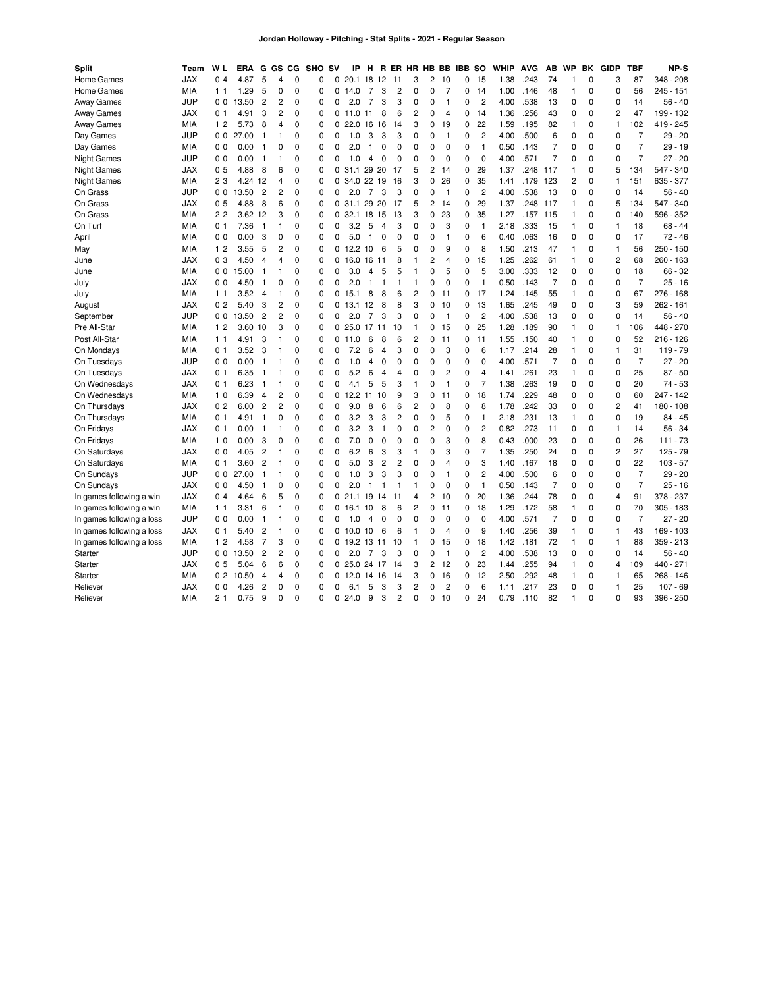| Split                     | Team       | W L                 | <b>ERA</b> | G              | GS             | CG.         | SHO SV      |             | ΙP             | н              | R              | ER HR HB BB    |                |                |                | <b>IBB</b> | so             | WHIP | <b>AVG</b> | AB             | <b>WP</b>      | BK          | <b>GIDP</b>    | <b>TBF</b>     | NP-S          |
|---------------------------|------------|---------------------|------------|----------------|----------------|-------------|-------------|-------------|----------------|----------------|----------------|----------------|----------------|----------------|----------------|------------|----------------|------|------------|----------------|----------------|-------------|----------------|----------------|---------------|
| Home Games                | <b>JAX</b> | 0<br>$\overline{4}$ | 4.87       | 5              | 4              | $\Omega$    | 0           | 0           | 20.1           | 18             | 12             | 11             | 3              | 2              | 10             | 0          | 15             | 1.38 | .243       | 74             | $\mathbf{1}$   | 0           | 3              | 87             | 348 - 208     |
| Home Games                | <b>MIA</b> | 1 <sub>1</sub>      | 1.29       | 5              | 0              | $\mathbf 0$ | 0           | 0           | 14.0           | $\overline{7}$ | 3              | 2              | 0              | 0              | $\overline{7}$ | 0          | 14             | 1.00 | .146       | 48             | $\overline{1}$ | $\mathbf 0$ | 0              | 56             | $245 - 151$   |
| <b>Away Games</b>         | <b>JUP</b> | 0 <sub>0</sub>      | 13.<br>.50 | $\overline{2}$ | $\overline{c}$ | $\mathbf 0$ | 0           | 0           | 2.0            | $\overline{7}$ | 3              | 3              | 0              | 0              | $\mathbf{1}$   | 0          | $\overline{c}$ | 4.00 | .538       | 13             | $\mathbf 0$    | 0           | 0              | 14             | 56 - 40       |
| <b>Away Games</b>         | <b>JAX</b> | 0 <sub>1</sub>      | 4.91       | 3              | $\overline{c}$ | $\mathbf 0$ | 0           | 0           | 11.0           | 11             | 8              | 6              | 2              | 0              | $\overline{4}$ | 0          | 14             | 1.36 | .256       | 43             | 0              | $\mathbf 0$ | 2              | 47             | 199 - 132     |
| <b>Away Games</b>         | <b>MIA</b> | 12                  | 5.73       | 8              | $\overline{4}$ | $\Omega$    | $\mathbf 0$ | 0           | 22.0           | 16             | 16             | 14             | 3              | 0              | 19             | 0          | 22             | 1.59 | .195       | 82             | $\mathbf{1}$   | 0           | $\mathbf{1}$   | 102            | 419 - 245     |
| Day Games                 | <b>JUP</b> | 0 <sub>0</sub>      | 27.00      | 1              | 1              | $\mathbf 0$ | 0           | 0           | 1.0            | 3              | 3              | 3              | 0              | 0              | $\mathbf{1}$   | 0          | $\overline{c}$ | 4.00 | .500       | 6              | 0              | 0           | 0              | $\overline{7}$ | $29 - 20$     |
| Day Games                 | <b>MIA</b> | 0 <sub>0</sub>      | 0.00       | 1              | $\mathbf 0$    | $\Omega$    | $\mathbf 0$ | $\Omega$    | 2.0            | $\mathbf{1}$   | $\mathbf 0$    | 0              | 0              | $\mathbf 0$    | $\mathbf 0$    | 0          | $\overline{1}$ | 0.50 | .143       | $\overline{7}$ | $\mathbf 0$    | 0           | 0              | $\overline{7}$ | $29 - 19$     |
| <b>Night Games</b>        | JUP        | 0 <sub>0</sub>      | 0.00       | 1              | $\mathbf{1}$   | $\Omega$    | $\Omega$    | $\Omega$    | 1.0            | 4              | 0              | 0              | $\Omega$       | $\Omega$       | $\Omega$       | $\Omega$   | $\Omega$       | 4.00 | .571       | $\overline{7}$ | $\mathbf 0$    | $\Omega$    | 0              | $\overline{7}$ | $27 - 20$     |
| <b>Night Games</b>        | JAX        | 0 <sub>5</sub>      | 4.88       | 8              | 6              | $\mathbf 0$ | 0           |             | 0.31.1         | 29 20          |                | 17             | 5              | 2              | 14             | 0          | 29             | 1.37 | .248       | 117            | $\mathbf{1}$   | 0           | 5              | 134            | 547 - 340     |
| <b>Night Games</b>        | <b>MIA</b> | 23                  | 4.24 12    |                | 4              | $\mathbf 0$ | 0           |             | 0 34.0 22 19   |                |                | 16             | 3              | 0              | 26             | 0          | 35             | 1.41 | .179 123   |                | $\overline{2}$ | 0           | $\mathbf{1}$   | 151            | 635 - 377     |
| On Grass                  | <b>JUP</b> | 0 <sub>0</sub>      | 13.50      | $\overline{2}$ | $\overline{c}$ | $\mathbf 0$ | 0           | $\mathbf 0$ | 2.0            | $\overline{7}$ | 3              | 3              | 0              | 0              | $\mathbf{1}$   | 0          | $\overline{c}$ | 4.00 | .538       | -13            | 0              | 0           | 0              | 14             | $56 - 40$     |
| On Grass                  | <b>JAX</b> | 0 <sub>5</sub>      | 4.88       | 8              | 6              | $\mathbf 0$ | 0           |             | 0, 31.1        | 29 20          |                | 17             | 5              | $\overline{2}$ | 14             | 0          | 29             | 1.37 | .248       | 117            | $\mathbf{1}$   | 0           | 5              | 134            | 547 - 340     |
| On Grass                  | <b>MIA</b> | 22                  | 3.62       | 12             | 3              | $\mathbf 0$ | 0           | 0           | 32.1           | 18             | 15             | 13             | 3              | 0              | 23             | 0          | 35             | 1.27 | .157       | 115            | $\overline{1}$ | $\mathbf 0$ | 0              | 140            | 596 - 352     |
| On Turf                   | MIA        | 0 <sub>1</sub>      | 7.36       | $\mathbf{1}$   | $\mathbf{1}$   | $\mathbf 0$ | 0           | 0           | 3.2            | 5              | $\overline{4}$ | 3              | 0              | 0              | 3              | 0          | $\overline{1}$ | 2.18 | .333       | 15             | $\mathbf{1}$   | 0           | 1              | 18             | $68 - 44$     |
| April                     | MIA        | 0 <sub>0</sub>      | 0.00       | 3              | 0              | 0           | 0           | 0           | 5.0            | 1              | 0              | 0              | 0              | 0              | $\mathbf{1}$   | 0          | 6              | 0.40 | .063       | 16             | 0              | 0           | 0              | 17             | 72 - 46       |
| May                       | MIA        | 12                  | 3.55       | 5              | $\overline{c}$ | $\mathbf 0$ | 0           | 0           | 12.2           | 10             | 6              | 5              | 0              | $\mathbf 0$    | 9              | 0          | 8              | 1.50 | .213       | 47             | $\mathbf{1}$   | 0           | 1              | 56             | $250 - 150$   |
| June                      | <b>JAX</b> | 03                  | 4.50       | $\overline{4}$ | 4              | $\Omega$    | $\Omega$    | 0           | 16.0           | 16             | 11             | 8              | 1              | $\overline{2}$ | 4              | 0          | 15             | 1.25 | .262       | 61             | $\mathbf{1}$   | $\Omega$    | 2              | 68             | $260 - 163$   |
| June                      | <b>MIA</b> | 0 <sub>0</sub>      | 15.00      | 1              | $\mathbf{1}$   | $\mathbf 0$ | $\mathbf 0$ | 0           | 3.0            | 4              | 5              | 5              | $\mathbf{1}$   | 0              | 5              | 0          | 5              | 3.00 | .333       | 12             | $\mathbf 0$    | 0           | 0              | 18             | 66 - 32       |
| July                      | <b>JAX</b> | 0 <sub>0</sub>      | 4.50       | 1              | 0              | $\Omega$    | 0           | 0           | 2.0            | 1              | $\mathbf{1}$   | 1              | 1              | $\Omega$       | $\Omega$       | 0          | $\overline{1}$ | 0.50 | .143       | $\overline{7}$ | $\mathbf 0$    | 0           | 0              | $\overline{7}$ | $25 - 16$     |
| July                      | MIA        | 1 <sub>1</sub>      | 3.52       | $\overline{4}$ | $\mathbf{1}$   | $\mathbf 0$ | 0           | $\Omega$    | 15.1           | 8              | 8              | 6              | $\overline{c}$ | 0              | 11             | 0          | 17             | 1.24 | .145       | 55             | $\overline{1}$ | $\mathbf 0$ | 0              | 67             | 276<br>$-168$ |
| August                    | JAX        | 0 <sub>2</sub>      | 5.40       | 3              | $\overline{c}$ | $\mathbf 0$ | 0           |             | 0, 13.1        | 12             | 8              | 8              | 3              | $\Omega$       | 10             | 0          | 13             | 1.65 | .245       | 49             | $\mathbf 0$    | 0           | 3              | 59             | $262 - 161$   |
| September                 | <b>JUP</b> | 0 <sub>0</sub>      | 13.50      | $\overline{2}$ | $\overline{c}$ | $\mathbf 0$ | 0           | $\mathbf 0$ | 2.0            | $\overline{7}$ | 3              | 3              | 0              | 0              | $\mathbf{1}$   | 0          | $\overline{c}$ | 4.00 | .538       | 13             | 0              | 0           | 0              | 14             | $56 - 40$     |
| Pre All-Star              | <b>MIA</b> | 12                  | 3.60       | 10             | 3              | $\mathbf 0$ | $\mathbf 0$ |             | 025.0          | 17             | 11             | 10             | 1              | 0              | 15             | 0          | 25             | 1.28 | .189       | 90             | $\mathbf{1}$   | 0           | 1              | 106            | 448 - 270     |
| Post All-Star             | MIA        | 1 <sub>1</sub>      | 4.91       | 3              | $\mathbf{1}$   | $\mathbf 0$ | 0           | 0           | 11.0           | 6              | 8              | 6              | 2              | 0              | 11             | 0          | 11             | 1.55 | .150       | 40             | $\mathbf{1}$   | 0           | 0              | 52             | $216 - 126$   |
| On Mondays                | <b>MIA</b> | 0 <sub>1</sub>      | 3.52       | 3              | $\mathbf{1}$   | $\mathbf 0$ | $\mathbf 0$ | 0           | 7.2            | 6              | 4              | 3              | $\mathbf 0$    | $\mathbf 0$    | 3              | 0          | 6              | 1.17 | .214       | 28             | $\mathbf{1}$   | 0           | 1              | 31             | $119 - 79$    |
| On Tuesdays               | <b>JUP</b> | 0 <sub>0</sub>      | 0.00       | 1              | $\mathbf{1}$   | $\mathbf 0$ | 0           | 0           | 1.0            | 4              | $\mathbf 0$    | 0              | 0              | 0              | 0              | 0          | $\mathbf 0$    | 4.00 | .571       | $\overline{7}$ | $\mathbf 0$    | 0           | 0              | $\overline{7}$ | $27 - 20$     |
| On Tuesdays               | JAX        | 0 <sub>1</sub>      | 6.35       | $\mathbf{1}$   | $\mathbf{1}$   | $\mathbf 0$ | 0           | 0           | 5.2            | 6              | 4              | 4              | 0              | 0              | $\overline{c}$ | 0          | 4              | 1.41 | .261       | 23             | $\mathbf{1}$   | 0           | 0              | 25             | $87 - 50$     |
| On Wednesdays             | JAX        | 0 <sub>1</sub>      | 6.23       | 1              | $\mathbf{1}$   | 0           | 0           | 0           | 4.1            | 5              | 5              | 3              | 1              | 0              | $\mathbf{1}$   | 0          | $\overline{7}$ | 1.38 | .263       | 19             | $\mathbf 0$    | 0           | 0              | 20             | $74 - 53$     |
| On Wednesdays             | <b>MIA</b> | 1 <sub>0</sub>      | 6.39       | 4              | $\overline{c}$ | $\mathbf 0$ | 0           | 0           | 12.2           | 11             | 10             | 9              | 3              | 0              | 11             | 0          | 18             | 1.74 | .229       | 48             | 0              | 0           | 0              | 60             | $247 - 142$   |
| On Thursdays              | <b>JAX</b> | 0 <sub>2</sub>      | 6.00       | $\overline{2}$ | $\overline{2}$ | $\mathbf 0$ | 0           | 0           | 9.0            | 8              | 6              | 6              | 2              | 0              | 8              | 0          | 8              | 1.78 | 242        | 33             | 0              | $\mathbf 0$ | 2              | 41             | 180 - 108     |
| On Thursdays              | MIA        | 0<br>-1             | 4.91       | 1              | $\mathbf 0$    | $\mathbf 0$ | 0           | 0           | 3.2            | 3              | 3              | $\overline{c}$ | 0              | 0              | 5              | 0          | $\overline{1}$ | 2.18 | .231       | 13             | $\mathbf{1}$   | 0           | 0              | 19             | $84 - 45$     |
| On Fridays                | JAX        | 0 <sub>1</sub>      | 0.00       | 1              | $\mathbf{1}$   | $\mathbf 0$ | $\mathbf 0$ | 0           | 3.2            | 3              | $\mathbf{1}$   | $\Omega$       | $\mathbf 0$    | $\overline{c}$ | $\mathbf 0$    | 0          | $\overline{c}$ | 0.82 | .273       | 11             | $\mathbf 0$    | 0           | $\mathbf{1}$   | 14             | $56 - 34$     |
| On Fridays                | MIA        | 1 <sub>0</sub>      | 0.00       | 3              | $\mathbf 0$    | $\mathbf 0$ | 0           | 0           | 7.0            | 0              | 0              | 0              | 0              | 0              | 3              | 0          | 8              | 0.43 | .000       | 23             | 0              | 0           | 0              | 26             | $111 - 73$    |
| On Saturdays              | <b>JAX</b> | 0 <sub>0</sub>      | 4.05       | $\overline{c}$ | $\mathbf{1}$   | $\mathbf 0$ | 0           | 0           | 6.2            | 6              | 3              | 3              | $\mathbf{1}$   | 0              | 3              | 0          | $\overline{7}$ | 1.35 | .250       | 24             | $\mathbf 0$    | 0           | $\overline{2}$ | 27             | $125 - 79$    |
| On Saturdays              | <b>MIA</b> | 0 <sub>1</sub>      | 3.60       | $\overline{2}$ | $\mathbf{1}$   | $\Omega$    | 0           | $\Omega$    | 5.0            | 3              | $\overline{c}$ | 2              | 0              | 0              | 4              | 0          | 3              | 1.40 | .167       | 18             | $\mathbf 0$    | 0           | 0              | 22             | $103 - 57$    |
| On Sundays                | <b>JUP</b> | 0 <sub>0</sub>      | 27.00      | $\mathbf{1}$   | $\mathbf{1}$   | $\mathbf 0$ | $\mathbf 0$ | 0           | 1.0            | 3              | 3              | 3              | 0              | 0              | $\mathbf{1}$   | 0          | $\overline{c}$ | 4.00 | .500       | 6              | 0              | 0           | 0              | $\overline{7}$ | $29 - 20$     |
| On Sundays                | <b>JAX</b> | 0 <sub>0</sub>      | 4.50       | 1              | $\mathbf 0$    | $\Omega$    | 0           | $\Omega$    | 2.0            | $\mathbf{1}$   | $\mathbf{1}$   | 1              | 1              | 0              | 0              | 0          | $\overline{1}$ | 0.50 | .143       | 7              | $\mathbf 0$    | 0           | 0              | $\overline{7}$ | $25 - 16$     |
| In games following a win  | <b>JAX</b> | 0 <sub>4</sub>      | 4.64       | 6              | 5              | $\mathbf 0$ | 0           | 0           | 21.1           | 19             | 14             | 11             | 4              | $\overline{c}$ | 10             | 0          | 20             | 1.36 | .244       | 78             | 0              | $\mathbf 0$ | 4              | 91             | 378 - 237     |
| In games following a win  | MIA        | 11                  | 3.31       | 6              | $\mathbf{1}$   | $\mathbf 0$ | 0           | 0           | 16.1           | 10             | 8              | 6              | 2              | 0              | 11             | 0          | 18             | 1.29 | .172       | 58             | $\mathbf{1}$   | 0           | 0              | 70             | $305 - 183$   |
| In games following a loss | <b>JUP</b> | 0 <sub>0</sub>      | 0.00       | 1              | $\mathbf{1}$   | $\mathbf 0$ | 0           | 0           | 1.0            | $\overline{4}$ | 0              | 0              | 0              | 0              | $\mathbf 0$    | 0          | $\mathbf 0$    | 4.00 | .571       | $\overline{7}$ | $\mathbf 0$    | 0           | 0              | $\overline{7}$ | $27 - 20$     |
| In games following a loss | <b>JAX</b> | 0 <sub>1</sub>      | 5.40       | $\overline{c}$ | $\mathbf{1}$   | $\mathbf 0$ | 0           | 0           | 10.0           | 10             | 6              | 6              | $\mathbf{1}$   | 0              | $\overline{4}$ | 0          | 9              | 1.40 | .256       | 39             | $\mathbf{1}$   | 0           | $\mathbf{1}$   | 43             | 169 - 103     |
| In games following a loss | MIA        | $\overline{2}$<br>1 | 58<br>4.   | $\overline{7}$ | 3              | $\mathbf 0$ | $\mathbf 0$ | 0           | 19.2           | 13             | 11             | 10             | 1              | $\Omega$       | 15             | 0          | 18             | 1.42 | .181       | 72             | $\mathbf{1}$   | 0           | 1              | 88             | 359 - 213     |
| Starter                   | <b>JUP</b> | 0 <sub>0</sub>      | 13.50      | $\overline{2}$ | $\overline{c}$ | $\mathbf 0$ | 0           | 0           | 2.0            | $\overline{7}$ | 3              | 3              | $\Omega$       | $\Omega$       | $\mathbf{1}$   | 0          | $\overline{c}$ | 4.00 | .538       | 13             | $\mathbf 0$    | 0           | $\Omega$       | 14             | $56 - 40$     |
| Starter                   | <b>JAX</b> | 05                  | 5.04       | 6              | 6              | $\mathbf 0$ | 0           |             | 0 25.0 24 17   |                |                | 14             | 3              | $\overline{2}$ | 12             | 0          | 23             | 1.44 | .255       | 94             | $\mathbf{1}$   | 0           | 4              | 109            | 440 - 271     |
| Starter                   | MIA        | 0 <sub>2</sub>      | 10.50      | 4              | $\overline{4}$ | $\mathbf 0$ | 0           |             | $0$ 12.0 14 16 |                |                | 14             | 3              | 0              | 16             | 0          | 12             | 2.50 | .292       | 48             | $\mathbf{1}$   | 0           | 1              | 65             | 268 - 146     |
| Reliever                  | JAX        | 0 <sub>0</sub>      | 4.26       | $\overline{2}$ | 0              | $\Omega$    | $\Omega$    | $\Omega$    | 6.1            | 5              | 3              | 3              | 2              | $\Omega$       | 2              | 0          | 6              | 1.11 | 217        | 23             | $\mathbf 0$    | 0           | 1              | 25             | $107 - 69$    |
| Reliever                  | MIA        | 21                  | 0.75       | 9              | $\mathbf 0$    | $\mathbf 0$ | 0           |             | 0.24.0         | 9              | 3              | $\overline{c}$ | 0              | 0              | 10             | 0          | 24             | 0.79 | .110       | 82             | $\mathbf{1}$   | $\Omega$    | 0              | 93             | 396 - 250     |
|                           |            |                     |            |                |                |             |             |             |                |                |                |                |                |                |                |            |                |      |            |                |                |             |                |                |               |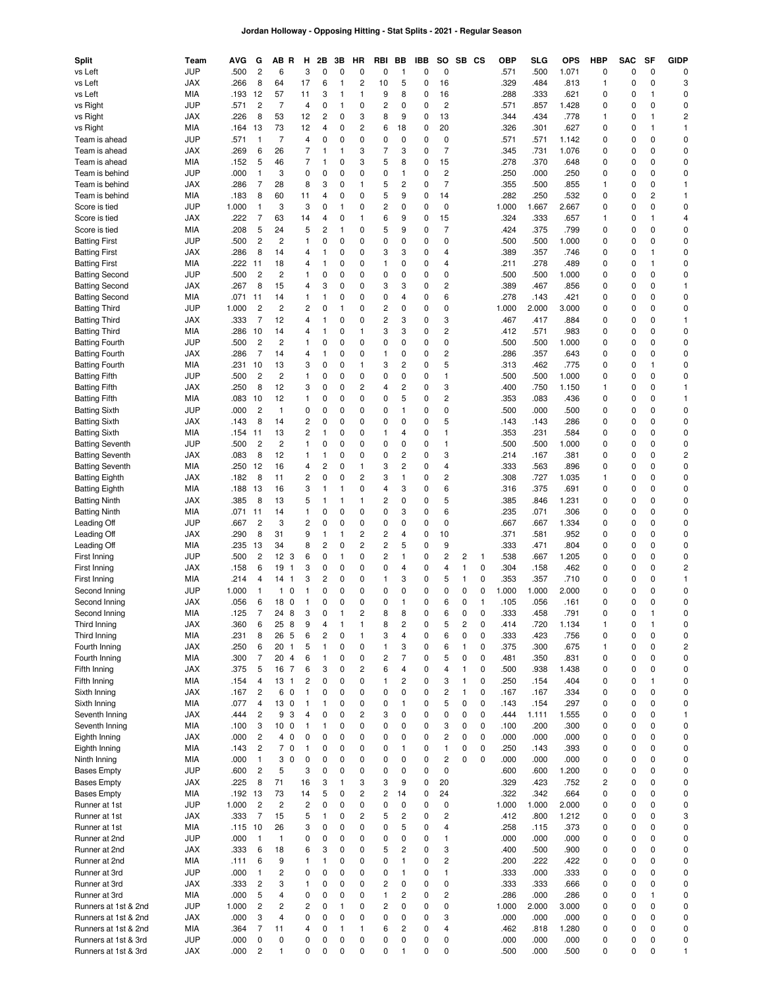### **Jordan Holloway - Opposing Hitting - Stat Splits - 2021 - Regular Season**

| Split                                        | Team                     | AVG          | G                    | AB R                      | н                 | 2Β                  | 3B                          | ΗR                      | RBI                                                | BB                      | IBB         | so                            | SB           | CS     | ОВР          | <b>SLG</b>    | <b>OPS</b>    | <b>HBP</b> | <b>SAC</b>                 | SF                | <b>GIDP</b>                  |
|----------------------------------------------|--------------------------|--------------|----------------------|---------------------------|-------------------|---------------------|-----------------------------|-------------------------|----------------------------------------------------|-------------------------|-------------|-------------------------------|--------------|--------|--------------|---------------|---------------|------------|----------------------------|-------------------|------------------------------|
| vs Left                                      | JUP                      | .500         | $\overline{c}$       | 6                         | 3                 | 0                   | 0                           | 0                       | 0                                                  | 1                       | 0           | $\mathbf 0$                   |              |        | .571         | .500          | 1.071         | 0          | $\mathbf 0$                | 0                 | 0                            |
| vs Left                                      | JAX                      | .266         | 8                    | 64                        | 17                | 6                   | $\mathbf{1}$                | $\overline{\mathbf{c}}$ | 10                                                 | 5                       | 0           | 16                            |              |        | .329         | .484          | .813          | 1          | $\mathsf 0$                | 0                 | 3                            |
| vs Left                                      | MIA                      | .193         | 12                   | 57                        | 11                | 3                   | 1                           | 1                       | 9                                                  | 8                       | 0           | 16                            |              |        | .288         | .333          | .621          | 0          | 0                          | $\mathbf{1}$<br>0 | 0                            |
| vs Right<br>vs Right                         | <b>JUP</b><br><b>JAX</b> | .571<br>.226 | $\overline{c}$<br>8  | $\overline{7}$<br>53      | 4<br>12           | 0<br>$\overline{c}$ | 1<br>0                      | 0<br>3                  | $\overline{c}$<br>8                                | 0<br>9                  | 0<br>0      | $\overline{\mathbf{c}}$<br>13 |              |        | .571<br>.344 | .857<br>.434  | 1.428<br>.778 | 0<br>1     | 0<br>0                     | $\mathbf{1}$      | 0<br>$\overline{\mathbf{c}}$ |
| vs Right                                     | MIA                      | .164         | 13                   | 73                        | 12                | 4                   | 0                           | 2                       | 6                                                  | 18                      | 0           | 20                            |              |        | .326         | .301          | .627          | 0          | 0                          | $\mathbf{1}$      | 1                            |
| Team is ahead                                | JUP                      | .571         | $\overline{1}$       | $\overline{7}$            | 4                 | 0                   | 0                           | 0                       | 0                                                  | 0                       | 0           | 0                             |              |        | .571         | .571          | 1.142         | 0          | $\mathsf 0$                | 0                 | 0                            |
| Team is ahead                                | JAX                      | .269         | 6                    | 26                        | $\overline{7}$    | 1                   | 1                           | 3                       | $\overline{7}$                                     | 3                       | 0           | $\overline{7}$                |              |        | .345         | .731          | 1.076         | 0          | 0                          | 0                 | 0                            |
| Team is ahead                                | MIA                      | .152         | 5                    | 46                        | 7                 | 1                   | 0                           | 3                       | 5                                                  | 8                       | 0           | 15                            |              |        | .278         | .370          | .648          | 0          | $\mathbf 0$                | 0                 | 0                            |
| Team is behind                               | JUP                      | .000         | $\mathbf{1}$         | 3                         | 0                 | 0                   | 0                           | 0                       | 0                                                  | $\mathbf{1}$            | 0           | $\overline{c}$                |              |        | .250         | .000          | .250          | 0          | 0                          | 0                 | 0                            |
| Team is behind                               | <b>JAX</b>               | .286         | $\overline{7}$       | 28                        | 8                 | 3                   | 0                           | $\mathbf{1}$            | 5                                                  | 2                       | 0           | $\overline{7}$                |              |        | .355         | .500          | .855          | 1          | 0                          | 0                 | 1                            |
| Team is behind                               | MIA                      | .183         | 8                    | 60                        | 11                | 4                   | 0                           | 0                       | 5                                                  | 9                       | 0           | 14                            |              |        | .282         | .250          | .532          | 0          | 0                          | 2                 | 1                            |
| Score is tied                                | <b>JUP</b>               | 1.000        | $\mathbf{1}$         | 3                         | 3                 | 0                   | 1                           | 0                       | $\overline{c}$                                     | 0                       | 0           | 0                             |              |        | 1.000        | 1.667         | 2.667         | 0          | 0                          | 0                 | 0                            |
| Score is tied                                | <b>JAX</b>               | .222         | $\overline{7}$       | 63                        | 14                | 4                   | 0                           | 1                       | 6                                                  | 9                       | 0           | 15                            |              |        | .324         | .333          | .657          | 1          | 0                          | 1                 | 4                            |
| Score is tied                                | MIA                      | .208         | 5                    | 24                        | 5                 | $\overline{c}$      | $\mathbf{1}$                | 0                       | 5                                                  | 9                       | 0           | $\overline{7}$                |              |        | .424         | .375          | .799          | 0          | 0                          | 0                 | 0                            |
| <b>Batting First</b>                         | <b>JUP</b>               | .500         | $\overline{c}$       | $\overline{c}$            | 1                 | 0                   | 0                           | 0                       | 0                                                  | 0                       | 0           | 0                             |              |        | .500         | .500          | 1.000         | 0          | 0                          | 0                 | 0                            |
| <b>Batting First</b>                         | <b>JAX</b>               | .286         | 8                    | 14                        | 4                 | 1                   | 0                           | 0                       | 3                                                  | 3                       | 0           | 4                             |              |        | .389         | .357          | .746          | 0          | 0                          | $\mathbf{1}$      | 0                            |
| <b>Batting First</b>                         | MIA                      | .222         | 11                   | 18                        | 4                 | 1                   | 0                           | 0                       | $\mathbf{1}$                                       | 0                       | 0           | 4                             |              |        | .211         | .278          | .489          | 0          | 0                          | 1                 | 0                            |
| <b>Batting Second</b>                        | JUP                      | .500         | $\overline{c}$       | $\overline{c}$            | 1                 | 0                   | 0                           | 0                       | 0                                                  | 0                       | 0           | $\pmb{0}$                     |              |        | .500         | .500          | 1.000         | 0          | $\mathsf 0$                | 0                 | 0                            |
| <b>Batting Second</b>                        | <b>JAX</b>               | .267         | 8                    | 15                        | 4                 | 3                   | $\mathbf 0$                 | 0                       | 3                                                  | 3                       | 0           | $\overline{c}$                |              |        | .389         | .467          | .856          | 0          | 0                          | 0                 | 1                            |
| <b>Batting Second</b>                        | MIA                      | .071         | 11                   | 14                        | 1                 | 1                   | 0                           | 0                       | 0                                                  | 4                       | 0           | 6                             |              |        | .278         | .143          | .421          | 0          | $\mathsf 0$                | 0                 | 0                            |
| <b>Batting Third</b>                         | <b>JUP</b>               | 1.000        | $\overline{c}$       | $\overline{c}$            | 2                 | 0                   | $\mathbf{1}$<br>0           | 0<br>0                  | $\overline{c}$<br>$\overline{c}$                   | 0<br>3                  | 0           | 0<br>3                        |              |        | 1.000        | 2.000         | 3.000         | 0<br>0     | 0<br>$\mathsf 0$           | 0<br>0            | 0                            |
| <b>Batting Third</b><br><b>Batting Third</b> | <b>JAX</b><br>MIA        | .333<br>.286 | $\overline{7}$<br>10 | 12<br>14                  | 4<br>4            | 1<br>1              | 0                           | 1                       | 3                                                  | 3                       | 0<br>0      | $\overline{c}$                |              |        | .467<br>.412 | .417<br>.571  | .884<br>.983  | 0          | 0                          | 0                 | 1<br>0                       |
| <b>Batting Fourth</b>                        | JUP                      | .500         | $\overline{c}$       | $\overline{c}$            | 1                 | 0                   | $\mathbf 0$                 | 0                       | 0                                                  | 0                       | 0           | $\pmb{0}$                     |              |        | .500         | .500          | 1.000         | 0          | $\mathsf 0$                | 0                 | 0                            |
| <b>Batting Fourth</b>                        | <b>JAX</b>               | .286         | $\overline{7}$       | 14                        | 4                 | 1                   | 0                           | 0                       | 1                                                  | 0                       | 0           | $\overline{c}$                |              |        | .286         | .357          | .643          | 0          | 0                          | 0                 | 0                            |
| <b>Batting Fourth</b>                        | MIA                      | .231         | 10                   | 13                        | 3                 | 0                   | 0                           | 1                       | 3                                                  | 2                       | $\mathbf 0$ | 5                             |              |        | .313         | .462          | .775          | 0          | $\mathsf 0$                | $\mathbf{1}$      | 0                            |
| <b>Batting Fifth</b>                         | <b>JUP</b>               | .500         | $\overline{c}$       | $\overline{c}$            | $\mathbf{1}$      | 0                   | $\mathbf 0$                 | 0                       | 0                                                  | 0                       | 0           | $\mathbf{1}$                  |              |        | .500         | .500          | 1.000         | 0          | 0                          | 0                 | 0                            |
| <b>Batting Fifth</b>                         | <b>JAX</b>               | .250         | 8                    | 12                        | 3                 | 0                   | $\mathbf 0$                 | 2                       | 4                                                  | 2                       | 0           | 3                             |              |        | .400         | .750          | 1.150         | 1          | 0                          | 0                 | 1                            |
| <b>Batting Fifth</b>                         | MIA                      | .083         | 10                   | 12                        | 1                 | 0                   | $\mathbf 0$                 | 0                       | $\mathbf 0$                                        | 5                       | 0           | $\overline{c}$                |              |        | .353         | .083          | .436          | 0          | 0                          | 0                 | 1                            |
| <b>Batting Sixth</b>                         | <b>JUP</b>               | .000         | $\overline{c}$       | $\mathbf{1}$              | 0                 | 0                   | $\mathbf 0$                 | $\Omega$                | 0                                                  | 1                       | 0           | $\pmb{0}$                     |              |        | .500         | .000          | .500          | 0          | 0                          | 0                 | 0                            |
| <b>Batting Sixth</b>                         | <b>JAX</b>               | .143         | 8                    | 14                        | 2                 | 0                   | $\mathbf 0$                 | $\mathbf 0$             | 0                                                  | 0                       | 0           | 5                             |              |        | .143         | .143          | .286          | 0          | 0                          | 0                 | 0                            |
| <b>Batting Sixth</b>                         | MIA                      | .154         | -11                  | 13                        | 2                 | 1                   | 0                           | 0                       | 1                                                  | 4                       | 0           | $\mathbf{1}$                  |              |        | .353         | .231          | .584          | 0          | 0                          | 0                 | 0                            |
| <b>Batting Seventh</b>                       | <b>JUP</b>               | .500         | $\overline{c}$       | $\overline{c}$            | $\mathbf{1}$      | 0                   | $\mathbf 0$                 | $\mathbf 0$             | 0                                                  | 0                       | 0           | $\mathbf{1}$                  |              |        | .500         | .500          | 1.000         | 0          | 0                          | 0                 | 0                            |
| <b>Batting Seventh</b>                       | <b>JAX</b>               | .083         | 8                    | 12                        | 1                 | 1                   | 0                           | $\Omega$                | 0                                                  | 2                       | 0           | 3                             |              |        | .214         | .167          | .381          | 0          | 0                          | 0                 | 2                            |
| <b>Batting Seventh</b>                       | MIA                      | .250         | 12                   | 16                        | 4                 | 2                   | $\mathbf 0$                 | 1                       | 3                                                  | 2                       | 0           | $\overline{4}$                |              |        | .333         | .563          | .896          | 0          | 0                          | 0                 | 0                            |
| <b>Batting Eighth</b>                        | <b>JAX</b>               | .182         | 8                    | 11                        | 2                 | 0                   | $\mathbf 0$                 | 2                       | 3                                                  | 1                       | 0           | $\overline{\mathbf{c}}$       |              |        | .308         | .727          | 1.035         | 1          | 0                          | 0                 | 0                            |
| <b>Batting Eighth</b>                        | MIA                      | .188         | 13                   | 16                        | 3                 | 1                   | $\mathbf{1}$                | 0                       | 4                                                  | 3                       | 0           | 6                             |              |        | .316         | .375          | .691          | 0          | 0                          | 0                 | 0                            |
| <b>Batting Ninth</b>                         | <b>JAX</b>               | .385         | 8                    | 13                        | 5                 | 1                   | 1                           | 1                       | 2                                                  | 0                       | 0           | 5                             |              |        | .385         | .846          | 1.231         | 0          | 0                          | 0                 | $\mathbf 0$                  |
| <b>Batting Ninth</b>                         | MIA                      | .071         | 11                   | 14                        | 1                 | 0                   | 0                           | 0                       | $\mathbf 0$                                        | 3                       | 0           | 6                             |              |        | .235         | .071          | .306          | 0          | 0                          | 0                 | 0                            |
| Leading Off                                  | <b>JUP</b>               | .667         | $\overline{c}$<br>8  | 3                         | 2                 | 0<br>1              | $\mathbf 0$<br>$\mathbf{1}$ | 0<br>2                  | $\mathbf 0$                                        | $\Omega$<br>4           | 0<br>0      | 0<br>10                       |              |        | .667<br>.371 | .667          | 1.334<br>.952 | 0<br>0     | 0                          | 0<br>0            | 0<br>0                       |
| Leading Off<br>Leading Off                   | JAX<br>MIA               | .290<br>.235 | 13                   | 31<br>34                  | 9<br>8            | $\overline{c}$      | $\mathbf 0$                 | 2                       | $\overline{\mathbf{c}}$<br>$\overline{\mathbf{c}}$ | 5                       | 0           | 9                             |              |        | .333         | .581<br>.471  | .804          | 0          | 0<br>0                     | 0                 | 0                            |
| First Inning                                 | <b>JUP</b>               | .500         | $\overline{c}$       | 12 <sub>3</sub>           | 6                 | 0                   | $\mathbf{1}$                | 0                       | $\overline{c}$                                     | 1                       | 0           | $\overline{c}$                | 2            | 1      | .538         | .667          | 1.205         | 0          | 0                          | 0                 | 0                            |
| First Inning                                 | <b>JAX</b>               | .158         | 6                    | 19<br>$\mathbf{1}$        | 3                 | 0                   | 0                           | 0                       | 0                                                  | 4                       | 0           | 4                             | 1            | 0      | .304         | .158          | .462          | 0          | 0                          | 0                 | 2                            |
| First Inning                                 | MIA                      | .214         | $\overline{4}$       | 14 <sub>1</sub>           | 3                 | $\overline{c}$      | 0                           | 0                       | 1                                                  | 3                       | 0           | 5                             | 1            | 0      | .353         | .357          | .710          | 0          | 0                          | 0                 | 1                            |
| Second Inning                                | JUP                      | 1.000        | $\mathbf{1}$         | $\mathbf{1}$<br>0         | $\mathbf{1}$      | 0                   | 0                           | 0                       | 0                                                  | 0                       | 0           | 0                             | 0            | 0      | 1.000        | 1.000         | 2.000         | 0          | 0                          | 0                 | 0                            |
| Second Inning                                | <b>JAX</b>               | .056         | 6                    | 18 <sub>0</sub>           | $\mathbf{1}$      | 0                   | $\mathbf 0$                 | 0                       | 0                                                  | $\mathbf{1}$            | 0           | 6                             | 0            | 1      | .105         | .056          | .161          | 0          | 0                          | 0                 | $\mathbf 0$                  |
| Second Inning                                | MIA                      | .125         | 7                    | 24 8                      | 3                 | 0                   | 1                           | 2                       | 8                                                  | 8                       | n           | 6                             | <sup>n</sup> | 0      | 333          | .458          | .791          | 0          | 0                          | 1                 | 0                            |
| Third Inning                                 | JAX                      | .360         | 6                    | 25<br>8                   | 9                 | 4                   | 1                           | 1                       | 8                                                  | $\overline{\mathbf{c}}$ | 0           | 5                             | 2            | 0      | .414         | .720          | 1.134         | 1          | 0                          | 1                 | 0                            |
| Third Inning                                 | MIA                      | .231         | 8                    | 26<br>5                   | 6                 | $\overline{c}$      | 0                           | 1                       | 3                                                  | 4                       | 0           | 6                             | 0            | 0      | .333         | .423          | .756          | 0          | 0                          | 0                 | 0                            |
| Fourth Inning                                | <b>JAX</b>               | .250         | 6                    | 20 <sub>1</sub>           | 5                 | 1                   | 0                           | 0                       | 1                                                  | 3                       | 0           | 6                             | 1            | 0      | .375         | .300          | .675          | 1          | 0                          | $\mathbf 0$       | $\overline{\mathbf{c}}$      |
| Fourth Inning                                | MIA                      | .300         | $\overline{7}$       | 20<br>$\overline{4}$      | 6                 | 1                   | 0                           | 0                       | $\overline{\mathbf{c}}$                            | 7                       | 0           | 5                             | 0            | 0      | .481         | .350          | .831          | 0          | 0                          | 0                 | 0                            |
| Fifth Inning                                 | <b>JAX</b>               | .375         | 5                    | 16 7                      | 6                 | 3                   | 0                           | $\overline{c}$          | 6                                                  | 4                       | 0           | $\overline{4}$                | $\mathbf{1}$ | 0      | .500         | .938          | 1.438         | 0          | 0                          | $\mathbf 0$       | 0                            |
| Fifth Inning                                 | MIA                      | .154         | 4                    | 13 <sub>1</sub>           | $\overline{c}$    | 0                   | 0                           | 0                       | $\mathbf{1}$                                       | 2                       | 0           | 3                             | $\mathbf{1}$ | 0      | .250         | .154          | .404          | 0          | $\mathsf 0$                | $\mathbf{1}$      | 0                            |
| Sixth Inning                                 | <b>JAX</b>               | .167         | $\overline{c}$       | 6<br>$\mathbf 0$          | $\mathbf{1}$      | 0                   | 0                           | 0                       | $\mathbf 0$                                        | 0                       | 0           | $\overline{c}$                | 1            | 0      | .167         | .167          | .334          | 0          | $\mathsf 0$                | 0                 | 0                            |
| Sixth Inning                                 | MIA                      | .077         | $\overline{4}$       | 130                       | $\mathbf{1}$      | 1                   | 0                           | 0<br>$\overline{c}$     | 0                                                  | 1                       | 0           | 5                             | 0            | 0      | .143         | .154          | .297          | 0          | $\mathsf 0$                | $\mathbf 0$<br>0  | 0                            |
| Seventh Inning<br>Seventh Inning             | <b>JAX</b><br>MIA        | .444<br>.100 | $\overline{c}$<br>3  | 9<br>3<br>10 <sub>0</sub> | 4<br>$\mathbf{1}$ | 0<br>1              | 0<br>0                      | 0                       | 3<br>0                                             | 0<br>0                  | 0<br>0      | $\pmb{0}$<br>3                | 0<br>0       | 0<br>0 | .444<br>.100 | 1.111<br>.200 | 1.555<br>.300 | 0<br>0     | $\mathsf 0$<br>$\mathsf 0$ | 0                 | $\mathbf{1}$<br>0            |
| Eighth Inning                                | <b>JAX</b>               | .000         | $\overline{c}$       | 4 0                       | 0                 | 0                   | 0                           | 0                       | 0                                                  | 0                       | 0           | $\sqrt{2}$                    | 0            | 0      | .000         | .000          | .000          | 0          | $\mathsf 0$                | 0                 | 0                            |
| Eighth Inning                                | MIA                      | .143         | $\overline{c}$       | 70                        | $\mathbf{1}$      | 0                   | 0                           | 0                       | 0                                                  | 1                       | 0           | $\mathbf{1}$                  | 0            | 0      | .250         | .143          | .393          | 0          | $\mathsf 0$                | $\mathbf 0$       | 0                            |
| Ninth Inning                                 | MIA                      | .000         | $\mathbf{1}$         | 3<br>$\mathbf 0$          | $\mathbf 0$       | 0                   | 0                           | 0                       | 0                                                  | 0                       | 0           | $\sqrt{2}$                    | 0            | 0      | .000         | .000          | .000          | 0          | $\mathbf 0$                | $\mathbf 0$       | 0                            |
| <b>Bases Empty</b>                           | <b>JUP</b>               | .600         | $\overline{c}$       | 5                         | 3                 | 0                   | 0                           | 0                       | 0                                                  | 0                       | 0           | $\pmb{0}$                     |              |        | .600         | .600          | 1.200         | 0          | $\mathbf 0$                | 0                 | 0                            |
| <b>Bases Empty</b>                           | <b>JAX</b>               | .225         | 8                    | 71                        | 16                | 3                   | $\mathbf{1}$                | 3                       | 3                                                  | 9                       | 0           | 20                            |              |        | .329         | .423          | .752          | 2          | $\mathbf 0$                | $\mathbf 0$       | 0                            |
| <b>Bases Empty</b>                           | MIA                      | .192         | 13                   | 73                        | 14                | 5                   | 0                           | $\overline{c}$          | 2                                                  | 14                      | 0           | 24                            |              |        | .322         | .342          | .664          | 0          | $\mathbf 0$                | $\mathbf 0$       | 0                            |
| Runner at 1st                                | <b>JUP</b>               | 1.000        | $\overline{c}$       | $\overline{c}$            | $\overline{c}$    | 0                   | 0                           | 0                       | 0                                                  | 0                       | 0           | 0                             |              |        | 1.000        | 1.000         | 2.000         | 0          | $\mathbf 0$                | $\mathbf 0$       | 0                            |
| Runner at 1st                                | <b>JAX</b>               | .333         | $\overline{7}$       | 15                        | 5                 | 1                   | 0                           | $\overline{c}$          | 5                                                  | $\overline{c}$          | 0           | $\sqrt{2}$                    |              |        | .412         | .800          | 1.212         | 0          | $\mathsf 0$                | 0                 | 3                            |
| Runner at 1st                                | MIA                      | .115         | 10                   | 26                        | 3                 | 0                   | 0                           | 0                       | 0                                                  | 5                       | 0           | $\overline{4}$                |              |        | .258         | .115          | .373          | 0          | $\mathsf 0$                | $\mathbf 0$       | 0                            |
| Runner at 2nd                                | <b>JUP</b>               | .000         | $\mathbf{1}$         | $\mathbf{1}$              | 0                 | 0                   | 0                           | 0                       | 0                                                  | 0                       | 0           | $\mathbf{1}$                  |              |        | .000         | .000          | .000          | 0          | $\mathsf 0$                | $\mathbf 0$       | 0                            |
| Runner at 2nd                                | <b>JAX</b>               | .333         | 6                    | 18                        | 6                 | 3                   | 0                           | 0                       | 5                                                  | $\overline{c}$          | 0           | 3                             |              |        | .400         | .500          | .900          | 0          | $\mathsf 0$                | $\mathbf 0$       | 0                            |
| Runner at 2nd                                | MIA                      | .111         | 6                    | 9                         | 1                 | 1                   | 0                           | 0                       | 0                                                  | 1                       | 0           | $\sqrt{2}$                    |              |        | .200         | .222          | .422          | 0          | $\mathsf 0$                | $\mathbf 0$       | 0                            |
| Runner at 3rd                                | <b>JUP</b>               | .000         | $\mathbf{1}$         | 2                         | 0                 | 0                   | 0                           | 0                       | 0                                                  | 1                       | 0           | $\mathbf{1}$                  |              |        | .333         | .000          | .333          | 0          | $\mathsf 0$                | $\mathbf 0$       | 0                            |
| Runner at 3rd                                | <b>JAX</b>               | .333         | $\overline{c}$       | 3                         | $\mathbf{1}$      | 0                   | 0                           | 0                       | $\overline{c}$                                     | 0                       | 0           | 0                             |              |        | .333         | .333          | .666          | 0          | $\mathsf 0$                | 0                 | 0                            |
| Runner at 3rd                                | MIA                      | .000         | 5                    | 4                         | 0                 | 0                   | 0                           | 0                       | $\mathbf{1}$                                       | 2                       | 0           | $\sqrt{2}$                    |              |        | .286         | .000          | .286          | 0          | $\mathsf 0$                | $\mathbf{1}$      | 0                            |
| Runners at 1st & 2nd                         | <b>JUP</b>               | 1.000        | $\overline{c}$       | 2                         | 2                 | 0                   | $\mathbf{1}$                | 0                       | 2                                                  | 0                       | 0           | $\pmb{0}$                     |              |        | 1.000        | 2.000         | 3.000         | 0          | $\mathsf 0$                | 0                 | 0                            |
| Runners at 1st & 2nd                         | <b>JAX</b>               | .000         | 3<br>$\overline{7}$  | 4<br>11                   | 0<br>4            | 0<br>0              | 0<br>$\mathbf{1}$           | 0<br>1                  | 0<br>6                                             | 0<br>2                  | 0<br>0      | 3<br>$\overline{4}$           |              |        | .000         | .000          | .000          | 0<br>0     | $\mathsf 0$<br>$\mathsf 0$ | 0<br>0            | 0<br>0                       |
| Runners at 1st & 2nd<br>Runners at 1st & 3rd | MIA<br>JUP               | .364<br>.000 | $\pmb{0}$            | 0                         | 0                 | 0                   | 0                           | 0                       | 0                                                  | 0                       | 0           | 0                             |              |        | .462<br>.000 | .818<br>.000  | 1.280<br>.000 | 0          | $\mathsf 0$                | $\mathbf 0$       | 0                            |
| Runners at 1st & 3rd                         | <b>JAX</b>               | .000         | $\overline{c}$       | 1                         | 0                 | 0                   | 0                           | 0                       | 0                                                  | 1                       | 0           | $\mathbf 0$                   |              |        | .500         | .000          | .500          | 0          | 0                          | 0                 | $\mathbf{1}$                 |
|                                              |                          |              |                      |                           |                   |                     |                             |                         |                                                    |                         |             |                               |              |        |              |               |               |            |                            |                   |                              |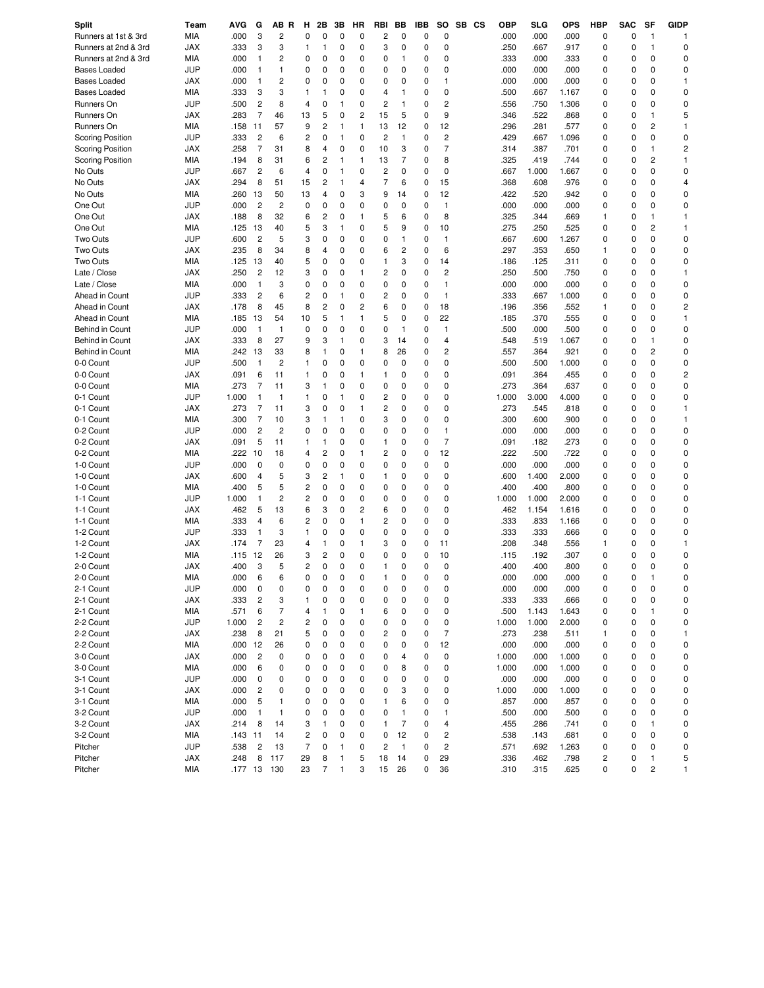| Split                   | Team              | AVG           | G                       | AB R                    | н                       | 2Β             | 3B           | HR       | RBI                     | BB             | IBB    | SO                      | SB CS | <b>OBP</b>    | <b>SLG</b>     | OPS            | <b>HBP</b>     | <b>SAC</b>    | SF                      | <b>GIDP</b>    |
|-------------------------|-------------------|---------------|-------------------------|-------------------------|-------------------------|----------------|--------------|----------|-------------------------|----------------|--------|-------------------------|-------|---------------|----------------|----------------|----------------|---------------|-------------------------|----------------|
| Runners at 1st & 3rd    | <b>MIA</b>        | .000          | 3                       | 2                       | 0                       | 0              | $\mathbf 0$  | 0        | $\overline{\mathbf{c}}$ | 0              | 0      | 0                       |       | .000          | .000           | .000           | $\mathsf 0$    | 0             | $\mathbf{1}$            | -1             |
| Runners at 2nd & 3rd    | JAX               | .333          | 3                       | 3                       | 1                       | 1              | 0            | 0        | 3                       | 0              | 0      | 0                       |       | .250          | .667           | .917           | 0              | $\mathbf 0$   | $\mathbf{1}$            | 0              |
| Runners at 2nd & 3rd    | <b>MIA</b>        | .000          | $\mathbf{1}$            | 2                       | 0                       | 0              | 0            | 0        | 0                       | 1              | 0      | 0                       |       | .333          | .000           | .333           | $\mathsf 0$    | 0             | $\mathbf 0$             | 0              |
| <b>Bases Loaded</b>     | <b>JUP</b>        | .000          | $\mathbf{1}$            | 1                       | 0                       | 0              | 0            | 0        | 0                       | $\mathbf 0$    | 0      | 0                       |       | .000          | .000           | .000           | 0              | 0             | $\mathbf 0$             | 0              |
| <b>Bases Loaded</b>     | <b>JAX</b>        | .000          | $\mathbf{1}$            | 2                       | 0                       | 0              | 0            | 0        | 0                       | 0              | 0      | 1                       |       | .000          | .000           | .000           | 0              | 0             | $\mathbf 0$             | $\mathbf{1}$   |
| <b>Bases Loaded</b>     | MIA               | .333          | 3                       | 3                       | $\mathbf{1}$            | 1              | 0            | 0        | 4                       | 1              | 0      | 0                       |       | .500          | .667           | 1.167          | 0              | $\mathbf 0$   | $\mathbf 0$             | 0              |
| Runners On              | <b>JUP</b>        | .500          | $\overline{c}$          | 8                       | $\overline{4}$          | 0              | 1            | 0        | $\overline{c}$          | 1              | 0      | $\overline{c}$          |       | .556          | .750           | 1.306          | $\mathbf 0$    | 0             | $\mathbf 0$             | 0              |
| Runners On              | JAX               | .283          | $\overline{7}$          | 46                      | 13                      | 5              | 0            | 2        | 15                      | 5              | 0      | 9                       |       | .346          | .522           | .868           | 0              | $\mathbf 0$   | $\mathbf{1}$            | 5              |
| Runners On              | <b>MIA</b>        | .158          | 11                      | 57                      | 9                       | $\overline{c}$ | 1            | 1        | 13                      | 12             | 0      | 12                      |       | .296          | .281           | .577           | $\mathbf 0$    | 0             | $\overline{c}$          | 1              |
| <b>Scoring Position</b> | <b>JUP</b>        | .333          | $\overline{c}$          | 6                       | $\overline{c}$          | 0              | 1            | 0        | $\overline{c}$          | 1              | 0      | $\overline{c}$          |       | .429          | .667           | 1.096          | 0              | $\mathbf 0$   | $\mathbf 0$             | 0              |
| <b>Scoring Position</b> | <b>JAX</b>        | .258          | $\overline{7}$          | 31                      | 8                       | 4              | 0            | 0        | 10                      | 3              | 0      | $\overline{7}$          |       | .314          | .387           | .701           | $\mathbf 0$    | 0             | $\mathbf{1}$            | $\overline{c}$ |
| <b>Scoring Position</b> | MIA               | .194          | 8                       | 31                      | 6                       | 2              | 1            | 1        | 13                      | $\overline{7}$ | 0      | 8                       |       | .325          | .419           | .744           | $\mathbf 0$    | 0             | $\overline{c}$          | $\mathbf{1}$   |
| No Outs                 | <b>JUP</b>        | .667          | $\overline{c}$          | 6                       | 4                       | 0              | 1            | 0        | $\overline{c}$          | 0              | 0      | 0                       |       | .667          | 1.000          | 1.667          | $\mathbf 0$    | 0             | $\mathbf 0$             | 0              |
| No Outs                 | <b>JAX</b>        | .294          | 8                       | 51                      | 15                      | 2              | 1            | 4        | $\overline{7}$          | 6              | 0      | 15                      |       | .368          | .608           | .976           | 0              | 0             | $\mathbf 0$             | 4              |
| No Outs                 | MIA               | .260          | 13                      | 50                      | 13                      | 4              | 0            | 3        | 9                       | 14             | 0      | 12                      |       | .422          | .520           | .942           | $\mathbf 0$    | 0             | $\mathbf 0$             | 0              |
| One Out                 | <b>JUP</b>        | .000          | $\overline{c}$          | 2                       | 0                       | 0              | 0            | 0        | 0                       | 0              | 0      | $\mathbf{1}$            |       | .000          | .000           | .000           | $\mathbf 0$    | 0             | $\mathbf 0$             | 0              |
| One Out                 | <b>JAX</b>        | .188          | 8                       | 32                      | 6                       | 2              | 0            | 1        | 5                       | 6              | 0      | 8                       |       | .325          | .344           | .669           | $\mathbf{1}$   | 0             | $\mathbf{1}$            | $\mathbf{1}$   |
| One Out                 | MIA               | .125          | 13                      | 40                      | 5                       | 3              | 1            | 0        | 5                       | 9              | 0      | 10                      |       | .275          | .250           | .525           | 0              | 0             | $\overline{2}$          | $\mathbf{1}$   |
| Two Outs                | <b>JUP</b>        | .600          | $\overline{c}$          | 5                       | 3                       | 0              | 0            | 0        | 0                       | 1              | 0      | $\mathbf{1}$            |       | .667          | .600           | 1.267          | $\mathbf 0$    | 0             | $\mathbf 0$             | 0              |
| Two Outs                | <b>JAX</b>        | .235          | 8                       | 34                      | 8                       | 4              | 0            | 0        | 6                       | 2              | 0      | 6                       |       | .297          | .353           | .650           | $\mathbf{1}$   | 0             | $\mathsf 0$             | 0              |
| Two Outs                | MIA               | .125          | 13                      | 40                      | 5                       | 0              | 0            | 0        | $\mathbf{1}$            | 3              | 0      | 14                      |       | .186          | .125           | .311           | 0              | 0             | $\mathbf 0$             | 0              |
| Late / Close            | <b>JAX</b>        | .250          | $\overline{c}$          | 12                      | 3                       | 0              | 0            | 1        | 2                       | 0              | 0      | $\overline{c}$          |       | .250          | .500           | .750           | 0              | 0             | $\mathbf 0$             | $\mathbf{1}$   |
| Late / Close            | MIA               | .000          | $\mathbf{1}$            | 3                       | 0                       | 0              | 0            | 0        | 0                       | 0              | 0      | $\mathbf{1}$            |       | .000          | .000           | .000           | 0              | 0             | $\mathbf 0$             | 0              |
| Ahead in Count          | <b>JUP</b>        | .333          | $\overline{c}$          | 6                       | $\overline{\mathbf{c}}$ | 0              | 1            | 0        | 2                       | 0              | 0      | $\mathbf{1}$            |       | .333          | .667           | 1.000          | 0              | 0             | $\mathbf 0$             | 0              |
| Ahead in Count          | <b>JAX</b>        | .178          | 8                       | 45                      | 8                       | 2              | 0            | 2        | 6                       | 0              | 0      | 18                      |       | .196          | .356           | .552           | $\mathbf{1}$   | 0             | $\mathbf 0$             | $\overline{c}$ |
| Ahead in Count          | MIA               | .185          | 13                      | 54                      | 10                      | 5              | 1            | 1        | 5                       | 0              | 0      | 22                      |       | .185          | .370           | .555           | 0              | 0             | $\mathbf 0$             | $\mathbf{1}$   |
| Behind in Count         | <b>JUP</b>        | .000          | $\mathbf{1}$            | $\mathbf{1}$            | 0                       | 0              | 0            | 0        | 0                       | 1              | 0      | $\mathbf{1}$            |       | .500          | .000           | .500           | 0              | 0             | $\mathbf 0$             | 0              |
| Behind in Count         | <b>JAX</b>        | .333          | 8                       | 27                      | 9                       | 3              | 1            | 0        | 3                       | 14             | 0      | 4                       |       | .548          | .519           | 1.067          | 0              | 0             | $\mathbf{1}$            | 0              |
| Behind in Count         | MIA               | .242          | 13                      | 33                      | 8                       | 1              | 0            | 1        | 8                       | 26             | 0      | 2                       |       | .557          | .364           | .921           | 0              | 0             | $\overline{c}$          | 0              |
| 0-0 Count               | <b>JUP</b>        | .500          | $\mathbf{1}$            | 2                       | $\mathbf{1}$            | 0              | 0            | 0        | 0                       | 0              | 0      | 0                       |       | .500          | .500           | 1.000          | 0              | 0             | $\mathsf 0$             | 0              |
| 0-0 Count               | <b>JAX</b>        | .091          | 6                       | 11                      | $\mathbf{1}$            | 0              | 0            | 1        | 1                       | 0              | 0      | 0                       |       | .091          | .364           | .455           | 0              | 0             | $\mathsf 0$             | $\overline{c}$ |
| 0-0 Count               | MIA               | .273          | $\overline{7}$          | 11                      | 3                       | 1              | 0            | 0        | 0                       | 0              | 0      | 0                       |       | .273          | .364           | .637           | 0              | 0             | 0                       | 0              |
| 0-1 Count               | JUP               | 1.000         | $\mathbf{1}$            | 1                       | $\mathbf{1}$            | 0              | 1            | 0        | $\overline{c}$          | 0              | 0      | 0                       |       | 1.000         | 3.000          | 4.000          | 0              | 0             | 0                       | 0              |
| 0-1 Count               | <b>JAX</b>        | .273          | $\overline{7}$          | 11                      | 3                       | 0              | 0            | 1        | $\overline{c}$          | 0              | 0      | 0                       |       | .273          | .545           | .818           | 0              | 0             | 0                       | $\mathbf{1}$   |
| 0-1 Count               | MIA               | .300          | $\overline{7}$          | 10                      | 3                       | 1              | 1            | 0        | 3                       | 0              | 0      | 0                       |       | .300          | .600           | .900           | 0              | 0             | $\mathsf 0$             | 1              |
| 0-2 Count               | JUP               | .000          | $\overline{c}$          | 2                       | 0                       | 0              | 0            | 0        | 0                       | 0              | 0      | $\mathbf{1}$            |       | .000          | .000           | .000           | 0              | 0             | 0                       | 0              |
| 0-2 Count               | <b>JAX</b>        | .091          | 5                       | 11                      | 1                       | 1              | 0            | 0        | 1                       | 0              | 0      | $\overline{7}$          |       | .091          | .182           | .273           | 0              | 0             | 0                       | 0              |
| 0-2 Count               |                   |               |                         |                         |                         |                | 0            | 1        | $\overline{c}$          | 0              |        | 12                      |       | .222          | .500           |                |                | 0             | $\mathbf 0$             | 0              |
| 1-0 Count               | MIA<br><b>JUP</b> | .222<br>.000  | 10<br>$\mathbf 0$       | 18<br>0                 | 4                       | 2<br>0         | 0            | 0        | 0                       | $\mathbf 0$    | 0<br>0 | $\mathbf 0$             |       | .000          |                | .722<br>.000   | 0<br>0         | 0             | $\mathbf 0$             | 0              |
|                         |                   |               |                         |                         | 0<br>3                  | $\overline{c}$ | 1            | 0        | 1                       |                |        | 0                       |       |               | .000           |                |                | 0             | $\mathbf 0$             | 0              |
| 1-0 Count               | <b>JAX</b>        | .600<br>.400  | 4<br>5                  | 5<br>5                  | 2                       | 0              | 0            | 0        | 0                       | 0<br>0         | 0      | 0                       |       | .600          | 1.400          | 2.000<br>.800  | 0              | 0             | $\mathbf 0$             | 0              |
| 1-0 Count               | MIA<br><b>JUP</b> |               |                         | 2                       | 2                       | 0              | 0            | 0        | 0                       | 0              | 0      | 0                       |       | .400          | .400           |                | 0              | 0             | $\mathbf 0$             | 0              |
| 1-1 Count<br>1-1 Count  | <b>JAX</b>        | 1.000<br>.462 | 1<br>5                  | 13                      | 6                       | 3              | 0            | 2        | 6                       | 0              | 0<br>0 | 0                       |       | 1.000<br>.462 | 1.000<br>1.154 | 2.000<br>1.616 | 0<br>0         | 0             | $\mathbf 0$             | 0              |
|                         |                   |               |                         |                         | 2                       |                | 0            | 1        | $\overline{c}$          | 0              |        | 0                       |       |               |                |                |                | 0             | $\mathbf 0$             | 0              |
| 1-1 Count               | MIA<br><b>JUP</b> | .333<br>.333  | 4                       | 6                       | 1                       | 0              | 0            | 0        | 0                       | $\mathbf 0$    | 0      | 0                       |       | .333<br>.333  | .833<br>.333   | 1.166          | 0              | 0             | $\mathbf 0$             | 0              |
| 1-2 Count               |                   |               | 1                       | 3                       |                         | 0<br>1         |              | 1        |                         | 0              | 0      |                         |       |               |                | .666           | 0              |               |                         |                |
| 1-2 Count               | JAX               | .174          | $\overline{7}$          | 23                      | 4                       |                | 0            |          | 3                       |                | 0      | 11                      |       | .208          | .348           | .556           | 1              | 0             | 0                       | 1              |
| 1-2 Count               | <b>MIA</b>        | .115          | 12                      | 26                      | 3                       | $\overline{c}$ | 0            | 0        | 0                       | $\mathbf 0$    | 0      | 10                      |       | .115          | .192           | .307           | 0              | 0             | $\mathbf 0$             | 0              |
| 2-0 Count               | <b>JAX</b>        | .400          | 3                       | 5                       | 2                       | 0              | 0            | 0        | 1                       | $\mathbf 0$    | 0      | 0                       |       | .400          | .400           | .800           | 0              | 0<br>$\Omega$ | $\mathbf 0$             | 0              |
| 2-0 Count               | <b>MIA</b>        | .000          | 6                       | 6                       | 0                       | $\Omega$       | $\Omega$     | $\Omega$ |                         | $\Omega$       | 0      | 0                       |       | .000          | .000           | .000           | 0              |               |                         | $\Omega$       |
| 2-1 Count               | <b>JUP</b>        | .000          | 0                       | 0                       | 0                       | 0              | 0            | 0        | 0                       | 0              | 0      | 0                       |       | .000          | .000           | .000           | $\pmb{0}$      | 0             | 0                       | 0              |
| 2-1 Count               | <b>JAX</b>        | .333          | $\overline{c}$          | 3                       | 1                       | 0              | 0            | 0        | 0                       | 0              | 0      | 0                       |       | .333          | .333           | .666           | 0              | 0             | 0                       | 0              |
| 2-1 Count               | MIA               | .571          | 6                       | 7                       | 4                       | 1              | 0            | 1        | 6                       | 0              | 0      | 0                       |       | .500          | 1.143          | 1.643          | 0              | 0             | 1                       | 0              |
| 2-2 Count               | <b>JUP</b>        | 1.000         | $\overline{\mathbf{c}}$ | $\overline{\mathbf{c}}$ | 2                       | 0              | 0            | 0        | 0                       | 0              | 0      | 0                       |       | 1.000         | 1.000          | 2.000          | 0              | 0             | 0                       | 0              |
| 2-2 Count               | JAX               | .238          | 8                       | 21                      | 5                       | 0              | 0            | 0        | 2                       | 0              | 0      | $\overline{7}$          |       | .273          | .238           | .511           | 1              | 0             | 0                       | 1              |
| 2-2 Count               | MIA               | .000          | 12                      | 26                      | 0                       | 0              | 0            | 0        | 0                       | 0              | 0      | 12                      |       | .000          | .000           | .000           | 0              | 0             | 0                       | 0              |
| 3-0 Count               | JAX               | .000          | $\overline{c}$          | 0                       | 0                       | 0              | 0            | 0        | 0                       | 4              | 0      | 0                       |       | 1.000         | .000           | 1.000          | 0              | 0             | 0                       | 0              |
| 3-0 Count               | MIA               | .000          | 6                       | 0                       | 0                       | 0              | 0            | 0        | 0                       | 8              | 0      | 0                       |       | 1.000         | .000           | 1.000          | 0              | 0             | 0                       | 0              |
| 3-1 Count               | <b>JUP</b>        | .000          | 0                       | 0                       | 0                       | 0              | 0            | 0        | 0                       | 0              | 0      | 0                       |       | .000          | .000           | .000           | 0              | 0             | 0                       | 0              |
| 3-1 Count               | JAX               | .000          | $\overline{c}$          | 0                       | 0                       | 0              | 0            | 0        | 0                       | 3              | 0      | 0                       |       | 1.000         | .000           | 1.000          | 0              | 0             | 0                       | 0              |
| 3-1 Count               | MIA               | .000          | 5                       | 1                       | 0                       | 0              | 0            | 0        | 1                       | 6              | 0      | 0                       |       | .857          | .000           | .857           | 0              | 0             | 0                       | 0              |
| 3-2 Count               | <b>JUP</b>        | .000          | $\overline{1}$          | 1                       | 0                       | 0              | 0            | 0        | 0                       | 1              | 0      | 1                       |       | .500          | .000           | .500           | 0              | 0             | 0                       | 0              |
| 3-2 Count               | JAX               | .214          | 8                       | 14                      | 3                       | 1              | 0            | 0        | 1                       | 7              | 0      | 4                       |       | .455          | .286           | .741           | 0              | 0             | $\mathbf{1}$            | 0              |
| 3-2 Count               | MIA               | .143          | 11                      | 14                      | 2                       | 0              | 0            | 0        | 0                       | 12             | 0      | $\overline{\mathbf{c}}$ |       | .538          | .143           | .681           | 0              | 0             | 0                       | 0              |
| Pitcher                 | <b>JUP</b>        | .538          | $\overline{c}$          | 13                      | $\overline{7}$          | 0              | 1            | 0        | 2                       | $\mathbf{1}$   | 0      | $\overline{\mathbf{c}}$ |       | .571          | .692           | 1.263          | 0              | 0             | 0                       | 0              |
| Pitcher                 | <b>JAX</b>        | .248          | 8                       | 117                     | 29                      | 8              | $\mathbf{1}$ | 5        | 18                      | 14             | 0      | 29                      |       | .336          | .462           | .798           | $\overline{c}$ | 0             | $\mathbf{1}$            | 5              |
| Pitcher                 | MIA               | 177 13 130    |                         |                         | 23                      | $\overline{7}$ | 1            | 3        | 15                      | 26             | 0      | 36                      |       | .310          | .315           | .625           | $\pmb{0}$      | 0             | $\overline{\mathbf{c}}$ | $\mathbf{1}$   |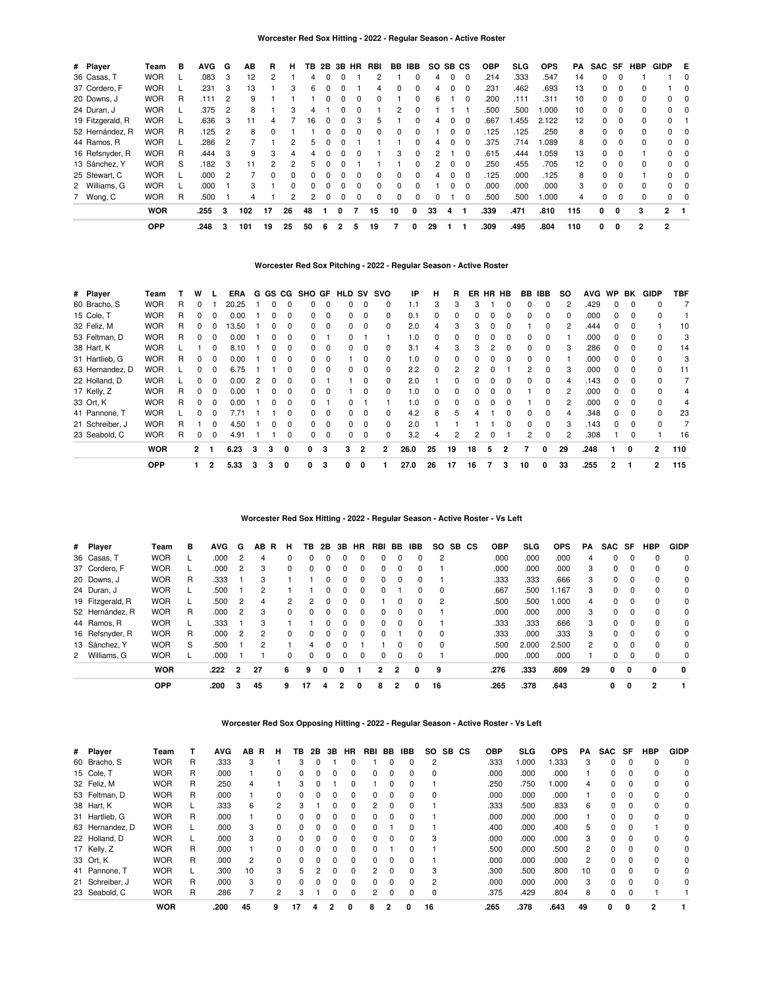### **Worcester Red Sox Hitting - 2022 - Regular Season - Active Roster**

| # Player         | Team       | в | <b>AVG</b> | G   | ΑВ  | R        | н        | ΤВ           | 2B | 3В           | <b>HR</b> | RBI      | BB. | IBB.         | SO.      | SB.      | <b>CS</b> | <b>OBP</b> | <b>SLG</b> | <b>OPS</b> | PA  | <b>SAC</b> | SF       | <b>HBP</b>   | GIDP         | E   |
|------------------|------------|---|------------|-----|-----|----------|----------|--------------|----|--------------|-----------|----------|-----|--------------|----------|----------|-----------|------------|------------|------------|-----|------------|----------|--------------|--------------|-----|
| 36 Casas, T      | <b>WOR</b> |   | .083       | -3  | 12  |          |          | 4            |    |              |           |          |     |              | 4        | $\Omega$ | $\Omega$  | .214       | .333       | .547       | 14  |            |          |              |              | 0   |
| 37 Cordero, F    | <b>WOR</b> |   | .231       | 3   | 13  |          | 3        | 6            |    |              |           | 4        | 0   | $\Omega$     | 4        | $\Omega$ | $\Omega$  | .231       | .462       | .693       | 13  | 0          | $\Omega$ |              |              | - 0 |
| 20 Downs, J      | <b>WOR</b> | R | .111       | 2   | 9   |          |          |              |    | <sup>0</sup> | 0         | 0        |     | 0            | 6        |          |           | .200       | .111       | .311       | 10  | 0          | $\Omega$ | <sup>0</sup> | 0            | 0   |
| 24 Duran, J      | <b>WOR</b> |   | .375       | - 2 | 8   |          | 3        | 4            |    | 0            |           |          | 2   | 0            |          |          |           | .500       | .500       | 000.1      | 10  |            | 0        |              | $\mathbf{0}$ | 0   |
| 19 Fitzgerald, R | <b>WOR</b> |   | .636       | 3   | 11  | 4        |          | 16           | ŋ  | $\Omega$     | З         | 5        |     | $\Omega$     | 4        | 0        | $\Omega$  | .667       | .455       | 2.122      | 12  | 0          | $\Omega$ | <sup>0</sup> | $\Omega$     |     |
| 52 Hernández, R  | <b>WOR</b> | R | .125       | -2  | 8   | $\Omega$ |          |              |    | <sup>0</sup> | $\Omega$  | $\Omega$ | 0   | 0            |          | 0        |           | .125       | .125       | .250       | 8   |            | $\Omega$ | 0            | $\Omega$     | - 0 |
| 44 Ramos, R      | <b>WOR</b> |   | .286       | - 2 |     |          | 2        | 5            | 0  |              |           |          |     | $\Omega$     | 4        | 0        | $\Omega$  | .375       | .714       | 1.089      | 8   | 0          | 0        | 0            | $^{\circ}$   | - 0 |
| 16 Refsnyder, R  | <b>WOR</b> | R | .444       | -3  | 9   | 3        | 4        | 4            |    | <sup>0</sup> |           |          | 3   | $\Omega$     | 2        |          | $\Omega$  | .615       | .444       | 1.059      | 13  | $\Omega$   | $\Omega$ |              | $\Omega$     | - 0 |
| 13 Sánchez, Y    | <b>WOR</b> | S | .182       | 3   | 11  | 2        | 2        | 5            |    |              |           |          |     | <sup>0</sup> | 2        | 0        |           | .250       | .455       | .705       | 12  |            | $\Omega$ |              | 0            | 0   |
| 25 Stewart, C    | <b>WOR</b> |   | .000       | - 2 |     | 0        | 0        |              |    | 0            |           | 0        | 0   | $\Omega$     | 4        | $\Omega$ | $\Omega$  | .125       | .000       | .125       | 8   | 0          | 0        |              | $\Omega$     | - 0 |
| 2 Williams, G    | <b>WOR</b> |   | .000       |     | 3   |          | $\Omega$ | <sup>0</sup> | 0  | $\Omega$     | 0         | $\Omega$ | 0   | $\Omega$     |          | $\Omega$ | $\Omega$  | .000       | .000       | .000       | 3   | $\Omega$   | $\Omega$ | <sup>0</sup> | $\Omega$     | - 0 |
| 7 Wong, C        | <b>WOR</b> | R | .500       |     | 4   |          | 2        | 2            | 0  | 0            |           | 0        | 0   | $\Omega$     | $\Omega$ |          |           | .500       | .500       | 000.1      | 4   |            | $\Omega$ |              | $\Omega$     | 0   |
|                  | <b>WOR</b> |   | .255       | з   | 102 | 17       | 26       | 48           |    |              |           | 15       | 10  | 0            | 33       | 4        |           | .339       | .471       | .810       | 115 | 0          | 0        | з            | 2            |     |
|                  | <b>OPP</b> |   | .248       | 3   | 101 | 19       | 25       | 50           | 6  | 2            | 5         | 19       | 7   | 0            | 29       |          |           | .309       | .495       | .804       | 110 | 0          | 0        | 2            | 2            |     |

### **Worcester Red Sox Pitching - 2022 - Regular Season - Active Roster**

| # Player        | Team       |   | w            |                | <b>ERA</b> | G |   | GS CG    | <b>SHO GF</b> |          | HLD | sv | svo | IP   | н  | R  | ER.          |   | HR HB        | BB.          | <b>IBB</b> | <b>SO</b> | <b>AVG</b> | <b>WP</b>    | BK       | <b>GIDP</b>    | <b>TBF</b> |
|-----------------|------------|---|--------------|----------------|------------|---|---|----------|---------------|----------|-----|----|-----|------|----|----|--------------|---|--------------|--------------|------------|-----------|------------|--------------|----------|----------------|------------|
| 60 Bracho, S    | <b>WOR</b> | R | 0            |                | 20.25      |   |   | 0        | 0             | $\Omega$ |     |    | 0   | 1.1  | 3  | 3  |              |   |              | 0            | 0          | 2         | .429       |              | $\Omega$ | 0              |            |
| 15 Cole, T      | <b>WOR</b> | R | 0            | 0              | 0.00       |   |   |          | 0             | 0        |     |    | 0   | 0.1  | 0  | 0  |              |   |              | 0            | 0          | 0         | .000       |              | 0        |                |            |
| 32 Feliz, M     | <b>WOR</b> | R | 0            | 0              | 13.50      |   | 0 | 0        | 0             | $\Omega$ | 0   | 0  | 0   | 2.0  | 4  | 3  | 3            | 0 | 0            |              | 0          | 2         | .444       | 0            | $\Omega$ |                | 10         |
| 53 Feltman, D   | <b>WOR</b> | R | 0            | $\Omega$       | 0.00       |   | 0 | 0        | 0             |          | 0   |    |     | 1.0  | 0  | 0  |              | 0 | $\Omega$     | 0            | 0          |           | .000       | 0            | $\Omega$ | 0              | 3          |
| 38 Hart, K      | <b>WOR</b> |   |              | $\Omega$       | 8.10       |   | 0 | 0        | 0             | $\Omega$ | 0   | 0  | 0   | 3.1  | 4  | 3  | 3            | 2 | $\Omega$     | <sup>0</sup> | 0          | 3         | .286       | $\Omega$     | $\Omega$ | 0              | 14         |
| 31 Hartlieb, G  | <b>WOR</b> | R | 0            | $\Omega$       | 0.00       |   | 0 | 0        | 0             | $\Omega$ |     | 0  | 0   | 1.0  | 0  | ŋ  |              |   | $\Omega$     | 0            | 0          |           | .000       | 0            | $\Omega$ | n              | 3          |
| 63 Hernandez, D | Wor        |   | 0            | 0              | 6.75       |   |   | 0        | 0             | $\Omega$ |     |    | 0   | 2.2  | 0  |    |              |   |              |              | ŋ          | 3         | .000       | O.           | $\Omega$ | 0              | 11         |
| 22 Holland, D   | <b>WOR</b> |   | 0            | 0              | 0.00       |   |   | 0        | 0             |          |     | 0  | 0   | 2.0  |    | 0  |              | 0 | 0            | 0            | 0          |           | .143       | 0            | $\Omega$ |                |            |
| 17 Kelly, Z     | <b>WOR</b> | R | 0            | 0              | 0.00       |   | 0 | 0        | 0             | $\Omega$ |     | 0  | 0   | 1.0  | 0  | 0  |              | 0 | 0            |              | 0          | 2         | .000       | 0            | $\Omega$ |                | 4          |
| 33 Ort, K       | <b>WOR</b> | R | 0            | $\Omega$       | 0.00       |   | 0 | $\Omega$ | 0             |          | 0   |    |     | 1.0  | 0  | 0  | <sup>0</sup> | 0 | $\Omega$     |              | 0          | 2         | .000       | 0            | $\Omega$ | 0              | 4          |
| 41 Pannone, T   | <b>WOR</b> |   | 0            | $\Omega$       | 7.71       |   |   | 0        | 0             | $\Omega$ | 0   | 0  | 0   | 4.2  | 8  | 5  | 4            |   | $\Omega$     | <sup>0</sup> | $\Omega$   | 4         | .348       | <sup>0</sup> | $\Omega$ | <sup>0</sup>   | 23         |
| 21 Schreiber, J | <b>WOR</b> | R |              | $\Omega$       | 4.50       |   |   | 0        | 0             | $\Omega$ |     | 0  | 0   | 2.0  |    |    |              |   | <sup>0</sup> | <sup>0</sup> | 0          | 3         | .143       | 0            | $\Omega$ | O              |            |
| 23 Seabold, C   | <b>WOR</b> | R | 0            | 0              | 4.91       |   |   | 0        | 0             | 0        | 0   | 0  | 0   | 3.2  | 4  | 2  |              |   |              | 2            | 0          | 2         | .308       |              | 0        |                | 16         |
|                 | <b>WOR</b> |   | $\mathbf{2}$ |                | 6.23       | 3 | 3 | 0        | 0             | 3        | 3   | 2  | 2   | 26.0 | 25 | 19 | 18           | 5 | 2            |              | 0          | 29        | .248       |              | 0        | $\overline{2}$ | 110        |
|                 | <b>OPP</b> |   |              | $\overline{2}$ | 5.33       | 3 | 3 | 0        | 0             | з        | 0   | 0  |     | 27.0 | 26 | 17 | 16           |   | 3            | 10           | 0          | 33        | .255       | 2            |          | $\overline{2}$ | 115        |

### **Worcester Red Sox Hitting - 2022 - Regular Season - Active Roster - Vs Left**

| # Player         | Team       | в | <b>AVG</b> | G | AВ | R<br>н   | ΤВ           | 2Β | 3В | HR           | RBI          | BB           | IBB | SO.      | SB CS | <b>OBP</b> | <b>SLG</b> | <b>OPS</b> | <b>PA</b>      | SAC SF   |          | <b>HBP</b> | <b>GIDP</b>  |
|------------------|------------|---|------------|---|----|----------|--------------|----|----|--------------|--------------|--------------|-----|----------|-------|------------|------------|------------|----------------|----------|----------|------------|--------------|
| 36 Casas, T      | <b>WOR</b> |   | .000       |   | 4  | $\Omega$ | <sup>0</sup> | 0  |    | ŋ            | <sup>0</sup> |              | 0   | 2        |       | .000       | .000       | .000       | 4              | 0        | 0        | $\Omega$   | $\Omega$     |
| 37 Cordero, F    | <b>WOR</b> |   | .000       |   | 3  | $\Omega$ |              | 0  | 0  | 0            | 0            |              | 0   |          |       | .000       | .000       | .000       | 3              | 0        | $\Omega$ | $\Omega$   | 0            |
| 20 Downs, J      | <b>WOR</b> | R | .333       |   | 3  |          |              |    |    | 0            | <sup>0</sup> | $\Omega$     | 0   |          |       | .333       | .333       | .666       | 3              | 0        | $\Omega$ | $\Omega$   | 0            |
| 24 Duran, J      | <b>WOR</b> |   | .500       |   | 2  |          |              | 0  | 0  | 0            | 0            |              | 0   | $\Omega$ |       | .667       | .500       | 1.167      | 3              | $\Omega$ | $\Omega$ | $\Omega$   | 0            |
| 19 Fitzgerald, R | <b>WOR</b> |   | .500       | 2 | 4  | 2        |              | 0  | 0  | 0            |              | <sup>0</sup> | 0   | 2        |       | .500       | .500       | 1.000      | 4              | 0        | $\Omega$ | $\Omega$   | 0            |
| 52 Hernández, R  | <b>WOR</b> | R | .000       | 2 | 3  | $\Omega$ | 0            | 0  | 0  | $\Omega$     | <sup>0</sup> | $\Omega$     | 0   |          |       | .000       | .000       | .000       | 3              | 0        | $\Omega$ | $\Omega$   | $\Omega$     |
| 44 Ramos, R      | <b>WOR</b> |   | .333       |   | 3  |          |              | n  | 0  | $\Omega$     | $\Omega$     | $\Omega$     | 0   |          |       | .333       | .333       | .666       | 3              | $\Omega$ | $\Omega$ | $\Omega$   | $\Omega$     |
| 16 Refsnyder, R  | <b>WOR</b> | R | .000       | 2 | 2  | $\Omega$ | <sup>0</sup> | ŋ  | 0  | <sup>0</sup> | <sup>0</sup> |              | 0   | $\Omega$ |       | .333       | .000       | .333       | 3              | $\Omega$ | $\Omega$ | $\Omega$   | $\Omega$     |
| 13 Sánchez, Y    | <b>WOR</b> | S | .500       |   | 2  |          | 4            | 0  | o  |              |              |              | 0   | $\Omega$ |       | .500       | 2.000      | 2.500      | $\overline{2}$ | 0        | $\Omega$ | $\Omega$   | 0            |
| 2 Williams, G    | <b>WOR</b> |   | .000       |   |    | 0        |              |    |    | 0            | O            |              | 0   |          |       | .000       | .000       | .000       |                | 0        | $\Omega$ | $\Omega$   | 0            |
|                  | <b>WOR</b> |   | .222       | 2 | 27 | 6        | 9            | 0  | 0  |              | 2            | 2            | 0   | 9        |       | .276       | .333       | .609       | 29             | 0        | 0        | 0          | $\mathbf{0}$ |
|                  | <b>OPP</b> |   | .200       | з | 45 | 9        | 17           | 4  |    | 0            | 8            | 2            | 0   | 16       |       | .265       | .378       | .643       |                | 0        | 0        |            |              |

**Worcester Red Sox Opposing Hitting - 2022 - Regular Season - Active Roster - Vs Left**

| # Player        | Team       |   | <b>AVG</b> | AB.<br>R | н        | TВ           | 2Β            | 3В           | <b>HR</b> | RBI           | BB       | <b>IBB</b>   | <b>SO</b> | <b>SB</b> | CS | <b>OBP</b> | <b>SLG</b> | <b>OPS</b> | PA.            | <b>SAC</b>   | SF       | <b>HBP</b> | <b>GIDP</b> |
|-----------------|------------|---|------------|----------|----------|--------------|---------------|--------------|-----------|---------------|----------|--------------|-----------|-----------|----|------------|------------|------------|----------------|--------------|----------|------------|-------------|
| 60 Bracho, S    | <b>WOR</b> | R | .333       | 3        |          | 3            | 0             |              | 0         |               |          | 0            | 2         |           |    | .333       | 1.000      | 1.333      | 3              | 0            | 0        | $\Omega$   | $\Omega$    |
| 15 Cole, T      | <b>WOR</b> | R | .000       |          | 0        | 0            | $\Omega$      | $\Omega$     | $\Omega$  | <sup>0</sup>  | 0        | 0            | $\Omega$  |           |    | .000       | .000       | .000       |                | 0            | 0        | $\Omega$   | 0           |
| 32 Feliz, M     | <b>WOR</b> | R | .250       |          |          | 3            |               |              | 0         |               |          | 0            |           |           |    | .250       | .750       | 1.000      | 4              | 0            | 0        | 0          | 0           |
| 53 Feltman, D   | <b>WOR</b> | R | .000       |          | 0        | $\Omega$     | $\Omega$      | $\Omega$     | $\Omega$  | <sup>0</sup>  | $\Omega$ | 0            | $\Omega$  |           |    | .000       | .000       | .000       |                | 0            | $\Omega$ | $\Omega$   | 0           |
| 38 Hart, K      | <b>WOR</b> |   | .333       | 6        | 2        | 3            |               |              | 0         | 2             |          | ი            |           |           |    | .333       | .500       | .833       | 6              | 0            |          | $\Omega$   | 0           |
| 31 Hartlieb, G  | <b>WOR</b> | R | .000       |          | 0        | $\Omega$     | $\Omega$      | $\Omega$     | $\Omega$  | <sup>0</sup>  | $\Omega$ | 0            |           |           |    | .000       | .000       | .000       |                | 0            | 0        | $\Omega$   | 0           |
| 63 Hernandez, D | <b>WOR</b> |   | .000       | 3        | 0        | $\Omega$     | $\Omega$      | <sup>0</sup> | $\Omega$  | <sup>0</sup>  |          | U            |           |           |    | .400       | .000       | .400       | 5              | <sup>0</sup> | O        |            | 0           |
| 22 Holland, D   | <b>WOR</b> | L | .000       | 3        | 0        | $\Omega$     | $\Omega$      | $\Omega$     | $\Omega$  | 0             | $\Omega$ | 0            | 3         |           |    | .000       | .000       | .000       | 3              | 0            | 0        | 0          | 0           |
| 17 Kelly, Z     | <b>WOR</b> | R | .000       |          | $\Omega$ | $\Omega$     | $\Omega$      | <sup>0</sup> | $\Omega$  | <sup>n</sup>  |          | <sup>0</sup> |           |           |    | .500       | .000       | .500       | $\overline{2}$ | 0            | $\Omega$ | $\Omega$   | 0           |
| 33 Ort, K       | <b>WOR</b> | R | .000       | 2        | 0        | 0            |               |              | $\Omega$  | <sup>0</sup>  |          | 0            |           |           |    | .000       | .000       | .000       | 2              | 0            | 0        | $\Omega$   | 0           |
| 41 Pannone. T   | <b>WOR</b> | L | .300       | 10       | 3        | 5            | $\mathcal{P}$ | <sup>0</sup> | $\Omega$  | $\mathcal{P}$ | $\Omega$ | <sup>0</sup> | 3         |           |    | .300       | .500       | .800       | 10             | 0            | $\Omega$ | $\Omega$   | 0           |
| 21 Schreiber, J | <b>WOR</b> | R | .000       | 3        | 0        | <sup>0</sup> |               |              | $\Omega$  |               |          | 0            | 2         |           |    | .000       | .000       | .000       | 3              | U            | $\Omega$ | $\Omega$   | 0           |
| 23 Seabold, C   | <b>WOR</b> | R | .286       |          | 2        | 3            |               | 0            | $\Omega$  | 2             | $\Omega$ | 0            | $\Omega$  |           |    | .375       | .429       | .804       | 8              | 0            | $\Omega$ |            |             |
|                 | <b>WOR</b> |   | .200       | 45       | 9        | 17           |               |              | O         | 8             | 2        | 0            | 16        |           |    | .265       | .378       | .643       | 49             | 0            | 0        | 2          |             |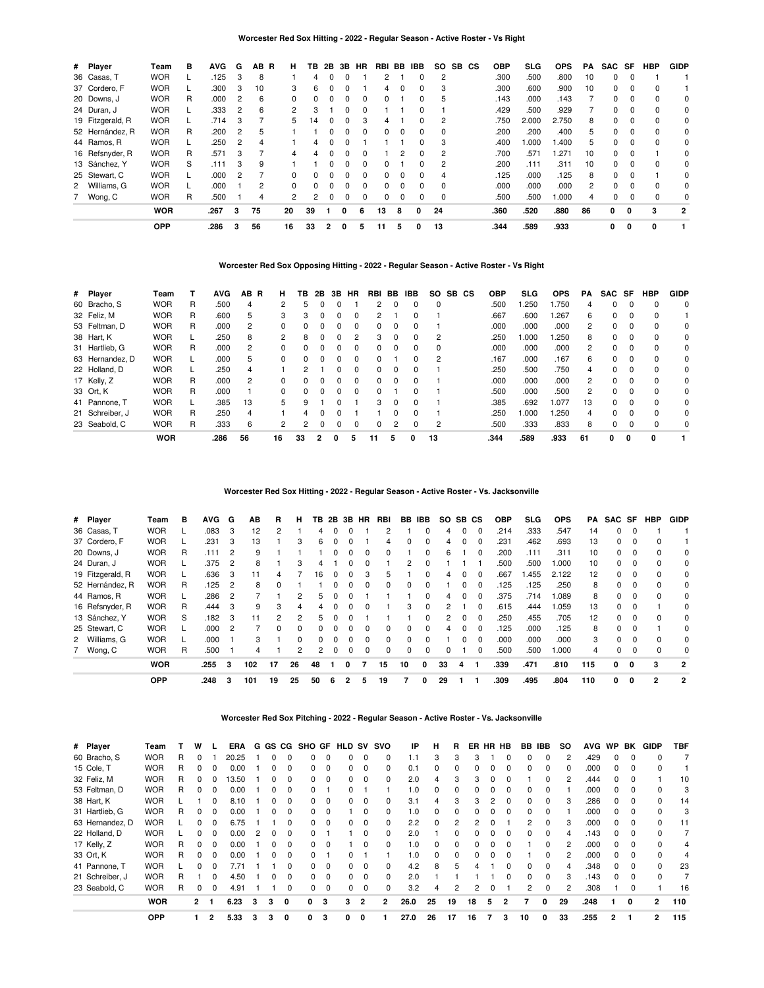### **Worcester Red Sox Hitting - 2022 - Regular Season - Active Roster - Vs Right**

| # Player         | Team       | в | <b>AVG</b> | G | AB. | R<br>н               | ΤВ | 2В           | 3В       | <b>HR</b>    | RBI | BB.          | <b>IBB</b>   | SO.      | SB CS | <b>OBP</b> | SLG   | <b>OPS</b> | PA | <b>SAC</b> | SF       | <b>HBP</b> | <b>GIDP</b>  |
|------------------|------------|---|------------|---|-----|----------------------|----|--------------|----------|--------------|-----|--------------|--------------|----------|-------|------------|-------|------------|----|------------|----------|------------|--------------|
| 36 Casas, T      | <b>WOR</b> |   | .125       | 3 | 8   |                      | 4  |              | 0        |              | 2   |              | 0            |          |       | .300       | .500  | .800       | 10 | 0          | $\Omega$ |            |              |
| 37 Cordero, F    | <b>WOR</b> |   | .300       | 3 | 10  | 3                    | 6  | $\Omega$     | 0        |              | 4   | $\Omega$     | 0            | 3        |       | .300       | .600  | .900       | 10 | 0          | 0        | $\Omega$   |              |
| 20 Downs, J      | WOR        | R | .000       | 2 | 6   | $\Omega$             |    |              |          |              | 0   |              | O            | h        |       | .143       | .000  | .143       |    | 0          |          | $\Omega$   | 0            |
| 24 Duran, J      | <b>WOR</b> |   | .333       | 2 | 6   | 2                    | 3  |              | 0        |              |     |              | 0            |          |       | .429       | .500  | .929       |    | 0          | $\Omega$ | 0          | 0            |
| 19 Fitzgerald, R | <b>WOR</b> |   | .714       | 3 |     | 5.                   | 14 | <sup>0</sup> | $\Omega$ | з            | 4   |              | $\Omega$     |          |       | .750       | 2.000 | 2.750      | 8  | $\Omega$   | $\Omega$ | $\Omega$   | $\Omega$     |
| 52 Hernández, R  | <b>WOR</b> | R | .200       | 2 | 5   |                      |    |              |          |              | 0   |              | <sup>0</sup> |          |       | .200       | .200  | .400       | 5. | 0          | $\Omega$ | $\Omega$   | 0            |
| 44 Ramos, R      | <b>WOR</b> |   | .250       | 2 | 4   |                      | 4  | 0            | 0        |              |     |              | 0            | 3        |       | .400       | .000  | 1.400      | 5. | 0          | $\Omega$ | $\Omega$   | 0            |
| 16 Refsnyder, R  | <b>WOR</b> | R | .571       | 3 |     | 4                    | 4  |              | $\Omega$ |              |     |              | $\Omega$     |          |       | .700       | .571  | .271       | 10 | $\Omega$   | $\Omega$ |            | $\Omega$     |
| 13 Sánchez, Y    | <b>WOR</b> | S | .111       | 3 | 9   |                      |    |              |          |              | 0   |              |              |          |       | .200       | .111  | .311       | 10 | 0          | 0        | $\Omega$   | $\Omega$     |
| 25 Stewart, C    | WOR        |   | .000       | 2 |     | 0                    | 0  | $\Omega$     | 0        | <sup>0</sup> | 0   | $\Omega$     | 0            | 4        |       | .125       | .000  | .125       | 8  | $\Omega$   | $\Omega$ |            | $\Omega$     |
| 2 Williams, G    | <b>WOR</b> |   | .000       |   | 2   | $\Omega$             | 0  | <sup>0</sup> | $\Omega$ |              | 0   | <sup>0</sup> | $\Omega$     | $\Omega$ |       | .000       | .000  | .000       | 2  | $\Omega$   | $\Omega$ | $\Omega$   | $\Omega$     |
| 7 Wong, C        | WOR        | R | .500       |   | 4   | $\mathbf{2}^{\circ}$ | 2  | 0            | 0        |              | 0   |              | 0            |          |       | .500       | .500  | .000       | 4  | 0          | 0        | 0          | 0            |
|                  | <b>WOR</b> |   | .267       | 3 | 75  | 20                   | 39 |              | 0        | 6            | 13  | 8            |              | 24       |       | .360       | .520  | .880       | 86 | 0          | 0        | 3          | $\mathbf{2}$ |
|                  | <b>OPP</b> |   | .286       | 3 | 56  | 16                   | 33 | 2            | 0        | 5            | 11  | 5            |              | 13       |       | .344       | .589  | .933       |    | 0          | 0        | 0          |              |

### **Worcester Red Sox Opposing Hitting - 2022 - Regular Season - Active Roster - Vs Right**

| # Player        | Team       |   | <b>AVG</b> | AB.<br>-R | н  | TВ       | 2В       | 3В           | HR       | RBI          | BB           | IBB          | <b>SO</b> | SB CS | <b>OBP</b> | SLG.  | <b>OPS</b> | <b>PA</b>      | SAC SF   |          | <b>HBP</b> | <b>GIDP</b> |
|-----------------|------------|---|------------|-----------|----|----------|----------|--------------|----------|--------------|--------------|--------------|-----------|-------|------------|-------|------------|----------------|----------|----------|------------|-------------|
| 60 Bracho, S    | <b>WOR</b> | R | .500       | 4         | 2  | 5        |          |              |          | 2            | 0            | 0            | $\Omega$  |       | .500       | l.250 | .750       | 4              | 0        | $\Omega$ | $\Omega$   | $\Omega$    |
| 32 Feliz, M     | <b>WOR</b> | R | .600       | 5         | 3  | 3        | 0        | 0            | $\Omega$ |              |              | 0            |           |       | .667       | .600  | .267       | 6              | 0        | 0        | 0          |             |
| 53 Feltman, D   | <b>WOR</b> | R | .000       | 2         |    | 0        |          | O            | $\Omega$ | 0            | 0            | 0            |           |       | .000       | .000  | .000       | 2              | $\Omega$ |          | $\Omega$   | 0           |
| 38 Hart, K      | <b>WOR</b> |   | .250       | 8         | 2  | 8        | 0        | $\Omega$     |          | 3            | $\Omega$     | $\Omega$     | 2         |       | .250       | 1.000 | .250       | 8              | 0        | $\Omega$ | $\Omega$   | $\Omega$    |
| 31 Hartlieb, G  | <b>WOR</b> | R | .000       | 2         | 0  | 0        |          | O            | 0        | 0            | 0            | 0            | 0         |       | .000       | .000  | .000       | 2              | 0        | 0        | 0          | 0           |
| 63 Hernandez, D | <b>WOR</b> |   | .000       | 5         | 0  | $\Omega$ | $\Omega$ | 0            | $\Omega$ | 0            |              | 0            | 2         |       | .167       | .000  | .167       | 6              | $\Omega$ | $\Omega$ | $\Omega$   | 0           |
| 22 Holland, D   | <b>WOR</b> |   | .250       | 4         |    | 2        |          | 0            | $\Omega$ | 0            | 0            | 0            |           |       | .250       | .500  | .750       | 4              | 0        | $\Omega$ | 0          | $\Omega$    |
| 17 Kelly, Z     | <b>WOR</b> | R | .000       | 2         |    | 0        |          |              | $\Omega$ | 0            | $\Omega$     | <sup>0</sup> |           |       | .000       | .000  | .000       | $\overline{2}$ | $\Omega$ | $\Omega$ | $\Omega$   | $\Omega$    |
| 33 Ort, K       | <b>WOR</b> | R | .000       |           | 0  | $\Omega$ | $\Omega$ | $\Omega$     | $\Omega$ | <sup>0</sup> |              | <sup>0</sup> |           |       | .500       | .000  | .500       | 2              | $\Omega$ | $\Omega$ | $\Omega$   | $\Omega$    |
| 41 Pannone, T   | <b>WOR</b> |   | .385       | 13        | 5  | 9        |          | ŋ            |          | 3            | $\Omega$     | 0            |           |       | .385       | .692  | 1.077      | 13             | $\Omega$ |          | $\Omega$   | $\Omega$    |
| 21 Schreiber, J | <b>WOR</b> | R | .250       | 4         |    | 4        | C        | <sup>0</sup> |          |              | <sup>0</sup> | $\Omega$     |           |       | .250       | 1.000 | .250       | 4              | $\Omega$ | $\Omega$ | $\Omega$   | $\Omega$    |
| 23 Seabold, C   | <b>WOR</b> | R | .333       | 6         | 2  | 2        | 0        | 0            | $\Omega$ | 0            | 2            | 0            | 2         |       | .500       | .333  | .833       | 8              | 0        | 0        |            | 0           |
|                 | <b>WOR</b> |   | .286       | 56        | 16 | 33       |          | 0            | 5        | 11           | 5            | O            | 13        |       | .344       | .589  | .933       | 61             | 0        | 0        | 0          |             |

### **Worcester Red Sox Hitting - 2022 - Regular Season - Active Roster - Vs. Jacksonville**

| # Player         | Team       | в | <b>AVG</b> | G | AВ  | R  | н  | TВ             | 2B | 3B       | <b>HR</b>    | RBI          | BB           | <b>IBB</b>   | SO.      | SB.          | СS           | <b>OBP</b> | <b>SLG</b> | <b>OPS</b> | PA. | SAC SF       |              | HBP            | <b>GIDP</b>    |
|------------------|------------|---|------------|---|-----|----|----|----------------|----|----------|--------------|--------------|--------------|--------------|----------|--------------|--------------|------------|------------|------------|-----|--------------|--------------|----------------|----------------|
| 36 Casas, T      | <b>WOR</b> |   | .083       | 3 | 12  | 2  |    | 4              |    |          |              |              |              |              | 4        |              |              | .214       | .333       | .547       | 14  | 0            | 0            |                |                |
| 37 Cordero, F    | <b>WOR</b> |   | .231       | 3 | 13  |    | 3  | 6              |    |          |              | 4            | 0            | 0            | 4        |              |              | .231       | .462       | .693       | 13  | 0            | 0            |                |                |
| 20 Downs, J      | <b>WOR</b> | R | .111       | 2 | 9   |    |    |                |    | 0        | 0            | 0            |              | 0            | 6        |              | 0            | .200       | .111       | .311       | 10  | 0            | $\Omega$     | ი              | 0              |
| 24 Duran, J      | <b>WOR</b> |   | .375       | 2 | 8   |    | 3  |                |    |          |              |              |              | 0            |          |              |              | .500       | .500       | 1.000      | 10  | 0            |              |                | $\Omega$       |
| 19 Fitzgerald, R | <b>WOR</b> |   | .636       | 3 | 11  |    |    | 16             |    |          | 3            | 5            |              | 0            | 4        |              | $\Omega$     | .667       | .455       | 2.122      | 12  | 0            | 0            |                | 0              |
| 52 Hernández, R  | <b>WOR</b> | R | .125       | 2 | 8   | 0  |    |                |    |          | <sup>0</sup> | $\Omega$     | $\Omega$     | 0            |          |              | <sup>0</sup> | 125        | .125       | .250       | 8   | 0            | $\Omega$     | 0              | 0              |
| 44 Ramos, R      | <b>WOR</b> |   | .286       | 2 |     |    | 2  | 5              |    |          |              |              |              | 0            | 4        |              |              | .375       | .714       | 1.089      | 8   | <sup>0</sup> | <sup>0</sup> |                | 0              |
| 16 Refsnyder, R  | <b>WOR</b> | R | .444       | 3 | 9   | 3  | 4  | 4              |    | 0        | 0            |              | 3            | $\Omega$     | 2        |              | <sup>0</sup> | .615       | .444       | 1.059      | 13  | 0            | 0            |                | 0              |
| 13 Sánchez, Y    | <b>WOR</b> | S | .182       | 3 | 11  | 2  | 2  | 5.             |    |          |              |              |              | <sup>0</sup> | 2        | <sup>0</sup> | $\Omega$     | 250        | .455       | .705       | 12  | 0            | <sup>0</sup> | 0              | $\Omega$       |
| 25 Stewart, C    | <b>WOR</b> |   | .000       |   |     | O. | ŋ  | 0              |    |          |              | <sup>0</sup> | <sup>0</sup> | 0            | 4        |              | <sup>0</sup> | .125       | .000       | .125       | 8   | <sup>0</sup> |              |                | 0              |
| 2 Williams, G    | <b>WOR</b> |   | .000       |   | 3   |    | 0  | 0              |    | 0        | 0            | 0            | 0            | $\Omega$     |          | 0            | $\Omega$     | .000       | .000       | .000       | 3   | 0            | $\Omega$     |                | 0              |
| 7 Wong, C        | <b>WOR</b> | R | .500       |   | 4   |    | 2  | $\overline{2}$ |    | $\Omega$ | $\Omega$     | 0            | $\Omega$     | 0            | $\Omega$ |              | $\Omega$     | .500       | .500       | 1.000      | 4   | 0            | 0            |                | 0              |
|                  | <b>WOR</b> |   | .255       | 3 | 102 | 17 | 26 | 48             |    | 0        |              | 15           | 10           | 0            | 33       | 4            |              | .339       | .471       | .810       | 115 | 0            | $\Omega$     | 3              | $\overline{2}$ |
|                  | <b>OPP</b> |   | .248       | 3 | 101 | 19 | 25 | 50             | 6  |          | 5            | 19           |              | 0            | 29       |              |              | .309       | .495       | .804       | 110 | 0            | 0            | $\overline{2}$ | $\overline{2}$ |

**Worcester Red Sox Pitching - 2022 - Regular Season - Active Roster - Vs. Jacksonville**

| # Player        | Team       |    | w              |          | <b>ERA</b> | G | GS | CG           | <b>SHO GF</b> |          | <b>HLD</b> | sv           | svo      | IP   | н        | R  | ER | HR | HB             | BB           | IBB          | <b>SO</b> | <b>AVG</b> | <b>WP</b>    | BK       | <b>GIDP</b>              | <b>TBF</b> |
|-----------------|------------|----|----------------|----------|------------|---|----|--------------|---------------|----------|------------|--------------|----------|------|----------|----|----|----|----------------|--------------|--------------|-----------|------------|--------------|----------|--------------------------|------------|
| 60 Bracho, S    | <b>WOR</b> | R  |                |          | 20.25      |   |    |              |               |          |            | 0            | 0        | 1.1  | 3        | 3  |    |    |                |              |              | 2         | .429       |              |          |                          |            |
| 15 Cole, T      | <b>WOR</b> | R  |                | 0        | 0.00       |   |    | 0            | 0             | 0        | 0          | 0            | 0        | 0.1  | 0        | 0  |    |    | 0              | 0            | 0            | 0         | .000       | 0            | $\Omega$ |                          |            |
| 32 Feliz, M     | <b>WOR</b> | R  |                | $\Omega$ | 3.50       |   |    | $\Omega$     | 0             | $\Omega$ | $\Omega$   | $\Omega$     | $\Omega$ | 2.0  | 4        | 3  | 3  |    | $\Omega$       |              | 0            | 2         | .444       | <sup>0</sup> | 0        |                          | 10         |
| 53 Feltman, D   | <b>WOR</b> | R  |                | 0        | 0.00       |   |    |              |               |          |            |              |          | 1.0  | 0        | O  |    |    |                | 0            |              |           | .000       |              |          |                          | 3          |
| 38 Hart, K      | <b>WOR</b> |    |                | 0        | 8.10       |   |    |              | 0             | 0        |            | 0            | 0        | 3.1  | 4        | 3  | 3. |    | 0              |              | 0            | 3         | .286       | 0            |          |                          | 14         |
| 31 Hartlieb, G  | <b>WOR</b> | R  |                | 0        | 0.00       |   |    | 0            | 0             | $\Omega$ |            | 0            | 0        | 1.0  | 0        | 0  |    |    | $\Omega$       | 0            | 0            |           | .000       | 0            | $\Omega$ | 0                        | 3          |
| 63 Hernandez, D | <b>WOR</b> |    |                | 0        | 6.75       |   |    | $\Omega$     | 0             | $\Omega$ | $\Omega$   | $\Omega$     | 0        | 2.2  | $\Omega$ | 2  | 2  |    |                | 2            | $\Omega$     | 3         | .000       | 0            | $\Omega$ | O                        | 11         |
| 22 Holland, D   | <b>WOR</b> |    |                | 0        | 0.00       |   |    | ŋ            |               |          |            | <sup>0</sup> | $\Omega$ | 2.0  |          | U  |    |    |                | 0            | <sup>0</sup> |           | .143       |              | $\Omega$ |                          |            |
| 17 Kelly, Z     | <b>WOR</b> | R. |                | 0        | 0.00       |   |    |              | <sup>0</sup>  | 0        |            |              | 0        | 1.0  | ŋ        | ŋ  |    |    |                |              |              | 2         | .000       |              |          |                          | 4          |
| 33 Ort, K       | <b>WOR</b> | R  |                | 0        | 0.00       |   |    |              |               |          |            |              |          | 1.0  | 0        | 0  |    |    |                |              | 0            |           | .000       | 0            | $\Omega$ |                          | 4          |
| 41 Pannone, T   | <b>WOR</b> |    |                | 0        | 7.71       |   |    | 0            | 0             | 0        | 0          | $\Omega$     | 0        | 4.2  | 8        | 5  | 4  |    | $\Omega$       | 0            | 0            | 4         | .348       | 0            | $\Omega$ | 0                        | 23         |
| 21 Schreiber, J | <b>WOR</b> | R  |                | $\Omega$ | 4.50       |   |    | <sup>0</sup> | 0             | $\Omega$ | $\Omega$   | $\Omega$     | $\Omega$ | 2.0  |          |    |    |    | <sup>n</sup>   | <sup>0</sup> | $\Omega$     | 3         | .143       | <sup>o</sup> | $\Omega$ | U                        |            |
| 23 Seabold, C   | <b>WOR</b> | R  |                | 0        | 4.91       |   |    | 0            | 0             | 0        |            | 0            | 0        | 3.2  | 4        | 2  |    |    |                |              | 0            | 2         | .308       |              |          |                          | 16         |
|                 | <b>WOR</b> |    | $\overline{2}$ |          | 6.23       | 3 | 3  | 0            | 0             | з        | 3          | 2            | 2        | 26.0 | 25       | 19 | 18 | 5  | $\overline{2}$ |              | 0            | 29        | .248       |              | 0        | $\overline{\phantom{a}}$ | 110        |
|                 | <b>OPP</b> |    |                | 2        | 5.33       | з | 3  | 0            | 0             | з        | 0          | 0            |          | 27.0 | 26       | 17 | 16 |    | 3              | 10           | 0            | 33        | .255       | 2            |          | $\overline{2}$           | 115        |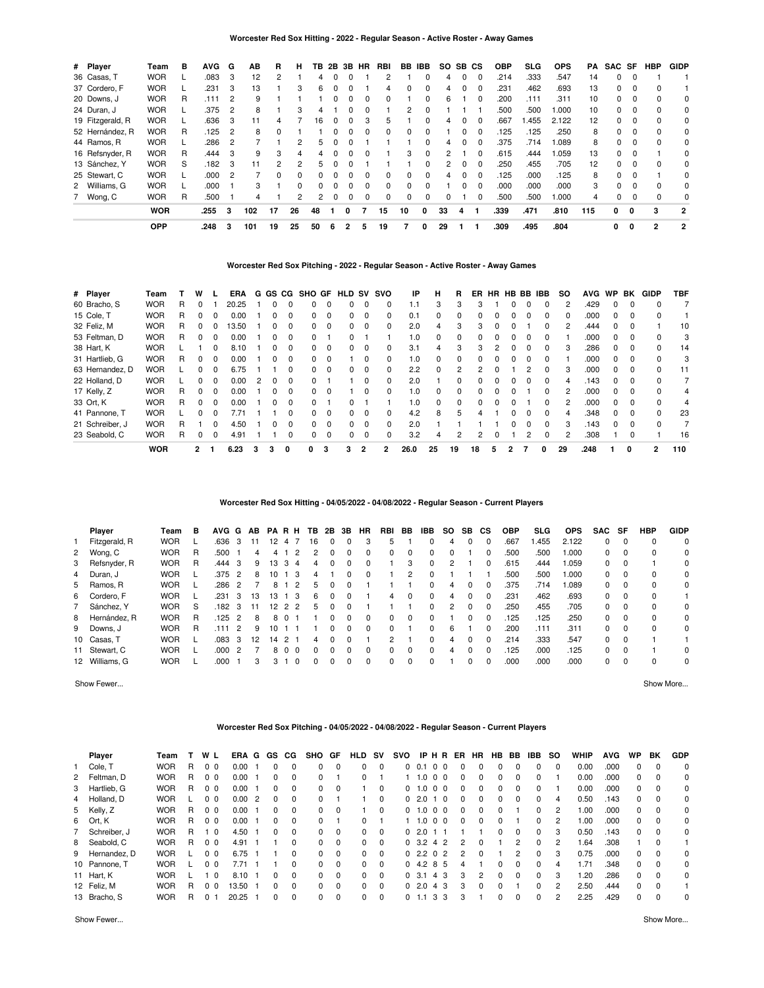### **Worcester Red Sox Hitting - 2022 - Regular Season - Active Roster - Away Games**

| # Player         | Team       | в | <b>AVG</b> | G | AВ  | R  | н  | TВ | 2B | 3B       | HR       | RBI      | BB.          | <b>IBB</b> | SO. | SB. | СS       | <b>OBP</b> | <b>SLG</b> | <b>OPS</b> | PA  | SAC SF   |          | <b>HBP</b> | <b>GIDP</b>  |
|------------------|------------|---|------------|---|-----|----|----|----|----|----------|----------|----------|--------------|------------|-----|-----|----------|------------|------------|------------|-----|----------|----------|------------|--------------|
| 36 Casas, T      | <b>WOR</b> |   | .083       | 3 | 12  |    |    | 4  |    |          |          |          |              |            | 4   |     |          | .214       | .333       | .547       | 14  | 0        |          |            |              |
| 37 Cordero, F    | <b>WOR</b> |   | .231       | 3 | 13  |    | 3  | 6  |    |          |          | 4        | 0            | 0          | 4   |     | 0        | .231       | .462       | .693       | 13  | 0        | 0        |            |              |
| 20 Downs, J      | <b>WOR</b> | R | .111       | 2 | 9   |    |    |    |    | $\Omega$ | $\Omega$ | 0        |              | 0          | 6   |     | $\Omega$ | .200       | .111       | .311       | 10  | 0        | $\Omega$ |            | 0            |
| 24 Duran, J      | <b>WOR</b> |   | .375       | 2 | 8   |    | 3  |    |    |          |          |          | 2            | 0          |     |     |          | .500       | .500       | 1.000      | 10  | 0        |          |            | $\Omega$     |
| 19 Fitzgerald, R | <b>WOR</b> |   | .636       | 3 | 11  |    |    | 16 |    | 0        | З        | 5        |              | 0          | 4   |     | $\Omega$ | .667       | .455       | 2.122      | 12  | 0        | 0        |            | 0            |
| 52 Hernández, R  | <b>WOR</b> | R | .125       | 2 | 8   | 0  |    |    |    |          | 0        | 0        | 0            | 0          |     |     | $\Omega$ | 125        | .125       | .250       | 8   | 0        | $\Omega$ |            | 0            |
| 44 Ramos, R      | <b>WOR</b> |   | .286       | 2 |     |    |    | 5. |    |          |          |          |              | 0          | 4   |     | 0        | .375       | .714       | 1.089      | 8   | 0        | 0        |            | 0            |
| 16 Refsnyder, R  | <b>WOR</b> | R | .444       | 3 | 9   | 3  | 4  | 4  |    |          | $\Omega$ |          | 3            | $\Omega$   | 2   |     | $\Omega$ | .615       | .444       | 1.059      | 13  | 0        | 0        |            | 0            |
| 13 Sánchez, Y    | <b>WOR</b> | S | .182       | 3 | 11  | 2  | 2  | 5  |    |          |          |          |              | 0          | 2   |     | $\Omega$ | .250       | .455       | .705       | 12  | 0        | 0        |            | 0            |
| 25 Stewart, C    | <b>WOR</b> |   | .000       |   |     | 0  | 0  | 0  |    |          |          | 0        | 0            | 0          | 4   |     | 0        | 125        | .000       | .125       | 8   | 0        | 0        |            | 0            |
| 2 Williams, G    | <b>WOR</b> |   | .000       |   | 3   |    | 0  | 0  |    | $\Omega$ | 0        | $\Omega$ | <sup>0</sup> | $\Omega$   |     | O   | $\Omega$ | .000       | .000       | .000       | 3   | $\Omega$ | $\Omega$ | 0          | 0            |
| 7 Wong, C        | <b>WOR</b> | R | .500       |   | 4   |    | 2  | 2  |    | $\Omega$ | $\Omega$ | 0        | $\Omega$     | 0          | 0   |     |          | .500       | .500       | 1.000      | 4   | 0        | 0        |            | 0            |
|                  | <b>WOR</b> |   | .255       | 3 | 102 | 17 | 26 | 48 |    | 0        |          | 15       | 10           | 0          | 33  | 4   |          | .339       | .471       | .810       | 115 | 0        | $\Omega$ | 3          | $\mathbf{2}$ |
|                  | <b>OPP</b> |   | .248       | 3 | 101 | 19 | 25 | 50 | 6  | 2        | 5        | 19       |              | 0          | 29  |     |          | .309       | .495       | .804       |     | 0        | 0        | 2          | 2            |

# **Worcester Red Sox Pitching - 2022 - Regular Season - Active Roster - Away Games**

| # Player        | Team       |   | W            |          | ERA   | G | GS. | CG       | SHO GF   |          | <b>HLD SV</b> |          | svo      | IP   | н        | R             | ER            | HR.          |    | HB BB | <b>IBB</b>   | <b>SO</b> | <b>AVG</b> | <b>WP</b>    | BK       | <b>GIDP</b>    | <b>TBF</b> |
|-----------------|------------|---|--------------|----------|-------|---|-----|----------|----------|----------|---------------|----------|----------|------|----------|---------------|---------------|--------------|----|-------|--------------|-----------|------------|--------------|----------|----------------|------------|
| 60 Bracho, S    | <b>WOR</b> | R | 0            |          | 20.25 |   |     |          | 0        | $\Omega$ | 0             | 0        | $\Omega$ | 1.1  | 3        | 3             | З             |              |    |       |              |           | .429       |              |          |                |            |
| 15 Cole, T      | <b>WOR</b> | R |              | 0        | 0.00  |   |     | 0        | 0        | 0        | 0             | $\Omega$ | 0        | 0.1  | 0        | 0             | 0             |              | n  |       |              |           | .000       | <sup>n</sup> | $\Omega$ |                |            |
| 32 Feliz, M     | <b>WOR</b> | R | 0            | 0        | 13.50 |   |     | $\Omega$ | $\Omega$ | $\Omega$ | 0             | 0        | $\Omega$ | 2.0  | 4        | 3             | 3             |              |    |       |              |           | .444       |              |          |                | 10         |
| 53 Feltman, D   | <b>WOR</b> | R | 0            | $\Omega$ | 0.00  |   | n   | $\Omega$ | 0        |          | 0             |          |          | 1.0  | $\Omega$ | $\Omega$      | 0             | <sup>0</sup> | U  | O     |              |           | .000       | $\Omega$     | $\Omega$ | $\Omega$       | 3          |
| 38 Hart, K      | <b>WOR</b> |   |              | 0        | 8.10  |   |     |          | 0        | 0        | 0             | 0        | 0        | 3.1  | 4        | 3             | 3             |              |    |       |              |           | .286       |              |          |                | 14         |
| 31 Hartlieb, G  | <b>WOR</b> | R | 0            | $\Omega$ | 0.00  |   |     | $\Omega$ | 0        | $\Omega$ |               | 0        | $\Omega$ | 1.0  | $\Omega$ | $\Omega$      | 0             | 0            | O. |       |              |           | .000       | <sup>0</sup> | $\Omega$ | <sup>0</sup>   | 3          |
| 63 Hernandez, D | <b>WOR</b> |   |              | 0        | 6.75  |   |     |          | 0        | $\Omega$ | 0             | 0        | $\Omega$ | 2.2  | $\Omega$ | $\mathcal{P}$ | $\mathcal{P}$ |              |    |       |              |           | .000       |              |          |                | 11         |
| 22 Holland, D   | <b>WOR</b> |   | U            | $\Omega$ | 0.00  | 2 |     | $\Omega$ | 0        |          |               | 0        | $\Omega$ | 2.0  |          | $\Omega$      | 0             | <sup>0</sup> | 0  |       | <sup>n</sup> | 4         | 143        | <sup>n</sup> | $\Omega$ |                |            |
| 17 Kelly, Z     | <b>WOR</b> | R | U            | $\Omega$ | 0.00  |   |     |          | 0        | $\Omega$ |               | O        | $\Omega$ | 1.0  | $\Omega$ | <sup>0</sup>  | 0             |              |    |       |              |           | .000       |              |          |                | 4          |
| 33 Ort, K       | <b>WOR</b> | R | 0            | $\Omega$ | 0.00  |   |     | $\Omega$ | 0        |          | <sup>0</sup>  |          |          | 1.0  | $\Omega$ | $\Omega$      | 0             |              |    |       |              |           | .000       | <sup>0</sup> | $\Omega$ | <sup>0</sup>   | 4          |
| 41 Pannone, T   | <b>WOR</b> |   |              | 0        | 7.71  |   |     |          | 0        | $\Omega$ | 0             | 0        | $\Omega$ | 4.2  | 8        | 5             | 4             |              | O. |       |              |           | .348       | <sup>n</sup> | $\Omega$ |                | 23         |
| 21 Schreiber, J | <b>WOR</b> | R |              | $\Omega$ | 4.50  |   | n   | $\Omega$ | $\Omega$ | $\Omega$ | $\Omega$      | $\Omega$ | $\Omega$ | 2.0  |          |               |               |              | 0  |       | $\Omega$     | з         | 143        | $\Omega$     | $\Omega$ | $\Omega$       |            |
| 23 Seabold, C   | <b>WOR</b> | R | 0            | 0        | 4.91  |   |     |          | 0        | 0        | 0             | $\Omega$ | 0        | 3.2  | 4        | 2             | 2             |              |    |       |              |           | .308       |              | $\Omega$ |                | 16         |
|                 | <b>WOR</b> |   | $\mathbf{2}$ |          | 6.23  |   | 3   | 0        | 0        | з        | 3             |          |          | 26.0 | 25       | 19            | 18            |              |    |       | 0            | 29        | .248       |              | 0        | $\overline{2}$ | 110        |

**Worcester Red Sox Hitting - 04/05/2022 - 04/08/2022 - Regular Season - Current Players**

| Player          | Team       | B | AVG G |               | AB | <b>PARH</b> |               |                | TВ | 2Β       | 3B           | HR.      | RBI | BB       | IBB          | SO. | SB.          | СS       | <b>OBP</b> | <b>SLG</b> | <b>OPS</b> | <b>SAC</b> | SF       | HBP      | <b>GIDP</b> |
|-----------------|------------|---|-------|---------------|----|-------------|---------------|----------------|----|----------|--------------|----------|-----|----------|--------------|-----|--------------|----------|------------|------------|------------|------------|----------|----------|-------------|
| 1 Fitzgerald, R | <b>WOR</b> |   | .636  | 3             | 11 | 12          | 47            |                | 16 | $\Omega$ | 0            | 3        | 5   |          | 0            | 4   | 0            | $\Omega$ | .667       | .455       | 2.122      | $\Omega$   | - 0      | 0        | $\Omega$    |
| 2 Wong, C       | <b>WOR</b> | R | .500  |               | 4  |             |               |                |    |          |              | $\Omega$ | 0   | $\Omega$ | 0            |     |              | 0        | .500       | .500       | 000.1      | $\Omega$   | $\Omega$ | $\Omega$ | 0           |
| 3 Refsnyder, R  | <b>WOR</b> | R | .444  | 3             | 9  | 13          | 3             | 4              |    |          |              | $\Omega$ |     | 3        |              |     |              | 0        | .615       | .444       | l.059      | $\Omega$   |          |          | 0           |
| 4 Duran, J      | <b>WOR</b> |   | .375  | 2             | 8  |             |               | 3              | 4  |          |              | $\Omega$ |     |          |              |     |              |          | .500       | .500       | 000.1      | $\Omega$   | - 0      | 0        | $\Omega$    |
| 5 Ramos, R      | <b>WOR</b> |   | .286  | $\mathcal{P}$ |    | 8           |               | 2              | ҕ  |          |              |          |     |          | 0            | 4   | 0            | $\Omega$ | .375       | .714       | .089       | 0          | - 0      | $\Omega$ | 0           |
| 6 Cordero, F    | <b>WOR</b> |   | .231  | 3             | 13 | 13          |               | -3             | 6  |          |              |          | 4   | $\Omega$ | 0            | 4   | 0            | $\Omega$ | .231       | .462       | .693       | $\Omega$   | $\Omega$ | 0        |             |
| 7 Sánchez, Y    | <b>WOR</b> | S | .182  | 3             | 11 | 12          | $\mathcal{P}$ | $\overline{2}$ | 5  |          |              |          |     |          | 0            |     | 0            | $\Omega$ | .250       | .455       | .705       | $\Omega$   | $\Omega$ | $\Omega$ | $\Omega$    |
| 8 Hernández, R  | <b>WOR</b> | R | .125  | $\mathcal{P}$ | 8  | 8           | $\Omega$      |                |    |          |              | $\Omega$ | 0   | $\Omega$ | 0            |     | <sup>0</sup> | 0        | .125       | .125       | .250       | $\Omega$   | $\Omega$ | $\Omega$ | 0           |
| 9 Downs, J      | <b>WOR</b> | R | 111   | 2             | 9  | 10          |               |                |    |          |              | $\Omega$ | 0   |          |              | 6   |              | 0        | .200       | .111       | .311       | $\Omega$   | $\Omega$ | $\Omega$ | 0           |
| 10 Casas, T     | <b>WOR</b> |   | .083  | 3             | 12 | 14          | 2             |                | 4  |          |              |          | 2   |          | <sup>0</sup> | 4   | <sup>0</sup> | $\Omega$ | .214       | .333       | .547       | 0          | - 0      |          |             |
| 11 Stewart, C   | <b>WOR</b> |   | .000  | $\mathcal{P}$ |    | 8           | $\Omega$      | $\Omega$       |    |          |              | $\Omega$ | 0   | $\Omega$ | <sup>0</sup> | 4   | <sup>0</sup> | $\Omega$ | .125       | .000       | .125       | 0          | $\Omega$ |          | $\Omega$    |
| 12 Williams, G  | <b>WOR</b> |   | .000  |               | 3  | 3           |               | $\Omega$       |    |          | <sup>0</sup> | $\Omega$ | 0   | $\Omega$ | 0            |     | 0            | $\Omega$ | .000       | .000       | .000       | $\Omega$   | $\Omega$ | $\Omega$ | $\Omega$    |

Show Fewer... Show More...

### **Worcester Red Sox Pitching - 04/05/2022 - 04/08/2022 - Regular Season - Current Players**

| Player         | Team       |    | W L            | ERA   | G | GS           | CG.      | SHO GF       |          | <b>HLD SV</b> |          | svo |              |                      | IPHRER | HR           | HB           | BB.      | IBB      | so            | <b>WHIP</b> | <b>AVG</b> | <b>WP</b> | ВK       | <b>GDP</b> |
|----------------|------------|----|----------------|-------|---|--------------|----------|--------------|----------|---------------|----------|-----|--------------|----------------------|--------|--------------|--------------|----------|----------|---------------|-------------|------------|-----------|----------|------------|
| 1 Cole, T      | <b>WOR</b> | R  | 0 <sub>0</sub> | 0.00  |   | 0            | $\Omega$ | 0            | 0        | $\Omega$      | $\Omega$ | 0   | 0.1          | 0 <sub>0</sub>       | 0      |              | $\Omega$     | $\Omega$ | 0        | $\Omega$      | 0.00        | .000       | 0         | $\Omega$ | $\Omega$   |
| 2 Feltman, D   | <b>WOR</b> | R. | 0 <sub>0</sub> | 0.00  |   | 0            | 0        | 0            |          | $\Omega$      |          |     | 1.0          | $\Omega$<br>$\Omega$ | 0      | <sup>0</sup> | $\Omega$     | $\Omega$ | 0        |               | 0.00        | .000       | 0         | $\Omega$ | $\Omega$   |
| 3 Hartlieb, G  | <b>WOR</b> | R  | 0 <sub>0</sub> | 0.00  |   | 0            | 0        | 0            | 0        |               | $\Omega$ | 0   | 1.0          | 0 <sub>0</sub>       | 0      | 0            | $\Omega$     | $\Omega$ | 0        |               | 0.00        | .000       | 0         | $\Omega$ | 0          |
| 4 Holland, D   | <b>WOR</b> |    | 0 <sub>0</sub> | 0.00  | 2 | 0            | $\Omega$ | 0            |          |               | $\Omega$ | 0   | 2.0          | $\Omega$             | 0      | <sup>0</sup> | $\Omega$     | $\Omega$ | 0        | 4             | 0.50        | .143       | 0         | $\Omega$ | $\Omega$   |
| 5 Kelly, Z     | <b>WOR</b> | R. | 0 <sub>0</sub> | 0.00  |   | 0            | $\Omega$ | 0            | $\Omega$ |               | $\Omega$ |     | 0, 1.0       | 0 <sub>0</sub>       | 0      | <sup>0</sup> | $\Omega$     |          | 0        | 2             | 00.1        | .000       | 0         | $\Omega$ | $\Omega$   |
| 6 Ort, K       | <b>WOR</b> | R. | 0 <sub>0</sub> | 0.00  |   | 0            | 0        | 0            |          | 0             |          |     | 1.0          | $\Omega$<br>$\Omega$ | 0      | <sup>0</sup> | $\Omega$     |          | 0        | 2             | 1.00        | .000       | 0         | $\Omega$ | $\Omega$   |
| 7 Schreiber, J | <b>WOR</b> | R. | $\Omega$       | 4.50  |   | $\Omega$     | $\Omega$ | 0            | 0        | $\Omega$      | $\Omega$ | 0   | 2.0          |                      |        |              | $\Omega$     | $\Omega$ | 0        | 3             | 0.50        | .143       | 0         | $\Omega$ | 0          |
| 8 Seabold, C   | <b>WOR</b> | R. | 0 <sub>0</sub> | 4.91  |   |              | 0        | 0            | $\Omega$ | $\Omega$      | $\Omega$ |     | $0\quad 3.2$ | 4 2                  | 2      | <sup>0</sup> |              | 2        | $\Omega$ | $\mathcal{P}$ | .64         | .308       |           |          |            |
| 9 Hernandez, D | <b>WOR</b> |    | 0 <sub>0</sub> | 6.75  |   |              | 0        | 0            | $\Omega$ | 0             | $\Omega$ |     |              | 02.202               | 2      | <sup>0</sup> |              | 2        | 0        | 3             | 0.75        | .000       | 0         | $\Omega$ | $\Omega$   |
| 10 Pannone, T  | <b>WOR</b> |    | 0 <sub>0</sub> | 7.71  |   |              | $\Omega$ | 0            | 0        | $\Omega$      | $\Omega$ | 0   |              | 4.2 8 5              | 4      |              | <sup>0</sup> | $\Omega$ | 0        |               | 1.71        | .348       | 0         | $\Omega$ | $\Omega$   |
| 11 Hart, K     | <b>WOR</b> |    | 10             | 8.10  |   | <sup>0</sup> | 0        | <sup>0</sup> | $\Omega$ | $\Omega$      | $\Omega$ |     | 0, 3.1       | 43                   | 3      | 2            | $\Omega$     | $\Omega$ | 0        | 3             | .20         | .286       | 0         | $\Omega$ | $\Omega$   |
| 12 Feliz, M    | <b>WOR</b> | R. | 0 <sub>0</sub> | 13.50 |   | 0            | 0        | 0            | 0        | $\Omega$      | $\Omega$ |     | 02.0         | -3<br>4              | 3      |              | 0            |          | 0        | 2             | 2.50        | .444       | 0         |          |            |
| 13 Bracho, S   | <b>WOR</b> | R. | 0              | 20.25 |   | 0            | $\Omega$ | 0            | 0        | $\Omega$      | $\Omega$ |     | 0, 1.1       | 33                   | 3      |              | 0            | $\Omega$ | 0        | 2             | 2.25        | .429       | 0         |          | 0          |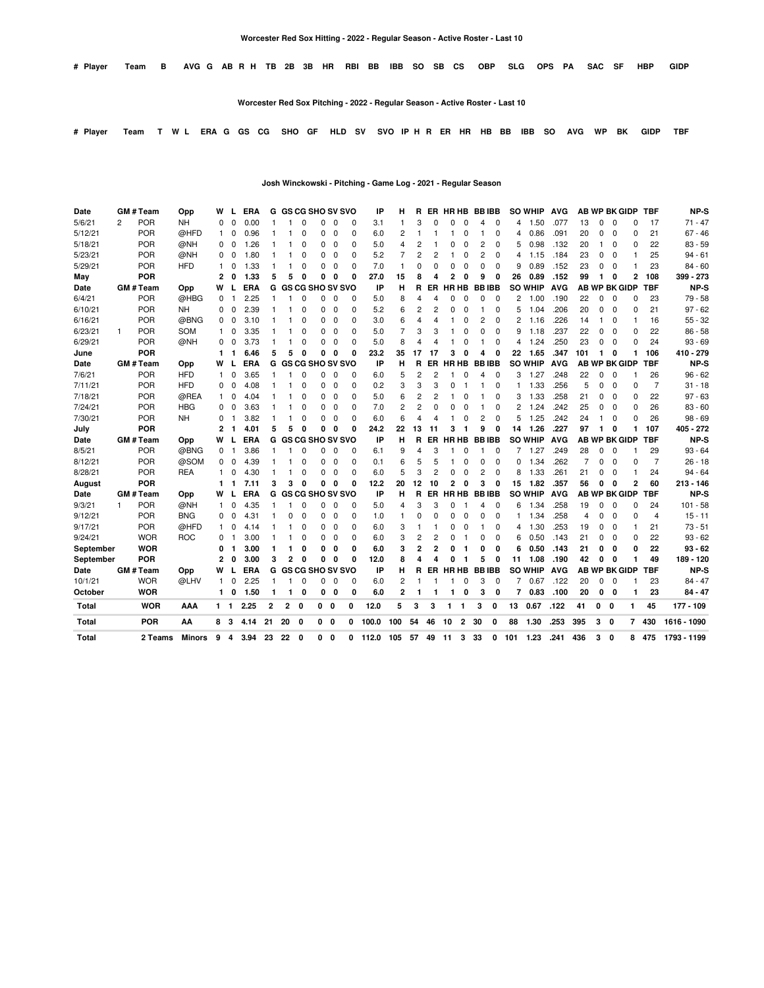| AVG GABRH TB 2B 3B HR RBI BB IBB SO SB CS OBP SLG OPS PA SAC SF HBP GIDP | # Plaver Team B |  |  |  |  |  |  |  |  |  |  |  |  |  |  |  |  |  |  |  |  |  |  |  |  |
|--------------------------------------------------------------------------|-----------------|--|--|--|--|--|--|--|--|--|--|--|--|--|--|--|--|--|--|--|--|--|--|--|--|
|--------------------------------------------------------------------------|-----------------|--|--|--|--|--|--|--|--|--|--|--|--|--|--|--|--|--|--|--|--|--|--|--|--|

**Worcester Red Sox Pitching - 2022 - Regular Season - Active Roster - Last 10**

# Player Team T W L ERA G GS CG SHO GF HLD SV SVO IP H R ER HR HB BB IBB SO AVG WP BK GIDP TBF

**Josh Winckowski - Pitching - Game Log - 2021 - Regular Season**

| Date      |                | <b>GM#Team</b>   | Opp           | w            |                | <b>ERA</b> | G            |                           | <b>GS CG SHO SV SVO</b> |          |              |          | IP    | н              | R              |                | ER HRHB        |                |                | <b>BBIBB</b> |     | <b>SO WHIP</b> | AVG        |                |              |              | <b>AB WP BK GIDP</b> | <b>TBF</b>     | NP-S        |
|-----------|----------------|------------------|---------------|--------------|----------------|------------|--------------|---------------------------|-------------------------|----------|--------------|----------|-------|----------------|----------------|----------------|----------------|----------------|----------------|--------------|-----|----------------|------------|----------------|--------------|--------------|----------------------|----------------|-------------|
| 5/6/21    | $\overline{2}$ | POR              | <b>NH</b>     | $\Omega$     | $\Omega$       | 0.00       | 1            |                           | $\Omega$                | $\Omega$ | $\Omega$     | 0        | 3.1   | 1              | 3              | $\Omega$       | $\Omega$       | $\Omega$       | 4              | $\Omega$     | 4   | 1.50           | .077       | 13             | 0            | $\mathbf 0$  | 0                    | 17             | $71 - 47$   |
| 5/12/21   |                | POR              | @HFD          | -1           | 0              | 0.96       |              |                           | 0                       | 0        | $\Omega$     | $\Omega$ | 6.0   | $\overline{2}$ |                |                |                | $\Omega$       | 1              | $\Omega$     | 4   | 0.86           | .091       | 20             | 0            | $\Omega$     | 0                    | 21             | $67 - 46$   |
| 5/18/21   |                | <b>POR</b>       | @NH           | 0            | $\Omega$       | 1.26       |              |                           | $\Omega$                | $\Omega$ | 0            | 0        | 5.0   | $\overline{4}$ | 2              |                | 0              | $\Omega$       | $\overline{c}$ | $\Omega$     | 5   | 0.98           | .132       | 20             | 1            | $\Omega$     | 0                    | 22             | $83 - 59$   |
| 5/23/21   |                | <b>POR</b>       | @NH           | 0            | $\Omega$       | 1.80       |              |                           | $\Omega$                | $\Omega$ | $\Omega$     | 0        | 5.2   | 7              | 2              | 2              |                | 0              | 2              | $\Omega$     | 4   | 1.15           | .184       | 23             | 0            | 0            |                      | 25             | $94 - 61$   |
| 5/29/21   |                | <b>POR</b>       | <b>HFD</b>    | 1            | 0              | 1.33       |              |                           | 0                       | 0        | $\Omega$     | $\Omega$ | 7.0   | $\mathbf{1}$   | $\Omega$       | $\Omega$       | $\Omega$       | 0              | $\Omega$       | $\Omega$     | 9   | 0.89           | .152       | 23             | 0            | $\Omega$     |                      | 23             | $84 - 60$   |
| May       |                | <b>POR</b>       |               | 2            | 0              | 1.33       | 5            | 5                         | n                       | 0        | 0            | 0        | 27.0  | 15             | 8              | Δ              | $\overline{2}$ | 0              | 9              | 0            | 26  | 0.89           | .152       | 99             | $\mathbf{1}$ | 0            | 2                    | 108            | 399 - 273   |
| Date      |                | <b>GM#Team</b>   | Opp           | w            |                | <b>ERA</b> | G            |                           | <b>GS CG SHO SV SVO</b> |          |              |          | IP    | н              | R              | ER.            |                | <b>HR HB</b>   |                | <b>BBIBB</b> |     | <b>SO WHIP</b> | <b>AVG</b> |                |              |              | <b>AB WP BK GIDP</b> | <b>TBF</b>     | NP-S        |
| 6/4/21    |                | <b>POR</b>       | @HBG          | $\Omega$     | 1              | 2.25       | $\mathbf{1}$ | 1                         | $\Omega$                | $\Omega$ | $\Omega$     | 0        | 5.0   | 8              | 4              | 4              | $\Omega$       | $\Omega$       | $\Omega$       | $\Omega$     | 2   | 1.00           | .190       | 22             | 0            | 0            | 0                    | 23             | $79 - 58$   |
| 6/10/21   |                | <b>POR</b>       | <b>NH</b>     | 0            | 0              | 2.39       | 1            |                           | $\Omega$                | 0        | 0            | 0        | 5.2   | 6              | 2              | 2              | 0              | 0              | 1              | $\mathbf 0$  | 5   | 1.04           | .206       | 20             | 0            | 0            | 0                    | 21             | $97 - 62$   |
| 6/16/21   |                | <b>POR</b>       | @BNG          | 0            | $\Omega$       | 3.10       |              |                           | $\Omega$                | $\Omega$ | 0            | O        | 3.0   | 6              | 4              | 4              |                | $\Omega$       | 2              | 0            | 2   | 1.16           | .226       | 14             | 1            | 0            |                      | 16             | $55 - 32$   |
| 6/23/21   | 1              | <b>POR</b>       | <b>SOM</b>    | 1            | $\Omega$       | 3.35       |              |                           | 0                       | $\Omega$ | $\Omega$     | 0        | 5.0   | 7              | 3              | 3              |                | $\Omega$       | 0              | $\Omega$     | 9   | 1.18           | .237       | 22             | 0            | $\Omega$     | 0                    | 22             | $86 - 58$   |
| 6/29/21   |                | <b>POR</b>       | @NH           | 0            | 0              | 3.73       |              |                           | $\Omega$                | 0        | 0            | 0        | 5.0   | 8              | 4              | 4              |                | $\Omega$       | 1              | 0            | 4   | 1.24           | .250       | 23             | 0            | 0            | 0                    | 24             | $93 - 69$   |
| June      |                | <b>POR</b>       |               | 1            |                | 6.46       | 5            | 5                         | $\Omega$                | 0        | 0            | 0        | 23.2  | 35             | 17             | 17             | 3              | $\Omega$       | 4              | 0            | 22  | 1.65           | .347       | 101            | 1            | 0            |                      | 106            | 410 - 279   |
| Date      |                | GM # Team        | Opp           | w            |                | <b>ERA</b> |              | <b>G GS CG SHO SV SVO</b> |                         |          |              |          | IP    | н              | R              | ER             |                | <b>HR HB</b>   |                | <b>BBIBB</b> |     | <b>SO WHIP</b> | <b>AVG</b> |                |              |              | <b>AB WP BK GIDP</b> | <b>TBF</b>     | NP-S        |
| 7/6/21    |                | <b>POR</b>       | <b>HFD</b>    | $\mathbf{1}$ | $\Omega$       | 3.65       | 1            | 1                         | $\Omega$                | $\Omega$ | 0            | 0        | 6.0   | 5              | $\overline{2}$ | $\overline{2}$ |                | $\Omega$       | 4              | $\mathbf 0$  | 3   | 1.27           | .248       | 22             | 0            | $\mathbf 0$  |                      | 26             | $96 - 62$   |
| 7/11/21   |                | <b>POR</b>       | <b>HFD</b>    | $\Omega$     | $\Omega$       | 4.08       | 1            |                           | $\Omega$                | $\Omega$ | 0            | 0        | 0.2   | 3              | 3              | 3              | $\Omega$       | -1             | 1              | $\Omega$     | 1   | 1.33           | .256       | 5              | 0            | 0            | 0                    | 7              | $31 - 18$   |
| 7/18/21   |                | <b>POR</b>       | @REA          | $\mathbf{1}$ | $\Omega$       | 4.04       |              |                           | $\Omega$                | 0        | 0            | $\Omega$ | 5.0   | 6              | 2              | 2              |                | 0              |                | $\Omega$     | 3   | 1.33           | .258       | 21             | 0            | 0            | 0                    | 22             | $97 - 63$   |
| 7/24/21   |                | POR              | <b>HBG</b>    | 0            | $\Omega$       | 3.63       |              |                           | $\Omega$                | $\Omega$ | 0            | $\Omega$ | 7.0   | $\overline{2}$ | $\overline{2}$ | $\Omega$       | 0              | $\Omega$       |                | $\Omega$     | 2   | 1.24           | .242       | 25             | 0            | $\Omega$     | 0                    | 26             | $83 - 60$   |
| 7/30/21   |                | <b>POR</b>       | <b>NH</b>     | 0            |                | 3.82       |              |                           | $\Omega$                | $\Omega$ | 0            | $\Omega$ | 6.0   | 6              | 4              | 4              |                | $\Omega$       | 2              | $\Omega$     | 5   | 1.25           | .242       | 24             | 1            | 0            | 0                    | 26             | $98 - 69$   |
| July      |                | <b>POR</b>       |               | 2            | $\mathbf{1}$   | 4.01       | 5            | 5                         | $\Omega$                | 0        | 0            | 0        | 24.2  | 22             | 13             | 11             | 3              |                | 9              | 0            | 14  | 1.26           | .227       | 97             | 1            | 0            |                      | 107            | 405 - 272   |
| Date      |                | <b>GM#Team</b>   | Opp           | W            |                | <b>ERA</b> | G            |                           | <b>GS CG SHO SV SVO</b> |          |              |          | IP    | н              | R              | ER             |                | HR HB          |                | <b>BBIBB</b> |     | <b>SO WHIP</b> | <b>AVG</b> |                |              |              | <b>AB WP BK GIDP</b> | <b>TBF</b>     | NP-S        |
| 8/5/21    |                | <b>POR</b>       | @BNG          | 0            |                | 3.86       | -1           | 1                         | $\Omega$                | $\Omega$ | 0            | 0        | 6.1   | 9              | 4              | 3              |                | $\Omega$       |                | $\mathbf 0$  | 7   | 1.27           | .249       | 28             | 0            | 0            |                      | 29             | $93 - 64$   |
| 8/12/21   |                | POR              | @SOM          | 0            | $\Omega$       | 4.39       | $\mathbf{1}$ | 1                         | $\Omega$                | $\Omega$ | $\Omega$     | 0        | 0.1   | 6              | 5              | 5              | 1              | $\Omega$       | 0              | $\Omega$     | 0   | 1.34           | .262       | $\overline{7}$ | 0            | 0            | 0                    | $\overline{7}$ | $26 - 18$   |
| 8/28/21   |                | POR              | <b>REA</b>    | 1            | 0              | 4.30       | -1           | 1                         | $\Omega$                | $\Omega$ | 0            | $\Omega$ | 6.0   | 5              | 3              | $\overline{2}$ | $\Omega$       | 0              | $\overline{c}$ | $\Omega$     | 8   | 1.33           | .261       | 21             | 0            | $\Omega$     |                      | 24             | $94 - 64$   |
| August    |                | <b>POR</b>       |               | 1            | -1             | 7.11       | 3            | 3                         | $\Omega$                | 0        | 0            | 0        | 12.2  | 20             | 12             | 10             | $\mathbf{2}$   | 0              | 3              | 0            | 15  | 1.82           | .357       | 56             | 0            | 0            | 2                    | 60             | $213 - 146$ |
| Date      |                | <b>GM # Team</b> | Opp           | w            |                | <b>ERA</b> | G            |                           | <b>GS CG SHO SV SVO</b> |          |              |          | IP    | н              | R              | ER.            |                | HR HB          |                | <b>BBIBB</b> |     | <b>SO WHIP</b> | <b>AVG</b> |                |              |              | <b>AB WP BK GIDP</b> | <b>TBF</b>     | NP-S        |
| 9/3/21    | 1              | <b>POR</b>       | @NH           | 1            | $\Omega$       | 4.35       |              |                           | $\Omega$                |          | 0            | $\Omega$ | 5.0   | 4              | 3              | 3              | 0              |                | 4              | $\Omega$     | 6   | 1.34           | .258       | 19             | $\Omega$     | $\Omega$     | 0                    | 24             | $101 - 58$  |
| 9/12/21   |                | <b>POR</b>       | <b>BNG</b>    | 0            | 0              | 4.31       |              | 0                         | $\Omega$                | 0        | 0            | 0        | 1.0   | -1             | $\Omega$       | 0              | $\Omega$       | 0              | 0              | $\mathbf 0$  | 1   | 1.34           | .258       | $\overline{4}$ | 0            | 0            | 0                    | $\overline{4}$ | $15 - 11$   |
| 9/17/21   |                | <b>POR</b>       | @HFD          | 1            | $\Omega$       | 4.14       | 1            | 1                         | $\Omega$                | $\Omega$ | 0            | 0        | 6.0   | 3              | 1              | 1              | 0              | 0              | 1              | 0            | 4   | 1.30           | .253       | 19             | 0            | 0            |                      | 21             | $73 - 51$   |
| 9/24/21   |                | <b>WOR</b>       | <b>ROC</b>    | 0            |                | 3.00       | -1           | 1                         | $\Omega$                | $\Omega$ | $\Omega$     | $\Omega$ | 6.0   | 3              | 2              | $\overline{2}$ | 0              |                | $\Omega$       | $\Omega$     | 6   | 0.50           | .143       | 21             | 0            | $\Omega$     | 0                    | 22             | $93 - 62$   |
| September |                | <b>WOR</b>       |               | 0            | 1              | 3.00       | 1            | 1                         | 0                       | 0        | 0            | 0        | 6.0   | 3              | $\overline{2}$ | $\overline{2}$ | 0              | 1              | 0              | 0            | 6   | 0.50           | .143       | 21             | 0            | 0            | 0                    | 22             | $93 - 62$   |
| September |                | <b>POR</b>       |               | $\mathbf{2}$ | 0              | 3.00       | 3            | 2                         | $\mathbf 0$             | 0        | 0            | 0        | 12.0  | 8              | 4              | 4              | 0              | 1              | 5              | 0            | 11  | 1.08           | .190       | 42             | 0            | 0            | 1                    | 49             | 189 - 120   |
| Date      |                | GM # Team        | Opp           | w            |                | <b>ERA</b> | G            |                           | <b>GS CG SHO SV SVO</b> |          |              |          | IP    | н              | R              | ER.            |                | <b>HR HB</b>   |                | <b>BBIBB</b> |     | <b>SO WHIP</b> | <b>AVG</b> |                |              |              | <b>AB WP BK GIDP</b> | <b>TBF</b>     | NP-S        |
| 10/1/21   |                | <b>WOR</b>       | @LHV          | 1            | $\Omega$       | 2.25       | 1            |                           | $\Omega$                | 0        | 0            | 0        | 6.0   | $\overline{2}$ |                |                |                | $\Omega$       | 3              | 0            |     | 0.67           | .122       | 20             | 0            | 0            |                      | 23             | $84 - 47$   |
| October   |                | <b>WOR</b>       |               | 1            | 0              | 1.50       | 1            | 1                         | 0                       | 0        | 0            | 0        | 6.0   | $\overline{2}$ |                |                |                | 0              | 3              | 0            | 7   | 0.83           | .100       | 20             | 0            | 0            |                      | 23             | $84 - 47$   |
| Total     |                | <b>WOR</b>       | AAA           | $1 \quad 1$  |                | 2.25       | $\mathbf{2}$ | $\mathbf{2}$              | $\mathbf{0}$            | 0        | 0            | 0        | 12.0  | 5              | 3              | 3              | 1              | 1              | 3              | 0            | 13  | 0.67           | .122       | 41             | 0            | 0            | 1                    | 45             | 177 - 109   |
| Total     |                | <b>POR</b>       | ΑА            | 83           |                | 4.14       | 21           | 20                        | - 0                     |          | $0\quad 0$   | 0        | 100.0 | 100            | 54             | 46             | 10             | $\overline{2}$ | 30             | 0            | 88  | 1.30           | .253       | 395            | 3            | - 0          |                      | 7 430          | 1616 - 1090 |
| Total     |                | 2 Teams          | <b>Minors</b> | 9            | $\overline{4}$ | 3.94       | 23           | 22                        | 0                       | 0        | $\mathbf{0}$ | 0        | 112.0 | 105            | 57             | 49             | 11             | 3              | 33             | 0            | 101 | 1.23           | .241       | 436            | 3            | $\mathbf{0}$ | 8                    | 475            | 1793 - 1199 |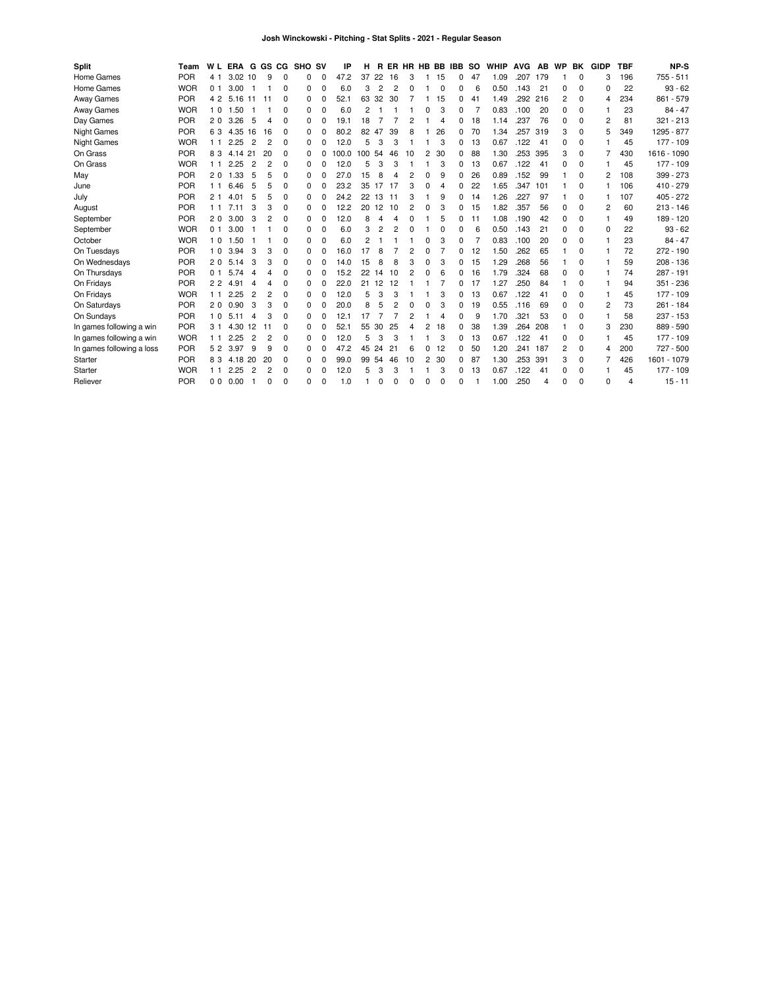| Split                     | Team       | W L            | <b>ERA</b> | G              | GS CG |          | <b>SHO SV</b> |          | ΙP    | н   | R        |                |    |   |          | ER HR HB BB IBB | so | <b>WHIP</b> | <b>AVG</b> | AB  | WP       | BK       | <b>GIDP</b>    | <b>TBF</b> | <b>NP-S</b> |
|---------------------------|------------|----------------|------------|----------------|-------|----------|---------------|----------|-------|-----|----------|----------------|----|---|----------|-----------------|----|-------------|------------|-----|----------|----------|----------------|------------|-------------|
| Home Games                | <b>POR</b> | 4 1            | 3.02       | 10             | 9     | $\Omega$ | 0             | 0        | 47.2  | 37  | 22       | 16             | 3  |   | 15       | 0               | 47 | 1.09        | .207       | 179 |          | $\Omega$ | 3              | 196        | 755 - 511   |
| Home Games                | <b>WOR</b> | 0 <sub>1</sub> | 3.00       |                |       | 0        | 0             | 0        | 6.0   | 3   | 2        | $\overline{c}$ | 0  |   | 0        | 0               | 6  | 0.50        | .143       | 21  | 0        | 0        | $\Omega$       | 22         | $93 - 62$   |
| <b>Away Games</b>         | <b>POR</b> | 4 2            | 5.16       | -11            | 11    | $\Omega$ | 0             | 0        | 52.1  | 63  | 32       | 30             |    |   | 15       | 0               | 41 | 1.49        | .292 216   |     | 2        | $\Omega$ | 4              | 234        | 861 - 579   |
| Away Games                | <b>WOR</b> | 10             | 1.50       |                |       | $\Omega$ | 0             | $\Omega$ | 6.0   | 2   |          |                |    | 0 | 3        | 0               |    | 0.83        | .100       | 20  | 0        | 0        |                | 23         | $84 - 47$   |
| Day Games                 | <b>POR</b> | 20             | 3.26       | 5              |       | $\Omega$ | 0             | 0        | 19.1  | 18  |          |                | 2  |   | 4        | 0               | 18 | 1.14        | .237       | 76  | 0        | 0        | $\overline{c}$ | 81         | $321 - 213$ |
| <b>Night Games</b>        | <b>POR</b> | 63             | 4.35       | 16             | 16    | 0        | 0             | 0        | 80.2  | 82  | 47       | 39             | 8  |   | 26       | 0               | 70 | 1.34        | .257       | 319 | 3        | 0        | 5              | 349        | 1295 - 877  |
| <b>Night Games</b>        | <b>WOR</b> | 11             | 2.25       | 2              | 2     | $\Omega$ | 0             | 0        | 12.0  | 5   | 3        | З              |    |   | 3        | 0               | 13 | 0.67        | .122       | -41 | 0        | $\Omega$ |                | 45         | 177 - 109   |
| On Grass                  | <b>POR</b> | 83             | 4.14       | 21             | 20    | $\Omega$ | 0             | 0        | 100.0 | 100 | -54      | 46             | 10 | 2 | 30       | 0               | 88 | 1.30        | .253       | 395 | 3        | $\Omega$ |                | 430        | 1616 - 1090 |
| On Grass                  | <b>WOR</b> | 11             | .25<br>2   | 2              | 2     | 0        | 0             | $\Omega$ | 12.0  | 5   | 3        | 3              |    |   | 3        | 0               | 13 | 0.67        | .122       | -41 | 0        | 0        |                | 45         | 177 - 109   |
| May                       | <b>POR</b> | 20             | 1.33       | 5              | 5     | $\Omega$ | 0             | 0        | 27.0  | 15  | 8        | 4              | 2  | 0 | 9        | 0               | 26 | 0.89        | .152       | 99  |          | $\Omega$ | 2              | 108        | 399 - 273   |
| June                      | <b>POR</b> | 11             | 6.46       | 5              | 5     | $\Omega$ | 0             | $\Omega$ | 23.2  | 35  | 17       | -17            | 3  | 0 | 4        | 0               | 22 | 1.65        | .347       | 101 |          | $\Omega$ |                | 106        | 410 - 279   |
| July                      | <b>POR</b> | 21             | 4.01       | 5              |       | 0        | O             | $\Omega$ | 24.2  | 22  | 13       | 11             | 3  |   | 9        | 0               | 14 | 1.26        | .227       | 97  |          | $\Omega$ |                | 107        | 405 - 272   |
| August                    | <b>POR</b> | 11             | 711        | 3              | 3     | $\Omega$ | 0             | $\Omega$ | 12.2  | 20  | 12       | 10             | 2  | 0 | 3        | 0               | 15 | 1.82        | .357       | 56  | 0        | $\Omega$ | 2              | 60         | $213 - 146$ |
| September                 | <b>POR</b> | 20             | 3.00       | 3              | 2     | 0        | 0             | $\Omega$ | 12.0  | 8   | 4        | 4              | 0  |   | 5        | 0               | 11 | 1.08        | .190       | 42  | 0        | $\Omega$ |                | 49         | 189 - 120   |
| September                 | <b>WOR</b> | 0 <sub>1</sub> | 3.00       |                |       | 0        | 0             | 0        | 6.0   | 3   | 2        | $\overline{c}$ | 0  |   | 0        | 0               | 6  | 0.50        | .143       | 21  | 0        | 0        | $\Omega$       | 22         | $93 - 62$   |
| October                   | <b>WOR</b> | 10             | 1.50       |                |       | 0        | 0             | 0        | 6.0   | 2   |          |                |    | 0 | 3        | 0               |    | 0.83        | .100       | 20  | $\Omega$ | 0        |                | 23         | $84 - 47$   |
| On Tuesdays               | <b>POR</b> | 10             | 3.94       | 3              | 3     | 0        | 0             | 0        | 16.0  | 17  | 8        |                | 2  | 0 |          | 0               | 12 | 1.50        | .262       | 65  |          | 0        |                | 72         | 272 - 190   |
| On Wednesdays             | <b>POR</b> | 20             | 5.14       | 3              | 3     | 0        | 0             | 0        | 14.0  | 15  | 8        | 8              | 3  | 0 | 3        | 0               | 15 | 1.29        | .268       | 56  |          | 0        |                | 59         | $208 - 136$ |
| On Thursdays              | <b>POR</b> | 0 <sub>1</sub> | 5.74       | 4              |       | 0        | 0             | 0        | 15.2  | 22  | 14       | 10             | 2  | 0 | 6        | 0               | 16 | 1.79        | .324       | 68  | 0        | $\Omega$ |                | 74         | 287 - 191   |
| On Fridays                | <b>POR</b> | 2 <sub>2</sub> | 4.91       | 4              | 4     | $\Omega$ | 0             | 0        | 22.0  | 21  | 12       | 12             |    |   | 7        | 0               | 17 | 1.27        | .250       | 84  |          | 0        |                | 94         | 351 - 236   |
| On Fridays                | <b>WOR</b> | 11             | 2<br>.25   | $\overline{2}$ |       | 0        | 0             | 0        | 12.0  | 5   | 3        | 3              |    |   | 3        | 0               | 13 | 0.67        | .122       | 41  | $\Omega$ | 0        |                | 45         | 177 - 109   |
| On Saturdays              | <b>POR</b> | 20             | 0.90       | 3              | 3     | 0        | 0             | 0        | 20.0  | 8   | 5        | 2              | 0  | 0 | 3        | 0               | 19 | 0.55        | .116       | 69  | 0        | 0        | 2              | 73         | $261 - 184$ |
| On Sundays                | <b>POR</b> | 10             | 5.11       | 4              | 3     | $\Omega$ | 0             | 0        | 12.1  | 17  |          | $\overline{7}$ | 2  |   | 4        | 0               | 9  | 1.70        | .321       | 53  | $\Omega$ | 0        |                | 58         | 237 - 153   |
| In games following a win  | <b>POR</b> | 31             | 4.30       | 12             | 11    | $\Omega$ | 0             | $\Omega$ | 52.1  | 55  | 30       | 25             | 4  | 2 | 18       | 0               | 38 | 1.39        | .264       | 208 |          | 0        | 3              | 230        | 889 - 590   |
| In games following a win  | <b>WOR</b> | 11             | 2.25       | $\overline{2}$ | 2     | 0        | O             | $\Omega$ | 12.0  | 5   | 3        | Э              |    |   | 3        | 0               | 13 | 0.67        | .122       | 41  | 0        | 0        |                | 45         | 177 - 109   |
| In games following a loss | <b>POR</b> | 52             | 3.97       | 9              | g     | 0        | 0             | 0        | 47.2  | 45  | 24       | 21             | 6  | 0 | 12       | 0               | 50 | 1.20        | .241       | 187 | 2        | 0        | 4              | 200        | 727 - 500   |
| Starter                   | <b>POR</b> | 83             | 4.18       | 20             | 20    | 0        | 0             | 0        | 99.0  | 99  | -54      | 46             | 10 | 2 | 30       | 0               | 87 | 1.30        | .253       | 391 | 3        | 0        |                | 426        | 1601 - 1079 |
| Starter                   | <b>WOR</b> | 11             | .25<br>2   | 2              | 2     | 0        | 0             | 0        | 12.0  | 5   | 3        | 3              |    |   | 3        | 0               | 13 | 0.67        | .122       | 41  | 0        | 0        |                | 45         | 177 - 109   |
| Reliever                  | <b>POR</b> | 0 <sub>0</sub> | 0.00       |                | 0     | $\Omega$ | 0             | 0        | 1.0   |     | $\Omega$ | $\Omega$       | 0  | 0 | $\Omega$ | 0               |    | 1.00        | .250       | 4   | 0        | $\Omega$ | O              | 4          | $15 - 11$   |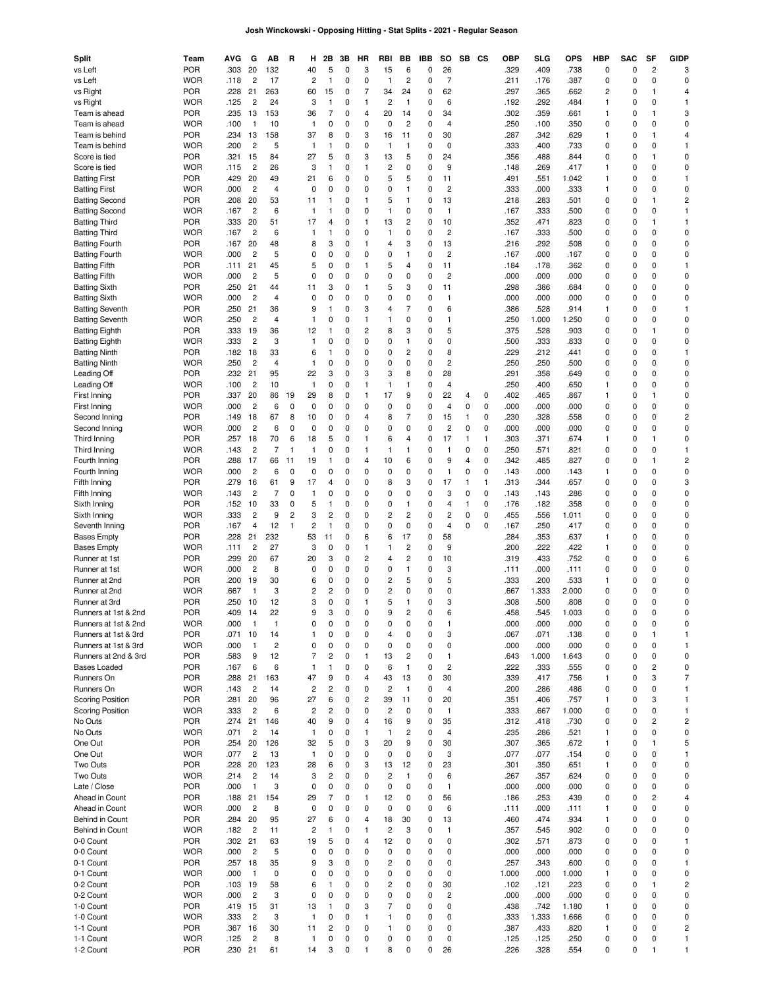# **Josh Winckowski - Opposing Hitting - Stat Splits - 2021 - Regular Season**

| Split                                          | Team                     | AVG             | G                    | AВ             | R              | н                  | 2Β           | 3В       | HR                      | RBI            | BВ             | IBB      | so                            | SB             | CS     | <b>OBP</b>   | SLG           | OPS           | НВР    | SAC         | SF             | <b>GIDP</b>                  |
|------------------------------------------------|--------------------------|-----------------|----------------------|----------------|----------------|--------------------|--------------|----------|-------------------------|----------------|----------------|----------|-------------------------------|----------------|--------|--------------|---------------|---------------|--------|-------------|----------------|------------------------------|
| vs Left                                        | <b>POR</b>               | .303            | 20                   | 132            |                | 40                 | 5            | 0        | 3                       | 15             | 6              | 0        | 26                            |                |        | .329         | .409          | .738          | 0      | 0           | $\overline{c}$ | 3                            |
| vs Left                                        | <b>WOR</b><br><b>POR</b> | .118<br>.228    | $\overline{c}$<br>21 | 17<br>263      |                | 2<br>60            | 1            | 0        | 0<br>7                  | 1<br>34        | 2<br>24        | 0<br>0   | $\overline{7}$<br>62          |                |        | .211<br>.297 | .176<br>.365  | .387<br>662   | 0<br>2 | 0<br>0      | 0<br>1         | 0<br>4                       |
| vs Right<br>vs Right                           | <b>WOR</b>               | .125            | 2                    | 24             |                | 3                  | 15<br>1      | 0<br>0   | 1                       | 2              | $\mathbf{1}$   | 0        | 6                             |                |        | .192         | .292          | 484           | 1      | 0           | 0              | 1                            |
| Team is ahead                                  | <b>POR</b>               | .235            | 13                   | 153            |                | 36                 | 7            | 0        | 4                       | 20             | 14             | 0        | 34                            |                |        | .302         | .359          | .661          | 1      | 0           | 1              | 3                            |
| Team is ahead                                  | <b>WOR</b>               | .100            | $\mathbf{1}$         | 10             |                | 1                  | 0            | 0        | 0                       | 0              | $\overline{c}$ | 0        | 4                             |                |        | .250         | .100          | .350          | 0      | $\mathbf 0$ | 0              | 0                            |
| Team is behind                                 | <b>POR</b>               | .234            | 13                   | 158            |                | 37                 | 8            | 0        | 3                       | 16             | 11             | 0        | 30                            |                |        | .287         | .342          | .629          | 1      | 0           | 1              | 4                            |
| Team is behind                                 | <b>WOR</b>               | .200            | $\overline{c}$       | 5              |                | 1                  | 1            | 0        | 0                       | 1              | 1              | 0        | 0                             |                |        | .333         | .400          | .733          | 0      | 0           | 0              | 1                            |
| Score is tied                                  | <b>POR</b>               | .321            | 15                   | 84             |                | 27                 | 5            | 0        | 3                       | 13             | 5              | 0        | 24                            |                |        | .356         | .488          | .844          | 0      | 0           | 1              | 0                            |
| Score is tied                                  | <b>WOR</b>               | .115            | 2                    | 26             |                | 3                  | 1            | 0        | 1                       | 2              | 0              | 0        | 9                             |                |        | .148         | .269          | .417          | 1      | 0           | 0              | 0                            |
| <b>Batting First</b>                           | <b>POR</b>               | .429            | 20                   | 49             |                | 21                 | 6            | 0        | 0                       | 5              | 5              | 0        | 11                            |                |        | .491         | .551          | 1.042         | 1      | 0           | 0              | 1                            |
| <b>Batting First</b>                           | <b>WOR</b>               | .000            | $\overline{c}$       | 4              |                | 0                  | 0            | 0        | 0                       | 0              | 1              | 0        | $\overline{c}$                |                |        | .333         | .000          | .333          | 1      | 0           | 0              | 0                            |
| <b>Batting Second</b>                          | <b>POR</b>               | .208            | 20                   | 53             |                | 11                 | 1            | 0        | 1                       | 5              | 1              | 0        | 13                            |                |        | .218         | .283          | .501          | 0      | 0           | 1              | 2                            |
| <b>Batting Second</b>                          | <b>WOR</b>               | .167            | 2                    | 6              |                | $\mathbf{1}$       | 1            | 0        | 0                       | 1              | 0              | 0        | $\mathbf{1}$                  |                |        | .167         | .333          | .500          | 0      | 0           | 0              | 1                            |
| <b>Batting Third</b>                           | <b>POR</b>               | .333            | 20                   | 51             |                | 17                 | 4            | 0        | 1                       | 13             | 2              | 0        | 10                            |                |        | .352         | .471          | .823          | 0      | 0           | 1              | 1                            |
| <b>Batting Third</b>                           | <b>WOR</b>               | .167            | $\overline{c}$       | 6              |                | 1                  | 1            | 0        | 0                       | $\mathbf{1}$   | 0              | 0        | $\overline{c}$                |                |        | .167         | .333          | .500          | 0      | 0           | 0<br>0         | 0                            |
| <b>Batting Fourth</b><br><b>Batting Fourth</b> | <b>POR</b><br><b>WOR</b> | .167<br>.000    | 20<br>$\overline{c}$ | 48<br>5        |                | 8<br>0             | 3<br>0       | 0<br>0   | 1<br>0                  | 4<br>0         | 3<br>1         | 0<br>0   | 13<br>2                       |                |        | .216<br>.167 | .292<br>.000  | .508<br>.167  | 0<br>0 | 0<br>0      | 0              | 0<br>0                       |
| <b>Batting Fifth</b>                           | <b>POR</b>               | .111            | 21                   | 45             |                | 5                  | 0            | 0        | 1                       | 5              | 4              | 0        | 11                            |                |        | .184         | .178          | .362          | 0      | 0           | 0              | 1                            |
| <b>Batting Fifth</b>                           | <b>WOR</b>               | .000            | $\overline{c}$       | 5              |                | 0                  | 0            | 0        | 0                       | 0              | 0              | 0        | $\overline{\mathbf{c}}$       |                |        | .000         | .000          | .000          | 0      | 0           | 0              | 0                            |
| <b>Batting Sixth</b>                           | <b>POR</b>               | .250            | 21                   | 44             |                | 11                 | 3            | 0        | 1                       | 5              | 3              | 0        | 11                            |                |        | .298         | .386          | .684          | 0      | 0           | 0              | 0                            |
| <b>Batting Sixth</b>                           | <b>WOR</b>               | .000            | $\overline{c}$       | 4              |                | 0                  | 0            | 0        | 0                       | 0              | 0              | 0        | $\mathbf{1}$                  |                |        | .000         | .000          | .000          | 0      | 0           | 0              | 0                            |
| <b>Batting Seventh</b>                         | <b>POR</b>               | .250            | 21                   | 36             |                | 9                  | 1            | 0        | 3                       | 4              | 7              | 0        | 6                             |                |        | .386         | .528          | .914          | 1      | 0           | 0              | $\mathbf{1}$                 |
| <b>Batting Seventh</b>                         | <b>WOR</b>               | .250            | 2                    | 4              |                | 1                  | 0            | 0        | 1                       | 1              | 0              | 0        | 1                             |                |        | .250         | 1.000         | 1.250         | 0      | 0           | 0              | 0                            |
| <b>Batting Eighth</b>                          | <b>POR</b>               | .333            | 19                   | 36             |                | 12                 | 1            | 0        | $\overline{c}$          | 8              | 3              | 0        | 5                             |                |        | .375         | .528          | .903          | 0      | 0           | 1              | 0                            |
| <b>Batting Eighth</b>                          | <b>WOR</b>               | .333            | $\overline{c}$       | 3              |                | 1                  | 0            | 0        | 0                       | 0              | 1              | 0        | 0                             |                |        | .500         | .333          | .833          | 0      | 0           | 0              | 0                            |
| <b>Batting Ninth</b>                           | <b>POR</b>               | .182            | 18                   | 33             |                | 6                  | 1            | 0        | 0                       | 0              | 2              | 0        | 8                             |                |        | .229         | .212          | .441          | 0      | 0           | 0              | 1                            |
| <b>Batting Ninth</b>                           | <b>WOR</b>               | .250            | 2                    | $\overline{4}$ |                | 1                  | 0            | 0        | 0                       | 0              | 0              | 0        | $\overline{c}$                |                |        | .250         | .250          | 500           | 0      | 0           | 0              | 0                            |
| Leading Off                                    | <b>POR</b>               | .232            | 21                   | 95             |                | 22                 | 3            | 0        | 3                       | 3              | 8              | 0        | 28                            |                |        | .291         | .358          | .649          | 0      | 0           | 0              | 0                            |
| Leading Off                                    | <b>WOR</b>               | .100            | 2                    | 10             |                | 1                  | 0            | 0        | 1                       | 1              | 1              | 0        | 4                             |                |        | .250         | .400          | .650          | 1      | 0           | 0              | 0                            |
| First Inning                                   | <b>POR</b>               | .337            | 20                   | 86             | 19             | 29                 | 8            | 0        | 1                       | 17             | 9              | 0        | 22                            | 4              | 0      | .402         | .465          | .867          | 1      | 0           | 1              | 0                            |
| First Inning                                   | <b>WOR</b>               | .000            | 2                    | 6              | 0              | 0                  | 0            | 0        | 0<br>4                  | 0              | 0<br>7         | 0        | 4                             | 0              | 0      | .000         | .000          | .000          | 0      | 0           | 0<br>0         | 0                            |
| Second Inning<br>Second Inning                 | <b>POR</b><br><b>WOR</b> | .149<br>.000    | 18<br>2              | 67<br>6        | 8<br>0         | 10<br>0            | 0<br>0       | 0<br>0   | 0                       | 8<br>0         | 0              | 0<br>0   | 15<br>$\overline{\mathbf{c}}$ | 1<br>0         | 0<br>0 | .230<br>.000 | .328<br>.000  | .558<br>.000  | 0<br>0 | 0<br>0      | 0              | 2<br>0                       |
| Third Inning                                   | <b>POR</b>               | .257            | 18                   | 70             | 6              | 18                 | 5            | 0        | 1                       | 6              | 4              | 0        | 17                            | $\mathbf{1}$   | 1      | .303         | .371          | .674          | 1      | 0           | 1              | 0                            |
| Third Inning                                   | <b>WOR</b>               | .143            | $\overline{c}$       | 7              | $\mathbf{1}$   | 1                  | 0            | 0        | 1                       | 1              | 1              | 0        | 1                             | 0              | 0      | .250         | .571          | .821          | 0      | 0           | 0              | $\mathbf{1}$                 |
| Fourth Inning                                  | <b>POR</b>               | .288            | 17                   | 66             | 11             | 19                 | 1            | 0        | 4                       | 10             | 6              | 0        | 9                             | $\overline{4}$ | 0      | .342         | .485          | .827          | 0      | 0           | 1              | $\overline{\mathbf{c}}$      |
| Fourth Inning                                  | <b>WOR</b>               | .000            | 2                    | 6              | 0              | 0                  | 0            | 0        | 0                       | 0              | 0              | 0        | 1                             | 0              | 0      | .143         | .000          | .143          | 1      | 0           | 0              | 0                            |
| Fifth Inning                                   | <b>POR</b>               | .279            | 16                   | 61             | 9              | 17                 | 4            | 0        | 0                       | 8              | 3              | 0        | 17                            | $\mathbf{1}$   | 1      | .313         | .344          | .657          | 0      | 0           | 0              | 3                            |
| Fifth Inning                                   | <b>WOR</b>               | .143            | 2                    | 7              | 0              | 1                  | 0            | 0        | 0                       | 0              | 0              | 0        | 3                             | 0              | 0      | .143         | .143          | .286          | 0      | 0           | 0              | 0                            |
| Sixth Inning                                   | <b>POR</b>               | .152            | 10                   | 33             | 0              | 5                  | 1            | 0        | 0                       | 0              | 1              | 0        | 4                             | $\mathbf{1}$   | 0      | .176         | .182          | 358           | 0      | 0           | 0              | 0                            |
| Sixth Inning                                   | <b>WOR</b>               | .333            | $\overline{c}$       | 9              | $\overline{c}$ | 3                  | 2            | 0        | 0                       | 2              | $\overline{c}$ | 0        | $\overline{\mathbf{c}}$       | 0              | 0      | .455         | .556          | 1.011         | 0      | 0           | 0              | 0                            |
| Seventh Inning                                 | <b>POR</b>               | .167            | 4                    | 12             | 1              | 2                  | 1            | 0        | 0                       | 0              | 0              | 0        | 4                             | 0              | 0      | .167         | .250          | .417          | 0      | 0           | 0              | 0                            |
| <b>Bases Empty</b>                             | <b>POR</b>               | .228            | 21                   | 232            |                | 53                 | 11           | 0        | 6                       | 6              | 17             | 0        | 58                            |                |        | .284         | .353          | .637          | 1      | 0           | 0              | 0                            |
| <b>Bases Empty</b>                             | <b>WOR</b>               | .111            | 2                    | 27             |                | 3                  | 0            | 0        | 1                       | 1              | 2              | 0        | 9                             |                |        | .200         | .222          | .422          | 1      | 0           | 0              | 0                            |
| Runner at 1st                                  | <b>POR</b>               | .299            | 20                   | 67             |                | 20                 | 3            | 0        | $\overline{\mathbf{c}}$ | 4              | $\overline{c}$ | 0        | 10                            |                |        | .319         | .433          | .752          | 0      | 0           | 0              | 6                            |
| Runner at 1st                                  | <b>WOR</b>               | .000            | $\overline{c}$       | 8              |                | 0                  | 0            | 0        | 0                       | 0              | 1              | 0        | 3                             |                |        | .111         | .000          | .111          | 0      | 0           | 0              | 0                            |
| Runner at 2nd                                  | <b>POR</b>               | .200            | 19<br>$\mathbf{1}$   | 30             |                | 6                  | 0            | 0        | 0                       | $\overline{c}$ | 5              | 0        | 5                             |                |        | .333         | .200          | .533          | 1      | 0           | 0              | 0                            |
| Runner at 2nd<br>Runner at 3rd                 | <b>WOR</b><br><b>POR</b> | .667<br>.250    | 10                   | 3<br>12        |                | 2<br>3             | 2<br>0       | 0<br>0   | 0<br>1                  | 2<br>5         | 0<br>1         | 0<br>0   | 0<br>3                        |                |        | .667<br>.308 | 1.333<br>.500 | 2.000<br>.808 | 0<br>0 | 0<br>0      | 0<br>0         | 0<br>0                       |
| Runners at 1st & 2nd                           | <b>POR</b>               | .409            | 14                   | 22             |                | 9                  | 3            | $\Omega$ | $\Omega$                | 9              | 2              | $\Omega$ | 6                             |                |        | 458          | .545          | 1.003         | 0      | O           | $\Omega$       | 0                            |
| Runners at 1st & 2nd                           | <b>WOR</b>               | .000            | $\mathbf{1}$         | $\mathbf{1}$   |                | 0                  | 0            | 0        | 0                       | 0              | 0              | 0        | 1                             |                |        | .000         | .000          | .000          | 0      | $\mathbf 0$ | 0              | 0                            |
| Runners at 1st & 3rd                           | <b>POR</b>               | .071            | 10                   | 14             |                | 1                  | 0            | 0        | 0                       | 4              | 0              | 0        | 3                             |                |        | .067         | .071          | .138          | 0      | $\pmb{0}$   | 1              | 1                            |
| Runners at 1st & 3rd                           | <b>WOR</b>               | .000            | $\mathbf{1}$         | $\overline{c}$ |                | 0                  | 0            | 0        | 0                       | 0              | 0              | 0        | 0                             |                |        | .000         | .000          | .000          | 0      | 0           | 0              | 1                            |
| Runners at 2nd & 3rd                           | <b>POR</b>               | .583            | 9                    | 12             |                | 7                  | 2            | 0        | 1                       | 13             | 2              | 0        | 1                             |                |        | .643         | 1.000         | 1.643         | 0      | 0           | 0              | 0                            |
| Bases Loaded                                   | <b>POR</b>               | .167            | 6                    | 6              |                | 1                  | 1            | 0        | 0                       | 6              | $\mathbf{1}$   | 0        | $\overline{c}$                |                |        | .222         | .333          | .555          | 0      | 0           | $\overline{c}$ | 0                            |
| Runners On                                     | <b>POR</b>               | .288            | 21                   | 163            |                | 47                 | 9            | 0        | 4                       | 43             | 13             | 0        | 30                            |                |        | .339         | .417          | .756          | 1      | 0           | 3              | $\overline{7}$               |
| Runners On                                     | <b>WOR</b>               | .143            | $\overline{c}$       | 14             |                | 2                  | 2            | 0        | 0                       | $\overline{c}$ | $\mathbf{1}$   | 0        | 4                             |                |        | .200         | .286          | .486          | 0      | 0           | 0              | 1                            |
| <b>Scoring Position</b>                        | <b>POR</b>               | .281            | 20                   | 96             |                | 27                 | 6            | 0        | $\overline{c}$          | 39             | 11             | 0        | 20                            |                |        | .351         | .406          | .757          | 1      | 0           | 3              | 1                            |
| <b>Scoring Position</b>                        | <b>WOR</b>               | .333            | $\overline{c}$       | 6              |                | 2                  | 2            | 0        | 0                       | 2              | 0              | 0        | $\mathbf{1}$                  |                |        | .333         | .667          | 1.000         | 0      | 0           | 0              | 1                            |
| No Outs                                        | <b>POR</b>               | .274            | 21                   | 146            |                | 40                 | 9            | 0        | 4                       | 16             | 9              | 0        | 35                            |                |        | .312         | .418          | .730          | 0      | 0           | $\overline{2}$ | $\overline{c}$               |
| No Outs                                        | <b>WOR</b>               | .071            | $\overline{c}$       | 14             |                | 1                  | 0            | 0        | 1                       | 1              | $\overline{c}$ | 0        | 4                             |                |        | .235         | .286          | .521          | 1      | 0           | 0              | 0                            |
| One Out                                        | <b>POR</b>               | .254            | 20                   | 126            |                | 32                 | 5            | 0        | 3                       | 20             | 9              | 0        | 30                            |                |        | .307         | .365          | .672          | 1      | 0           | 1              | 5                            |
| One Out<br>Two Outs                            | <b>WOR</b><br><b>POR</b> | .077<br>.228    | $\overline{c}$<br>20 | 13<br>123      |                | 1<br>28            | 0<br>6       | 0<br>0   | 0<br>3                  | 0<br>13        | 0<br>12        | 0<br>0   | 3<br>23                       |                |        | .077<br>.301 | .077<br>.350  | .154<br>.651  | 0<br>1 | 0<br>0      | 0<br>0         | 1<br>0                       |
| Two Outs                                       | <b>WOR</b>               | .214            | $\overline{c}$       | 14             |                | 3                  | 2            | 0        | 0                       | 2              | 1              | 0        | 6                             |                |        | .267         | .357          | .624          | 0      | 0           | 0              | 0                            |
| Late / Close                                   | <b>POR</b>               | .000            | $\mathbf{1}$         | 3              |                | 0                  | 0            | 0        | 0                       | 0              | 0              | 0        | $\mathbf{1}$                  |                |        | .000         | .000          | .000          | 0      | 0           | 0              | 0                            |
| Ahead in Count                                 | <b>POR</b>               | .188            | 21                   | 154            |                | 29                 | 7            | 0        | 1                       | 12             | 0              | 0        | 56                            |                |        | .186         | .253          | .439          | 0      | $\pmb{0}$   | $\overline{c}$ | 4                            |
| Ahead in Count                                 | <b>WOR</b>               | .000            | $\overline{c}$       | 8              |                | 0                  | 0            | 0        | 0                       | 0              | 0              | 0        | 6                             |                |        | .111         | .000          | .111          | 1      | 0           | 0              | 0                            |
| Behind in Count                                | <b>POR</b>               | .284            | 20                   | 95             |                | 27                 | 6            | 0        | 4                       | 18             | 30             | 0        | 13                            |                |        | .460         | .474          | .934          | 1      | 0           | 0              | 0                            |
| Behind in Count                                | <b>WOR</b>               | .182            | $\overline{c}$       | 11             |                | 2                  | $\mathbf{1}$ | 0        | 1                       | 2              | 3              | 0        | $\mathbf{1}$                  |                |        | .357         | .545          | .902          | 0      | 0           | 0              | 0                            |
| 0-0 Count                                      | <b>POR</b>               | .302            | 21                   | 63             |                | 19                 | 5            | 0        | 4                       | 12             | 0              | 0        | 0                             |                |        | .302         | .571          | .873          | 0      | 0           | 0              | $\mathbf{1}$                 |
| 0-0 Count                                      | <b>WOR</b>               | .000            | $\overline{c}$       | 5              |                | 0                  | 0            | 0        | 0                       | 0              | 0              | 0        | 0                             |                |        | .000         | .000          | .000          | 0      | $\pmb{0}$   | 0              | 0                            |
| 0-1 Count                                      | <b>POR</b>               | .257            | 18                   | 35             |                | 9                  | 3            | 0        | 0                       | 2              | 0              | 0        | 0                             |                |        | .257         | .343          | .600          | 0      | 0           | 0              | 1                            |
| 0-1 Count                                      | <b>WOR</b>               | .000            | $\mathbf{1}$         | 0              |                | 0                  | 0            | 0        | 0                       | 0              | 0              | 0        | 0                             |                |        | 1.000        | .000          | 1.000         | 1      | 0           | 0              | 0                            |
| 0-2 Count                                      | <b>POR</b>               | .103            | 19                   | 58             |                | 6                  | 1            | 0        | 0                       | 2              | 0              | 0        | 30                            |                |        | .102         | .121          | .223          | 0      | 0           | 1              | $\overline{c}$               |
| 0-2 Count                                      | <b>WOR</b>               | .000            | $\overline{c}$       | 3              |                | 0                  | 0            | 0        | 0                       | 0              | 0              | 0        | $\overline{c}$                |                |        | .000         | .000          | .000          | 0      | 0           | 0              | 0                            |
| 1-0 Count                                      | <b>POR</b>               | .419            | 15                   | 31             |                | 13                 | 1            | 0        | 3                       | 7              | 0              | 0        | 0                             |                |        | .438         | .742          | 1.180         | 1      | 0           | 0              | 0                            |
| 1-0 Count                                      | <b>WOR</b>               | .333            | $\overline{c}$       | 3              |                | $\mathbf{1}$       | 0            | 0        | 1                       | 1              | 0              | 0        | 0                             |                |        | .333         | 1.333         | 1.666         | 0      | 0           | 0              | 0                            |
| 1-1 Count                                      | <b>POR</b>               | .367            | 16                   | 30             |                | 11                 | 2            | 0        | 0                       | 1              | 0              | 0        | 0                             |                |        | .387         | .433          | .820          | 1      | 0           | 0              | 2                            |
| 1-1 Count<br>1-2 Count                         | <b>WOR</b><br><b>POR</b> | .125<br>.230 21 | $\overline{c}$       | 8<br>61        |                | $\mathbf{1}$<br>14 | 0<br>3       | 0<br>0   | 0<br>1                  | 0<br>8         | 0<br>0         | 0<br>0   | 0<br>26                       |                |        | .125<br>.226 | .125<br>.328  | .250<br>.554  | 0<br>0 | 0<br>0      | 0<br>1         | $\mathbf{1}$<br>$\mathbf{1}$ |
|                                                |                          |                 |                      |                |                |                    |              |          |                         |                |                |          |                               |                |        |              |               |               |        |             |                |                              |